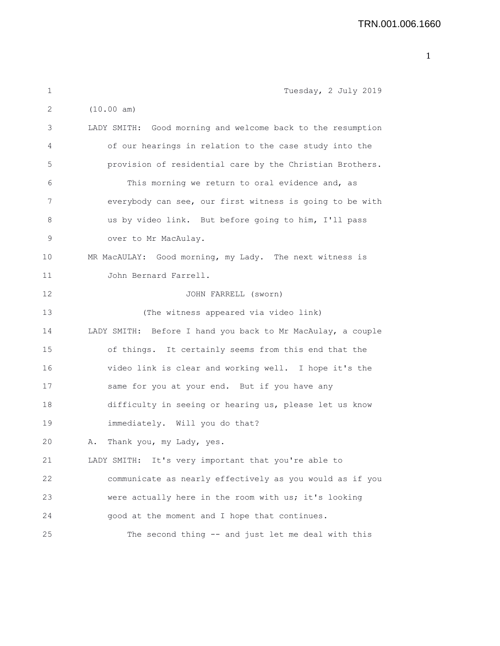| 1  | Tuesday, 2 July 2019                                        |
|----|-------------------------------------------------------------|
| 2  | (10.00 am)                                                  |
| 3  | LADY SMITH: Good morning and welcome back to the resumption |
| 4  | of our hearings in relation to the case study into the      |
| 5  | provision of residential care by the Christian Brothers.    |
| 6  | This morning we return to oral evidence and, as             |
| 7  | everybody can see, our first witness is going to be with    |
| 8  | us by video link. But before going to him, I'll pass        |
| 9  | over to Mr MacAulay.                                        |
| 10 | MR MacAULAY: Good morning, my Lady. The next witness is     |
| 11 | John Bernard Farrell.                                       |
| 12 | JOHN FARRELL (sworn)                                        |
| 13 | (The witness appeared via video link)                       |
| 14 | LADY SMITH: Before I hand you back to Mr MacAulay, a couple |
| 15 | of things. It certainly seems from this end that the        |
| 16 | video link is clear and working well. I hope it's the       |
| 17 | same for you at your end. But if you have any               |
| 18 | difficulty in seeing or hearing us, please let us know      |
| 19 | immediately. Will you do that?                              |
| 20 | Thank you, my Lady, yes.<br>Α.                              |
| 21 | LADY SMITH: It's very important that you're able to         |
| 22 | communicate as nearly effectively as you would as if you    |
| 23 | were actually here in the room with us; it's looking        |
| 24 | good at the moment and I hope that continues.               |
| 25 | The second thing -- and just let me deal with this          |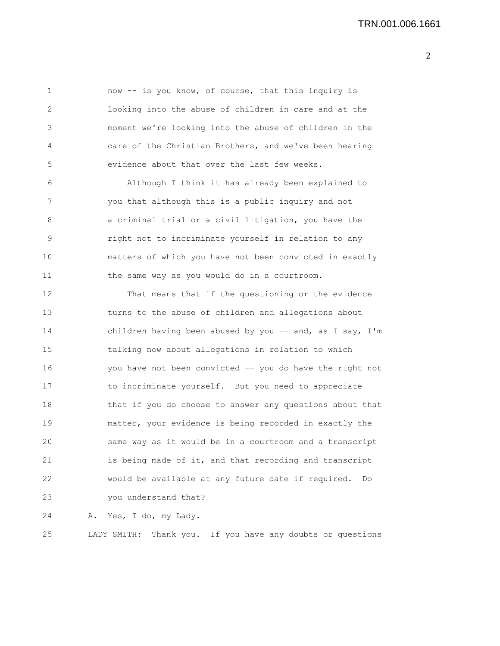1 now -- is you know, of course, that this inquiry is 2 looking into the abuse of children in care and at the 3 moment we're looking into the abuse of children in the 4 care of the Christian Brothers, and we've been hearing 5 evidence about that over the last few weeks. 6 Although I think it has already been explained to 7 you that although this is a public inquiry and not 8 a criminal trial or a civil litigation, you have the 9 right not to incriminate yourself in relation to any 10 matters of which you have not been convicted in exactly 11 the same way as you would do in a courtroom. 12 That means that if the questioning or the evidence 13 turns to the abuse of children and allegations about 14 children having been abused by you -- and, as I say, I'm 15 talking now about allegations in relation to which 16 you have not been convicted -- you do have the right not 17 to incriminate yourself. But you need to appreciate 18 that if you do choose to answer any questions about that 19 matter, your evidence is being recorded in exactly the 20 same way as it would be in a courtroom and a transcript 21 is being made of it, and that recording and transcript 22 would be available at any future date if required. Do 23 you understand that? 24 A. Yes, I do, my Lady. 25 LADY SMITH: Thank you. If you have any doubts or questions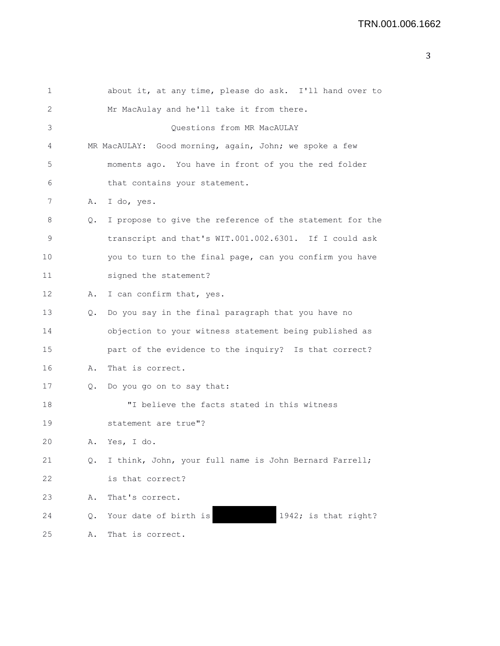| 1  |    | about it, at any time, please do ask. I'll hand over to  |
|----|----|----------------------------------------------------------|
| 2  |    | Mr MacAulay and he'll take it from there.                |
| 3  |    | Questions from MR MacAULAY                               |
| 4  |    | MR MacAULAY: Good morning, again, John; we spoke a few   |
| 5  |    | moments ago. You have in front of you the red folder     |
| 6  |    | that contains your statement.                            |
| 7  | Α. | I do, yes.                                               |
| 8  | Q. | I propose to give the reference of the statement for the |
| 9  |    | transcript and that's WIT.001.002.6301. If I could ask   |
| 10 |    | you to turn to the final page, can you confirm you have  |
| 11 |    | signed the statement?                                    |
| 12 | Α. | I can confirm that, yes.                                 |
| 13 | Q. | Do you say in the final paragraph that you have no       |
| 14 |    | objection to your witness statement being published as   |
| 15 |    | part of the evidence to the inquiry? Is that correct?    |
| 16 | Α. | That is correct.                                         |
| 17 | Q. | Do you go on to say that:                                |
| 18 |    | "I believe the facts stated in this witness              |
| 19 |    | statement are true"?                                     |
| 20 | Α. | Yes, I do.                                               |
| 21 | Q. | I think, John, your full name is John Bernard Farrell;   |
| 22 |    | is that correct?                                         |
| 23 | Α. | That's correct.                                          |
| 24 | Q. | 1942; is that right?<br>Your date of birth is            |
| 25 | Α. | That is correct.                                         |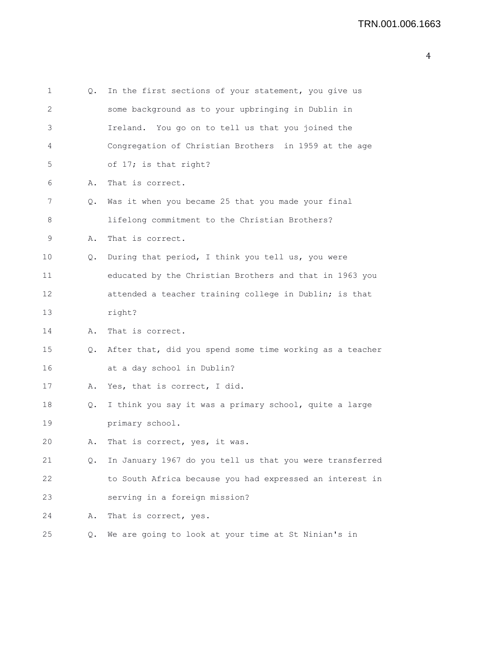| 1  | Q. | In the first sections of your statement, you give us     |
|----|----|----------------------------------------------------------|
| 2  |    | some background as to your upbringing in Dublin in       |
| 3  |    | Ireland. You go on to tell us that you joined the        |
| 4  |    | Congregation of Christian Brothers in 1959 at the age    |
| 5  |    | of 17; is that right?                                    |
| 6  | Α. | That is correct.                                         |
| 7  | Q. | Was it when you became 25 that you made your final       |
| 8  |    | lifelong commitment to the Christian Brothers?           |
| 9  | Α. | That is correct.                                         |
| 10 | Q. | During that period, I think you tell us, you were        |
| 11 |    | educated by the Christian Brothers and that in 1963 you  |
| 12 |    | attended a teacher training college in Dublin; is that   |
| 13 |    | right?                                                   |
| 14 | Α. | That is correct.                                         |
| 15 | Q. | After that, did you spend some time working as a teacher |
| 16 |    | at a day school in Dublin?                               |
| 17 | Α. | Yes, that is correct, I did.                             |
| 18 | Q. | I think you say it was a primary school, quite a large   |
| 19 |    | primary school.                                          |
| 20 | Α. | That is correct, yes, it was.                            |
| 21 | Q. | In January 1967 do you tell us that you were transferred |
| 22 |    | to South Africa because you had expressed an interest in |
| 23 |    | serving in a foreign mission?                            |
| 24 | Α. | That is correct, yes.                                    |
| 25 | Q. | We are going to look at your time at St Ninian's in      |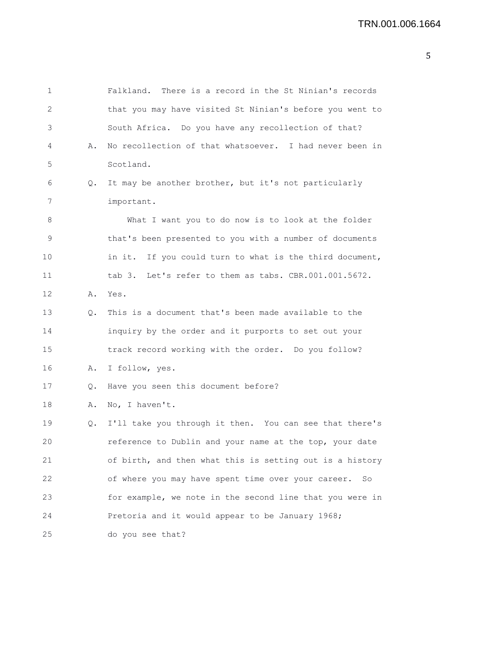| 1                 |    | There is a record in the St Ninian's records<br>Falkland. |
|-------------------|----|-----------------------------------------------------------|
| 2                 |    | that you may have visited St Ninian's before you went to  |
| 3                 |    | South Africa. Do you have any recollection of that?       |
| 4                 | Α. | No recollection of that whatsoever. I had never been in   |
| 5                 |    | Scotland.                                                 |
| 6                 | Q. | It may be another brother, but it's not particularly      |
| 7                 |    | important.                                                |
| 8                 |    | What I want you to do now is to look at the folder        |
| $\mathsf 9$       |    | that's been presented to you with a number of documents   |
| 10                |    | in it. If you could turn to what is the third document,   |
| 11                |    | tab 3. Let's refer to them as tabs. CBR.001.001.5672.     |
| $12 \overline{ }$ | Α. | Yes.                                                      |
| 13                | Q. | This is a document that's been made available to the      |
| 14                |    | inquiry by the order and it purports to set out your      |
| 15                |    | track record working with the order. Do you follow?       |
| 16                | Α. | I follow, yes.                                            |
| 17                | Q. | Have you seen this document before?                       |
| 18                | Α. | No, I haven't.                                            |
| 19                | Q. | I'll take you through it then. You can see that there's   |
| 20                |    | reference to Dublin and your name at the top, your date   |
| 21                |    | of birth, and then what this is setting out is a history  |
| 22                |    | of where you may have spent time over your career.<br>So  |
| 23                |    | for example, we note in the second line that you were in  |
| 24                |    | Pretoria and it would appear to be January 1968;          |
| 25                |    | do you see that?                                          |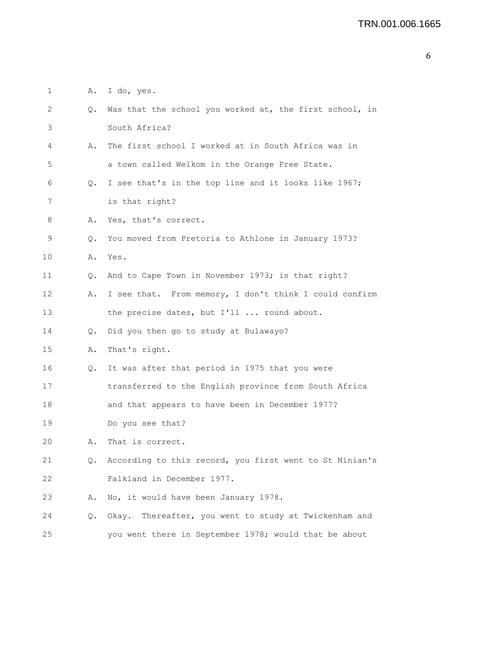| $\mathbf 1$ | Α. | I do, yes.                                               |
|-------------|----|----------------------------------------------------------|
| 2           | Q. | Was that the school you worked at, the first school, in  |
| 3           |    | South Africa?                                            |
| 4           | Α. | The first school I worked at in South Africa was in      |
| 5           |    | a town called Welkom in the Orange Free State.           |
| 6           | Q. | I see that's in the top line and it looks like 1967;     |
| 7           |    | is that right?                                           |
| 8           | Α. | Yes, that's correct.                                     |
| 9           | Q. | You moved from Pretoria to Athlone in January 1973?      |
| 10          | Α. | Yes.                                                     |
| 11          | Q. | And to Cape Town in November 1973; is that right?        |
| 12          | Α. | I see that. From memory, I don't think I could confirm   |
| 13          |    | the precise dates, but I'll  round about.                |
| 14          | Q. | Did you then go to study at Bulawayo?                    |
| 15          | Α. | That's right.                                            |
| 16          | Q. | It was after that period in 1975 that you were           |
| 17          |    | transferred to the English province from South Africa    |
| 18          |    | and that appears to have been in December 1977?          |
| 19          |    | Do you see that?                                         |
| 20          | Α. | That is correct.                                         |
| 21          | Q. | According to this record, you first went to St Ninian's  |
| 22          |    | Falkland in December 1977.                               |
| 23          | Α. | No, it would have been January 1978.                     |
| 24          | Q. | Thereafter, you went to study at Twickenham and<br>Okay. |
| 25          |    | you went there in September 1978; would that be about    |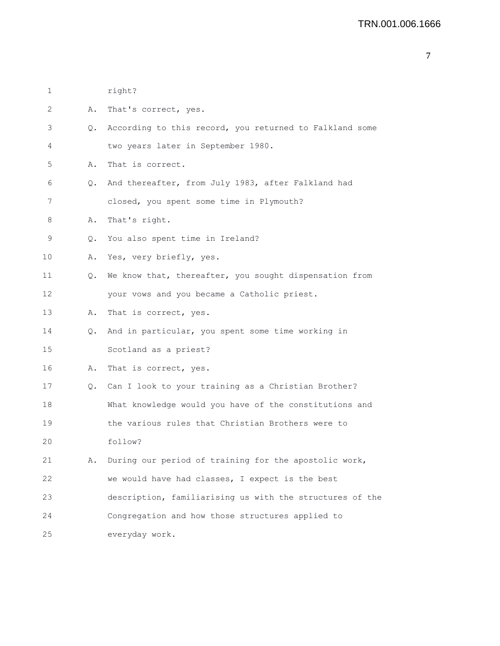| 1  |    | right?                                                     |
|----|----|------------------------------------------------------------|
| 2  | Α. | That's correct, yes.                                       |
| 3  |    | Q. According to this record, you returned to Falkland some |
| 4  |    | two years later in September 1980.                         |
| 5  | Α. | That is correct.                                           |
| 6  |    | Q. And thereafter, from July 1983, after Falkland had      |
| 7  |    | closed, you spent some time in Plymouth?                   |
| 8  | Α. | That's right.                                              |
| 9  | Q. | You also spent time in Ireland?                            |
| 10 | Α. | Yes, very briefly, yes.                                    |
| 11 | Q. | We know that, thereafter, you sought dispensation from     |
| 12 |    | your vows and you became a Catholic priest.                |
| 13 | Α. | That is correct, yes.                                      |
| 14 | Q. | And in particular, you spent some time working in          |
| 15 |    | Scotland as a priest?                                      |
| 16 | Α. | That is correct, yes.                                      |
| 17 |    | Q. Can I look to your training as a Christian Brother?     |
| 18 |    | What knowledge would you have of the constitutions and     |
| 19 |    | the various rules that Christian Brothers were to          |
| 20 |    | follow?                                                    |
| 21 | Α. | During our period of training for the apostolic work,      |
| 22 |    | we would have had classes, I expect is the best            |
| 23 |    | description, familiarising us with the structures of the   |
| 24 |    | Congregation and how those structures applied to           |
| 25 |    | everyday work.                                             |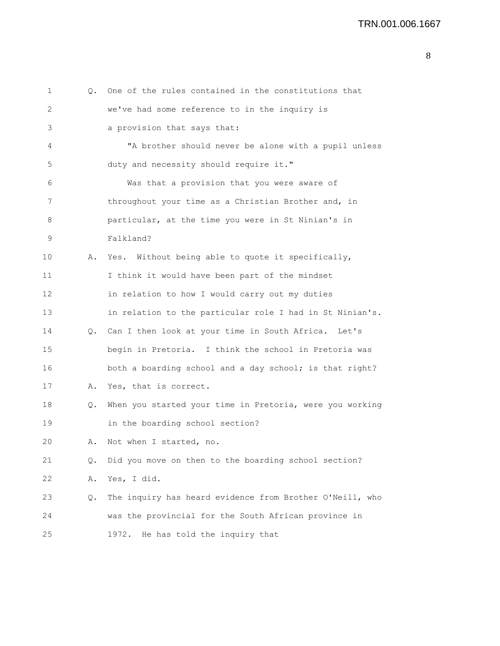| 1  |       | Q. One of the rules contained in the constitutions that  |
|----|-------|----------------------------------------------------------|
| 2  |       | we've had some reference to in the inquiry is            |
| 3  |       | a provision that says that:                              |
| 4  |       | "A brother should never be alone with a pupil unless     |
| 5  |       | duty and necessity should require it."                   |
| 6  |       | Was that a provision that you were aware of              |
| 7  |       | throughout your time as a Christian Brother and, in      |
| 8  |       | particular, at the time you were in St Ninian's in       |
| 9  |       | Falkland?                                                |
| 10 | Α.    | Yes. Without being able to quote it specifically,        |
| 11 |       | I think it would have been part of the mindset           |
| 12 |       | in relation to how I would carry out my duties           |
| 13 |       | in relation to the particular role I had in St Ninian's. |
| 14 | 0.    | Can I then look at your time in South Africa. Let's      |
| 15 |       | begin in Pretoria. I think the school in Pretoria was    |
| 16 |       | both a boarding school and a day school; is that right?  |
| 17 | Α.    | Yes, that is correct.                                    |
| 18 | Q.    | When you started your time in Pretoria, were you working |
| 19 |       | in the boarding school section?                          |
| 20 | Α.    | Not when I started, no.                                  |
| 21 | $Q$ . | Did you move on then to the boarding school section?     |
| 22 | Α.    | Yes, I did.                                              |
| 23 | Q.    | The inquiry has heard evidence from Brother O'Neill, who |
| 24 |       | was the provincial for the South African province in     |
| 25 |       | 1972. He has told the inquiry that                       |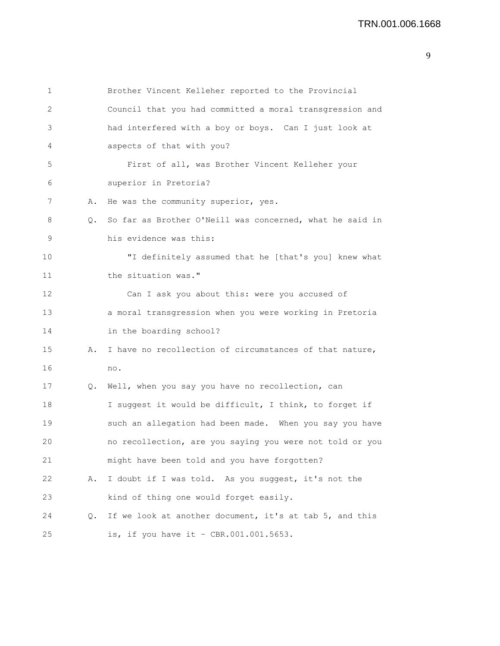| 1  |    | Brother Vincent Kelleher reported to the Provincial      |
|----|----|----------------------------------------------------------|
| 2  |    | Council that you had committed a moral transgression and |
| 3  |    | had interfered with a boy or boys. Can I just look at    |
| 4  |    | aspects of that with you?                                |
| 5  |    | First of all, was Brother Vincent Kelleher your          |
| 6  |    | superior in Pretoria?                                    |
| 7  | Α. | He was the community superior, yes.                      |
| 8  | Q. | So far as Brother O'Neill was concerned, what he said in |
| 9  |    | his evidence was this:                                   |
| 10 |    | "I definitely assumed that he [that's you] knew what     |
| 11 |    | the situation was."                                      |
| 12 |    | Can I ask you about this: were you accused of            |
| 13 |    | a moral transgression when you were working in Pretoria  |
| 14 |    | in the boarding school?                                  |
| 15 | Α. | I have no recollection of circumstances of that nature,  |
| 16 |    | no.                                                      |
| 17 | Q. | Well, when you say you have no recollection, can         |
| 18 |    | I suggest it would be difficult, I think, to forget if   |
| 19 |    | such an allegation had been made. When you say you have  |
| 20 |    | no recollection, are you saying you were not told or you |
| 21 |    | might have been told and you have forgotten?             |
| 22 | Α. | I doubt if I was told. As you suggest, it's not the      |
| 23 |    | kind of thing one would forget easily.                   |
| 24 | Q. | If we look at another document, it's at tab 5, and this  |
| 25 |    | is, if you have it - CBR.001.001.5653.                   |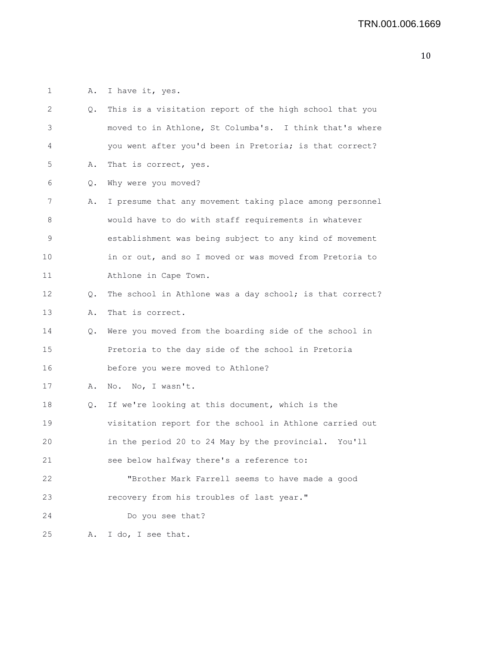1 A. I have it, yes.

| 2  | Q. | This is a visitation report of the high school that you  |
|----|----|----------------------------------------------------------|
| 3  |    | moved to in Athlone, St Columba's. I think that's where  |
| 4  |    | you went after you'd been in Pretoria; is that correct?  |
| 5  | Α. | That is correct, yes.                                    |
| 6  | Q. | Why were you moved?                                      |
| 7  | Α. | I presume that any movement taking place among personnel |
| 8  |    | would have to do with staff requirements in whatever     |
| 9  |    | establishment was being subject to any kind of movement  |
| 10 |    | in or out, and so I moved or was moved from Pretoria to  |
| 11 |    | Athlone in Cape Town.                                    |
| 12 | Q. | The school in Athlone was a day school; is that correct? |
| 13 | Α. | That is correct.                                         |
| 14 | Q. | Were you moved from the boarding side of the school in   |
| 15 |    | Pretoria to the day side of the school in Pretoria       |
| 16 |    | before you were moved to Athlone?                        |
| 17 | Α. | No. No, I wasn't.                                        |
| 18 | Q. | If we're looking at this document, which is the          |
| 19 |    | visitation report for the school in Athlone carried out  |
| 20 |    | in the period 20 to 24 May by the provincial. You'll     |
| 21 |    | see below halfway there's a reference to:                |
| 22 |    | "Brother Mark Farrell seems to have made a good          |
| 23 |    | recovery from his troubles of last year."                |
| 24 |    | Do you see that?                                         |
| 25 | Α. | I do, I see that.                                        |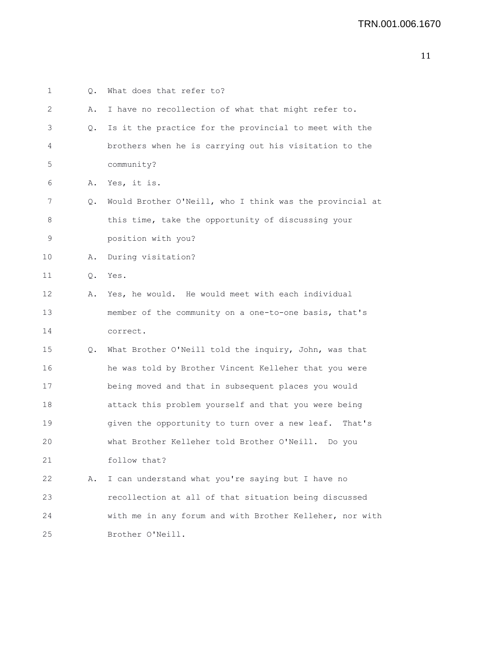| 1  | Q. | What does that refer to?                                 |
|----|----|----------------------------------------------------------|
| 2  | Α. | I have no recollection of what that might refer to.      |
| 3  | Q. | Is it the practice for the provincial to meet with the   |
| 4  |    | brothers when he is carrying out his visitation to the   |
| 5  |    | community?                                               |
| 6  | Α. | Yes, it is.                                              |
| 7  | Q. | Would Brother O'Neill, who I think was the provincial at |
| 8  |    | this time, take the opportunity of discussing your       |
| 9  |    | position with you?                                       |
| 10 | Α. | During visitation?                                       |
| 11 | Q. | Yes.                                                     |
| 12 | Α. | Yes, he would. He would meet with each individual        |
| 13 |    | member of the community on a one-to-one basis, that's    |
| 14 |    | correct.                                                 |
| 15 | Q. | What Brother O'Neill told the inquiry, John, was that    |
| 16 |    | he was told by Brother Vincent Kelleher that you were    |
| 17 |    | being moved and that in subsequent places you would      |
| 18 |    | attack this problem yourself and that you were being     |
| 19 |    | given the opportunity to turn over a new leaf. That's    |
| 20 |    | what Brother Kelleher told Brother O'Neill.<br>Do you    |
| 21 |    | follow that?                                             |
| 22 | Α. | I can understand what you're saying but I have no        |
| 23 |    | recollection at all of that situation being discussed    |
| 24 |    | with me in any forum and with Brother Kelleher, nor with |
| 25 |    | Brother O'Neill.                                         |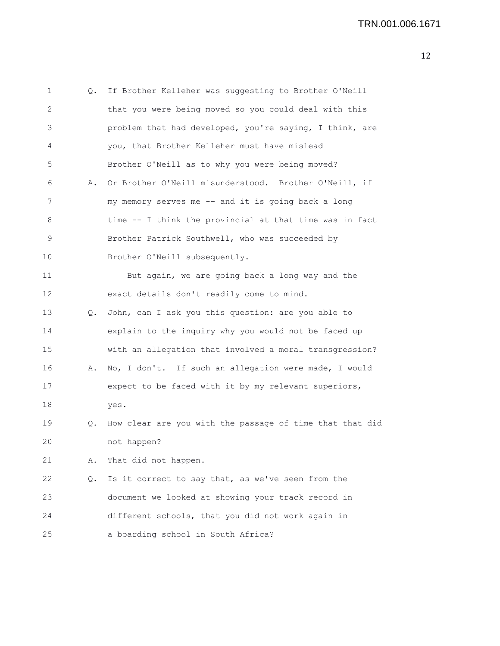| 1           | Q. | If Brother Kelleher was suggesting to Brother O'Neill    |
|-------------|----|----------------------------------------------------------|
| 2           |    | that you were being moved so you could deal with this    |
| 3           |    | problem that had developed, you're saying, I think, are  |
| 4           |    | you, that Brother Kelleher must have mislead             |
| 5           |    | Brother O'Neill as to why you were being moved?          |
| 6           | Α. | Or Brother O'Neill misunderstood. Brother O'Neill, if    |
| 7           |    | my memory serves me -- and it is going back a long       |
| 8           |    | time -- I think the provincial at that time was in fact  |
| $\mathsf 9$ |    | Brother Patrick Southwell, who was succeeded by          |
| 10          |    | Brother O'Neill subsequently.                            |
| 11          |    | But again, we are going back a long way and the          |
| 12          |    | exact details don't readily come to mind.                |
| 13          | Q. | John, can I ask you this question: are you able to       |
| 14          |    | explain to the inquiry why you would not be faced up     |
| 15          |    | with an allegation that involved a moral transgression?  |
| 16          | Α. | No, I don't. If such an allegation were made, I would    |
| 17          |    | expect to be faced with it by my relevant superiors,     |
| 18          |    | yes.                                                     |
| 19          | Q. | How clear are you with the passage of time that that did |
| 20          |    | not happen?                                              |
| 21          | Α. | That did not happen.                                     |
| 22          | Q. | Is it correct to say that, as we've seen from the        |
| 23          |    | document we looked at showing your track record in       |
| 24          |    | different schools, that you did not work again in        |
| 25          |    | a boarding school in South Africa?                       |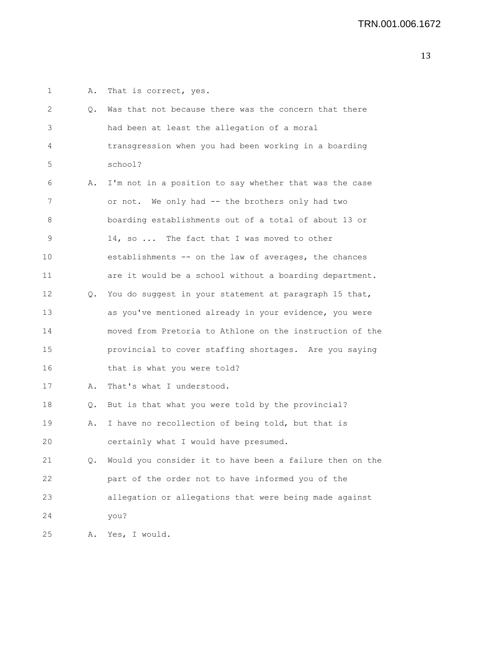| $\mathbf{1}$ | Α. | That is correct, yes.                                    |
|--------------|----|----------------------------------------------------------|
| 2            | Q. | Was that not because there was the concern that there    |
| 3            |    | had been at least the allegation of a moral              |
| 4            |    | transgression when you had been working in a boarding    |
| 5            |    | school?                                                  |
| 6            | Α. | I'm not in a position to say whether that was the case   |
| 7            |    | or not. We only had -- the brothers only had two         |
| 8            |    | boarding establishments out of a total of about 13 or    |
| 9            |    | 14, so  The fact that I was moved to other               |
| 10           |    | establishments -- on the law of averages, the chances    |
| 11           |    | are it would be a school without a boarding department.  |
| 12           | Q. | You do suggest in your statement at paragraph 15 that,   |
| 13           |    | as you've mentioned already in your evidence, you were   |
| 14           |    | moved from Pretoria to Athlone on the instruction of the |
| 15           |    | provincial to cover staffing shortages. Are you saying   |
| 16           |    | that is what you were told?                              |
| 17           | Α. | That's what I understood.                                |
| 18           | Q. | But is that what you were told by the provincial?        |
| 19           | Α. | I have no recollection of being told, but that is        |
| 20           |    | certainly what I would have presumed.                    |
| 21           | Q. | Would you consider it to have been a failure then on the |
| 22           |    | part of the order not to have informed you of the        |
| 23           |    | allegation or allegations that were being made against   |
| 24           |    | you?                                                     |
| 25           | Α. | Yes, I would.                                            |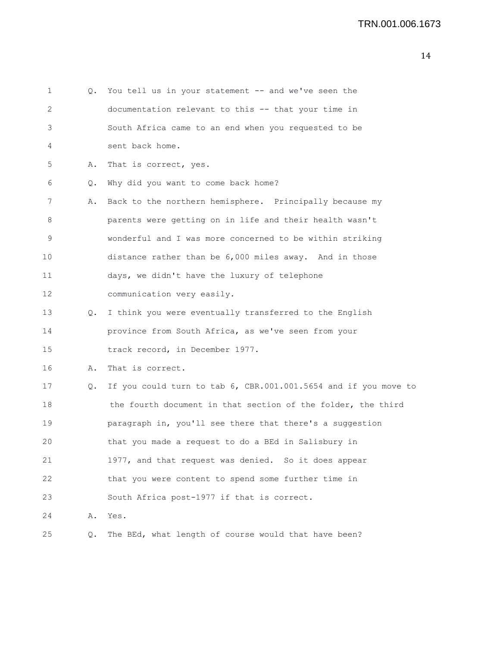| $\mathbf{1}$      | Q. | You tell us in your statement -- and we've seen the             |
|-------------------|----|-----------------------------------------------------------------|
| 2                 |    | documentation relevant to this -- that your time in             |
| 3                 |    | South Africa came to an end when you requested to be            |
| 4                 |    | sent back home.                                                 |
| 5                 | Α. | That is correct, yes.                                           |
| 6                 | Q. | Why did you want to come back home?                             |
| 7                 | Α. | Back to the northern hemisphere. Principally because my         |
| 8                 |    | parents were getting on in life and their health wasn't         |
| 9                 |    | wonderful and I was more concerned to be within striking        |
| 10                |    | distance rather than be 6,000 miles away. And in those          |
| 11                |    | days, we didn't have the luxury of telephone                    |
| $12 \overline{ }$ |    | communication very easily.                                      |
| 13                | Q. | I think you were eventually transferred to the English          |
| 14                |    | province from South Africa, as we've seen from your             |
| 15                |    | track record, in December 1977.                                 |
| 16                | Α. | That is correct.                                                |
| 17                | Q. | If you could turn to tab 6, CBR.001.001.5654 and if you move to |
| 18                |    | the fourth document in that section of the folder, the third    |
| 19                |    | paragraph in, you'll see there that there's a suggestion        |
| 20                |    | that you made a request to do a BEd in Salisbury in             |
| 21                |    | 1977, and that request was denied. So it does appear            |
| 22                |    | that you were content to spend some further time in             |
| 23                |    | South Africa post-1977 if that is correct.                      |
| 24                | Α. | Yes.                                                            |
| 25                | Q. | The BEd, what length of course would that have been?            |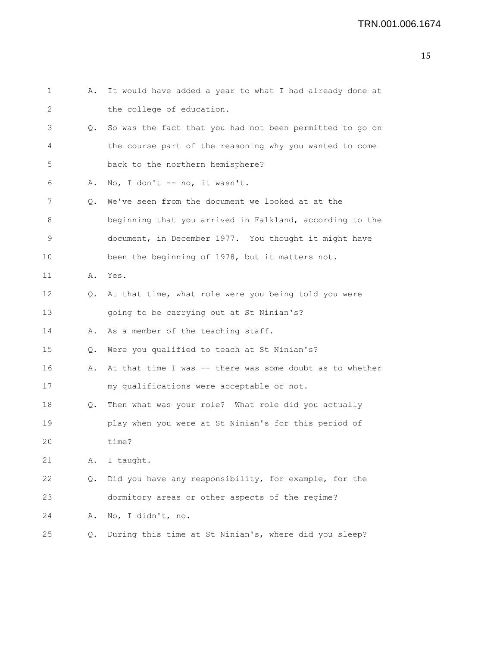| 1  | Α.    | It would have added a year to what I had already done at |
|----|-------|----------------------------------------------------------|
| 2  |       | the college of education.                                |
| 3  | Q.    | So was the fact that you had not been permitted to go on |
| 4  |       | the course part of the reasoning why you wanted to come  |
| 5  |       | back to the northern hemisphere?                         |
| 6  | Α.    | No, I don't -- no, it wasn't.                            |
| 7  | Q.    | We've seen from the document we looked at at the         |
| 8  |       | beginning that you arrived in Falkland, according to the |
| 9  |       | document, in December 1977. You thought it might have    |
| 10 |       | been the beginning of 1978, but it matters not.          |
| 11 | Α.    | Yes.                                                     |
| 12 | Q.    | At that time, what role were you being told you were     |
| 13 |       | going to be carrying out at St Ninian's?                 |
| 14 | Α.    | As a member of the teaching staff.                       |
| 15 | $Q$ . | Were you qualified to teach at St Ninian's?              |
| 16 | Α.    | At that time I was -- there was some doubt as to whether |
| 17 |       | my qualifications were acceptable or not.                |
| 18 | Q.    | Then what was your role? What role did you actually      |
| 19 |       | play when you were at St Ninian's for this period of     |
| 20 |       | time?                                                    |
| 21 | Α.    | I taught.                                                |
| 22 | Q.    | Did you have any responsibility, for example, for the    |
| 23 |       | dormitory areas or other aspects of the regime?          |
| 24 | Α.    | No, I didn't, no.                                        |
| 25 | Q.    | During this time at St Ninian's, where did you sleep?    |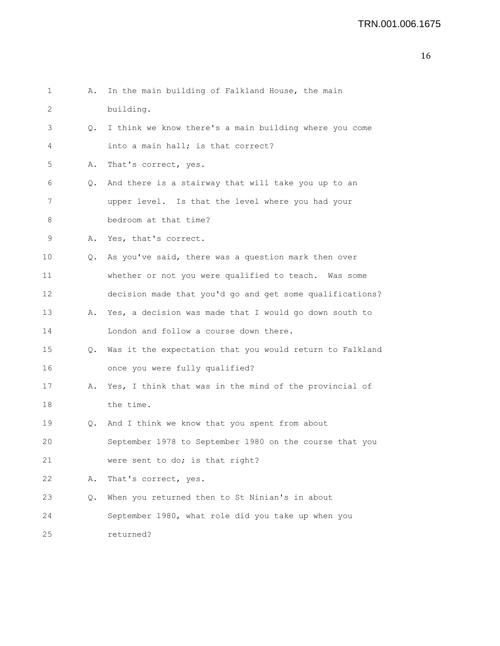| 1  | Α.        | In the main building of Falkland House, the main         |
|----|-----------|----------------------------------------------------------|
| 2  |           | building.                                                |
| 3  | $\circ$ . | I think we know there's a main building where you come   |
| 4  |           | into a main hall; is that correct?                       |
| 5  | Α.        | That's correct, yes.                                     |
| 6  | Q.        | And there is a stairway that will take you up to an      |
| 7  |           | upper level. Is that the level where you had your        |
| 8  |           | bedroom at that time?                                    |
| 9  |           | A. Yes, that's correct.                                  |
| 10 | Q.        | As you've said, there was a question mark then over      |
| 11 |           | whether or not you were qualified to teach. Was some     |
| 12 |           | decision made that you'd go and get some qualifications? |
| 13 | Α.        | Yes, a decision was made that I would go down south to   |
| 14 |           | London and follow a course down there.                   |
| 15 | $\circ$ . | Was it the expectation that you would return to Falkland |
| 16 |           | once you were fully qualified?                           |
| 17 | Α.        | Yes, I think that was in the mind of the provincial of   |
| 18 |           | the time.                                                |
| 19 | Q.        | And I think we know that you spent from about            |
| 20 |           | September 1978 to September 1980 on the course that you  |
| 21 |           | were sent to do; is that right?                          |
| 22 | Α.        | That's correct, yes.                                     |
| 23 | Q.        | When you returned then to St Ninian's in about           |
| 24 |           | September 1980, what role did you take up when you       |
| 25 |           | returned?                                                |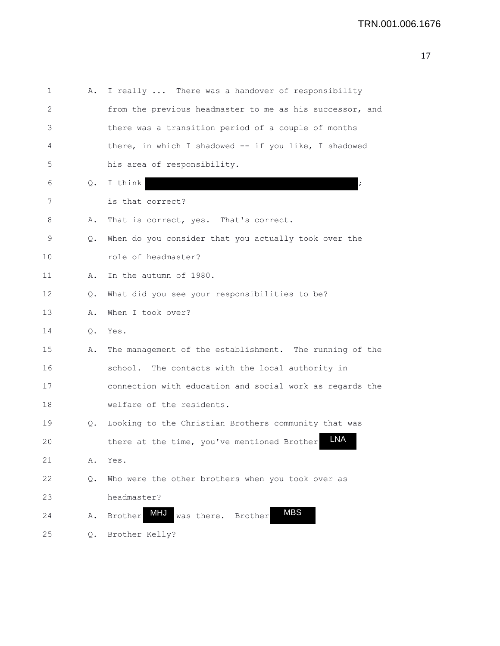| 1  | Α.    | I really  There was a handover of responsibility          |
|----|-------|-----------------------------------------------------------|
| 2  |       | from the previous headmaster to me as his successor, and  |
| 3  |       | there was a transition period of a couple of months       |
| 4  |       | there, in which I shadowed -- if you like, I shadowed     |
| 5  |       | his area of responsibility.                               |
| 6  | Q.    | I think                                                   |
| 7  |       | is that correct?                                          |
| 8  | Α.    | That is correct, yes. That's correct.                     |
| 9  | Q.    | When do you consider that you actually took over the      |
| 10 |       | role of headmaster?                                       |
| 11 | Α.    | In the autumn of 1980.                                    |
| 12 | Q.    | What did you see your responsibilities to be?             |
| 13 | Α.    | When I took over?                                         |
| 14 | $Q$ . | Yes.                                                      |
| 15 | Α.    | The management of the establishment. The running of the   |
| 16 |       | school. The contacts with the local authority in          |
| 17 |       | connection with education and social work as regards the  |
| 18 |       | welfare of the residents.                                 |
| 19 | Q.    | Looking to the Christian Brothers community that was      |
| 20 |       | LNA<br>there at the time, you've mentioned Brother        |
| 21 | Α.    | Yes.                                                      |
| 22 | Q.    | Who were the other brothers when you took over as         |
| 23 |       | headmaster?                                               |
| 24 | Α.    | <b>MBS</b><br><b>MHJ</b><br>was there. Brother<br>Brother |
| 25 | Q.    | Brother Kelly?                                            |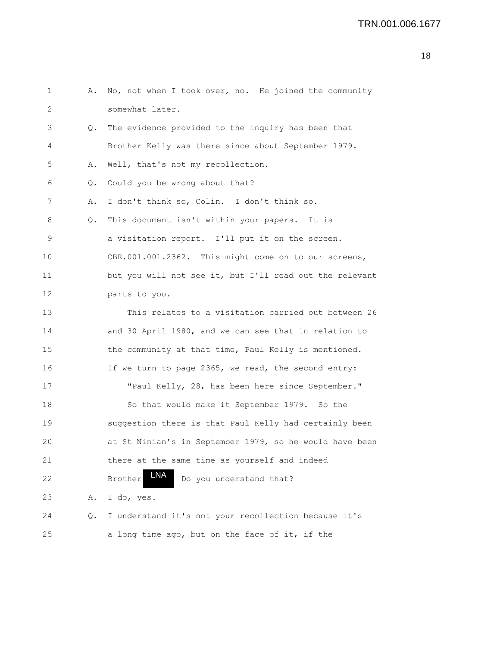```
1 A. No, not when I took over, no. He joined the community
2 somewhat later.
3 Q. The evidence provided to the inquiry has been that
4 Brother Kelly was there since about September 1979.
5 A. Well, that's not my recollection.
6 Q. Could you be wrong about that?
7 A. I don't think so, Colin. I don't think so.
8 Q. This document isn't within your papers. It is
9 a visitation report. I'll put it on the screen.
10 CBR.001.001.2362. This might come on to our screens,
11 but you will not see it, but I'll read out the relevant
12 parts to you.
13 This relates to a visitation carried out between 26
14 and 30 April 1980, and we can see that in relation to
15 the community at that time, Paul Kelly is mentioned.
16 If we turn to page 2365, we read, the second entry:
17 "Paul Kelly, 28, has been here since September."
18 So that would make it September 1979. So the
19 suggestion there is that Paul Kelly had certainly been
20 at St Ninian's in September 1979, so he would have been
21 there at the same time as yourself and indeed
22 Brother INA Do you understand that?
23 A. I do, yes.
24 Q. I understand it's not your recollection because it's
25 a long time ago, but on the face of it, if the
                  LNA
```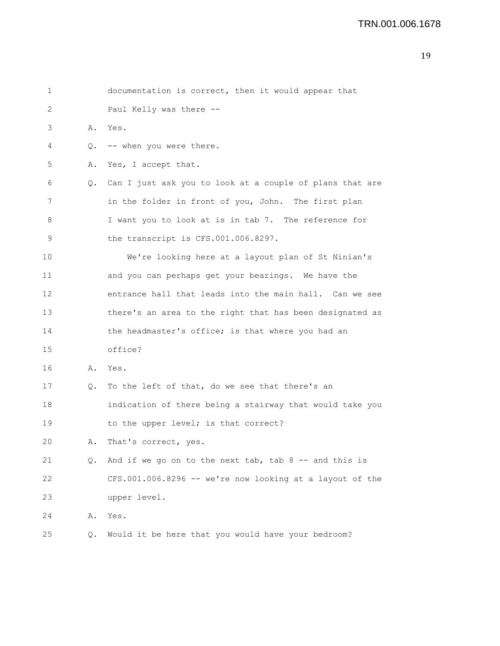| 1  |    | documentation is correct, then it would appear that      |
|----|----|----------------------------------------------------------|
| 2  |    | Paul Kelly was there --                                  |
| 3  | Α. | Yes.                                                     |
| 4  | Q. | -- when you were there.                                  |
| 5  | Α. | Yes, I accept that.                                      |
| 6  | Q. | Can I just ask you to look at a couple of plans that are |
| 7  |    | in the folder in front of you, John. The first plan      |
| 8  |    | I want you to look at is in tab 7. The reference for     |
| 9  |    | the transcript is CFS.001.006.8297.                      |
| 10 |    | We're looking here at a layout plan of St Ninian's       |
| 11 |    | and you can perhaps get your bearings. We have the       |
| 12 |    | entrance hall that leads into the main hall. Can we see  |
| 13 |    | there's an area to the right that has been designated as |
| 14 |    | the headmaster's office; is that where you had an        |
| 15 |    | office?                                                  |
| 16 | Α. | Yes.                                                     |
| 17 | Q. | To the left of that, do we see that there's an           |
| 18 |    | indication of there being a stairway that would take you |
| 19 |    | to the upper level; is that correct?                     |
| 20 | Α. | That's correct, yes.                                     |
| 21 | Q. | And if we go on to the next tab, tab $8$ -- and this is  |
| 22 |    | CFS.001.006.8296 -- we're now looking at a layout of the |
| 23 |    | upper level.                                             |
| 24 | Α. | Yes.                                                     |
| 25 | Q. | Would it be here that you would have your bedroom?       |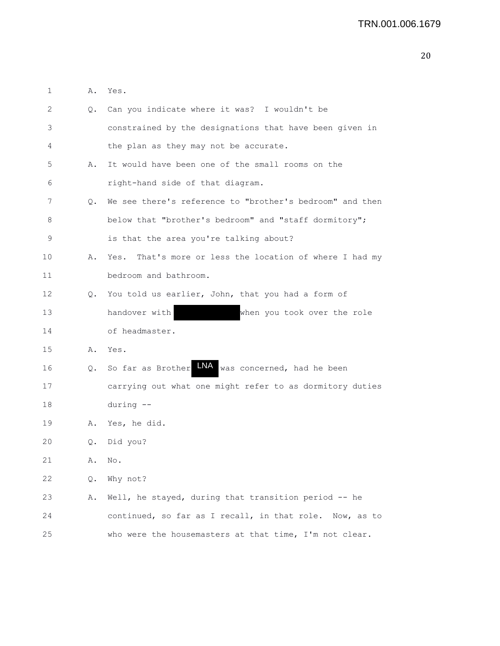1 A. Yes.

| 2                 |    | Q. Can you indicate where it was? I wouldn't be            |
|-------------------|----|------------------------------------------------------------|
| 3                 |    | constrained by the designations that have been given in    |
| 4                 |    | the plan as they may not be accurate.                      |
| 5                 | Α. | It would have been one of the small rooms on the           |
| 6                 |    | right-hand side of that diagram.                           |
| 7                 | 0. | We see there's reference to "brother's bedroom" and then   |
| 8                 |    | below that "brother's bedroom" and "staff dormitory";      |
| 9                 |    | is that the area you're talking about?                     |
| 10                | Α. | That's more or less the location of where I had my<br>Yes. |
| 11                |    | bedroom and bathroom.                                      |
| $12 \overline{ }$ | Q. | You told us earlier, John, that you had a form of          |
| 13                |    | handover with<br>when you took over the role               |
| 14                |    | of headmaster.                                             |
| 15                | Α. | Yes.                                                       |
| 16                | Q. | So far as Brother LNA<br>was concerned, had he been        |
| 17                |    | carrying out what one might refer to as dormitory duties   |
| 18                |    | during --                                                  |
| 19                | Α. | Yes, he did.                                               |
| 20                | Q. | Did you?                                                   |
| 21                | Α. | No.                                                        |
| 22                | Q. | Why not?                                                   |
| 23                | Α. | Well, he stayed, during that transition period -- he       |
| 24                |    | continued, so far as I recall, in that role. Now, as to    |
| 25                |    | who were the housemasters at that time, I'm not clear.     |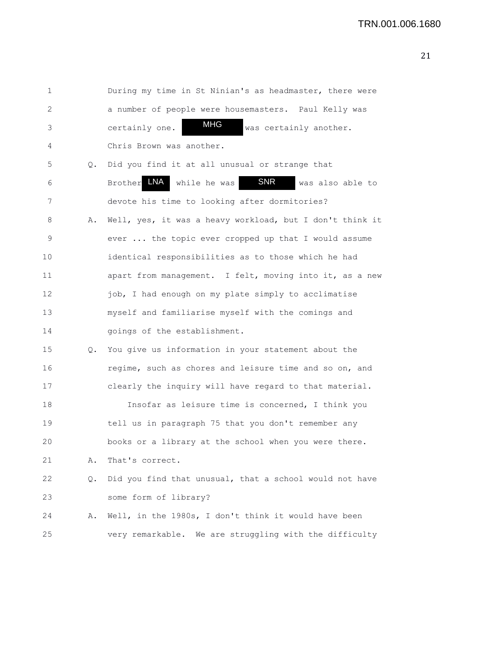| 1  |    | During my time in St Ninian's as headmaster, there were          |
|----|----|------------------------------------------------------------------|
| 2  |    | a number of people were housemasters. Paul Kelly was             |
| 3  |    | <b>MHG</b><br>certainly one.<br>was certainly another.           |
| 4  |    | Chris Brown was another.                                         |
| 5  | Q. | Did you find it at all unusual or strange that                   |
| 6  |    | LNA<br><b>SNR</b><br>Brother<br>while he was<br>was also able to |
| 7  |    | devote his time to looking after dormitories?                    |
| 8  | Α. | Well, yes, it was a heavy workload, but I don't think it         |
| 9  |    | ever  the topic ever cropped up that I would assume              |
| 10 |    | identical responsibilities as to those which he had              |
| 11 |    | apart from management. I felt, moving into it, as a new          |
| 12 |    | job, I had enough on my plate simply to acclimatise              |
| 13 |    | myself and familiarise myself with the comings and               |
| 14 |    | goings of the establishment.                                     |
| 15 | Q. | You give us information in your statement about the              |
| 16 |    | regime, such as chores and leisure time and so on, and           |
| 17 |    | clearly the inquiry will have regard to that material.           |
| 18 |    | Insofar as leisure time is concerned, I think you                |
| 19 |    | tell us in paragraph 75 that you don't remember any              |
| 20 |    | books or a library at the school when you were there.            |
| 21 | Α. | That's correct.                                                  |
| 22 | Q. | Did you find that unusual, that a school would not have          |
| 23 |    | some form of library?                                            |
| 24 | Α. | Well, in the 1980s, I don't think it would have been             |
| 25 |    | very remarkable. We are struggling with the difficulty           |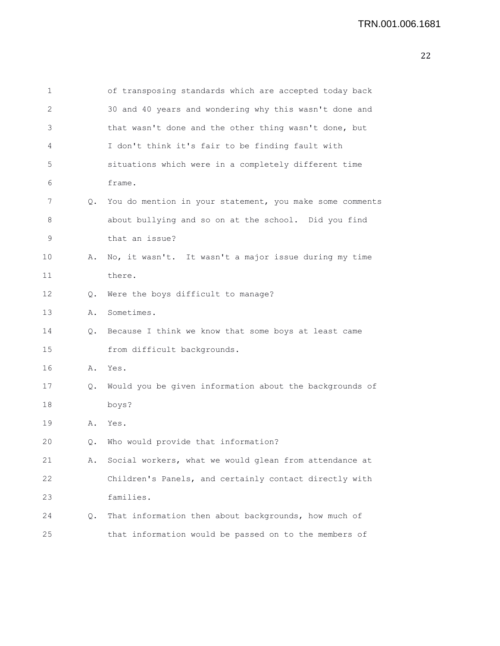| 1               |    | of transposing standards which are accepted today back   |
|-----------------|----|----------------------------------------------------------|
| 2               |    | 30 and 40 years and wondering why this wasn't done and   |
| 3               |    | that wasn't done and the other thing wasn't done, but    |
| 4               |    | I don't think it's fair to be finding fault with         |
| 5               |    | situations which were in a completely different time     |
| 6               |    | frame.                                                   |
| 7               | Q. | You do mention in your statement, you make some comments |
| 8               |    | about bullying and so on at the school. Did you find     |
| 9               |    | that an issue?                                           |
| 10              | Α. | No, it wasn't. It wasn't a major issue during my time    |
| 11              |    | there.                                                   |
| 12 <sup>2</sup> | Q. | Were the boys difficult to manage?                       |
| 13              | Α. | Sometimes.                                               |
| 14              | Q. | Because I think we know that some boys at least came     |
| 15              |    | from difficult backgrounds.                              |
| 16              | Α. | Yes.                                                     |
| 17              | Q. | Would you be given information about the backgrounds of  |
| 18              |    | boys?                                                    |
| 19              | Α. | Yes.                                                     |
| 20              | О. | Who would provide that information?                      |
| 21              | Α. | Social workers, what we would glean from attendance at   |
| 22              |    | Children's Panels, and certainly contact directly with   |
| 23              |    | families.                                                |
| 24              | Q. | That information then about backgrounds, how much of     |
| 25              |    | that information would be passed on to the members of    |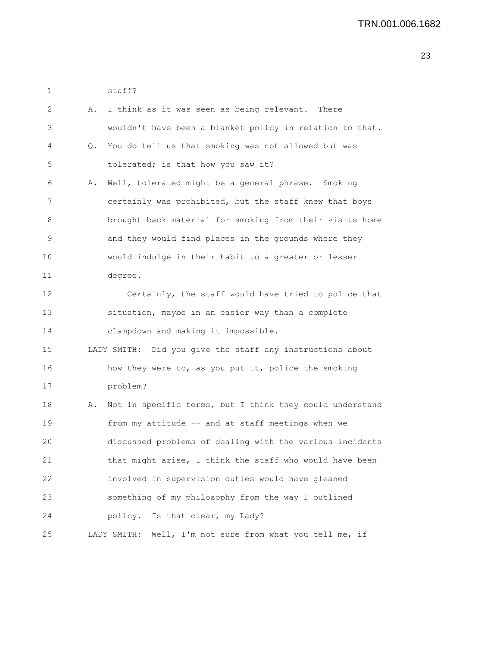1 staff?

| 2  | Α. | I think as it was seen as being relevant. There             |
|----|----|-------------------------------------------------------------|
| 3  |    | wouldn't have been a blanket policy in relation to that.    |
| 4  | Q. | You do tell us that smoking was not allowed but was         |
| 5  |    | tolerated; is that how you saw it?                          |
| 6  | Α. | Well, tolerated might be a general phrase. Smoking          |
| 7  |    | certainly was prohibited, but the staff knew that boys      |
| 8  |    | brought back material for smoking from their visits home    |
| 9  |    | and they would find places in the grounds where they        |
| 10 |    | would indulge in their habit to a greater or lesser         |
| 11 |    | degree.                                                     |
| 12 |    | Certainly, the staff would have tried to police that        |
| 13 |    | situation, maybe in an easier way than a complete           |
| 14 |    | clampdown and making it impossible.                         |
| 15 |    | LADY SMITH: Did you give the staff any instructions about   |
| 16 |    | how they were to, as you put it, police the smoking         |
| 17 |    | problem?                                                    |
| 18 | Α. | Not in specific terms, but I think they could understand    |
| 19 |    | from my attitude -- and at staff meetings when we           |
| 20 |    | discussed problems of dealing with the various incidents    |
| 21 |    | that might arise, I think the staff who would have been     |
| 22 |    | involved in supervision duties would have gleaned           |
| 23 |    | something of my philosophy from the way I outlined          |
| 24 |    | Is that clear, my Lady?<br>policy.                          |
| 25 |    | Well, I'm not sure from what you tell me, if<br>LADY SMITH: |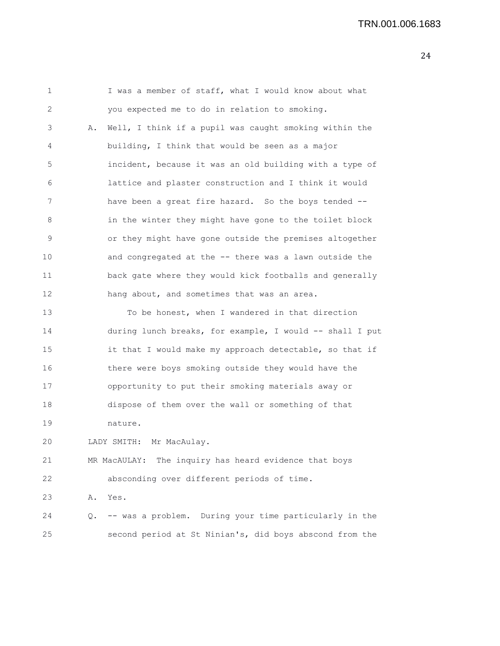1 I was a member of staff, what I would know about what 2 you expected me to do in relation to smoking. 3 A. Well, I think if a pupil was caught smoking within the 4 building, I think that would be seen as a major 5 incident, because it was an old building with a type of 6 lattice and plaster construction and I think it would 7 have been a great fire hazard. So the boys tended -- 8 in the winter they might have gone to the toilet block 9 or they might have gone outside the premises altogether 10 and congregated at the -- there was a lawn outside the 11 back gate where they would kick footballs and generally 12 hang about, and sometimes that was an area. 13 To be honest, when I wandered in that direction 14 during lunch breaks, for example, I would -- shall I put 15 it that I would make my approach detectable, so that if 16 there were boys smoking outside they would have the 17 opportunity to put their smoking materials away or 18 dispose of them over the wall or something of that 19 nature. 20 LADY SMITH: Mr MacAulay. 21 MR MacAULAY: The inquiry has heard evidence that boys 22 absconding over different periods of time. 23 A. Yes. 24 Q. -- was a problem. During your time particularly in the 25 second period at St Ninian's, did boys abscond from the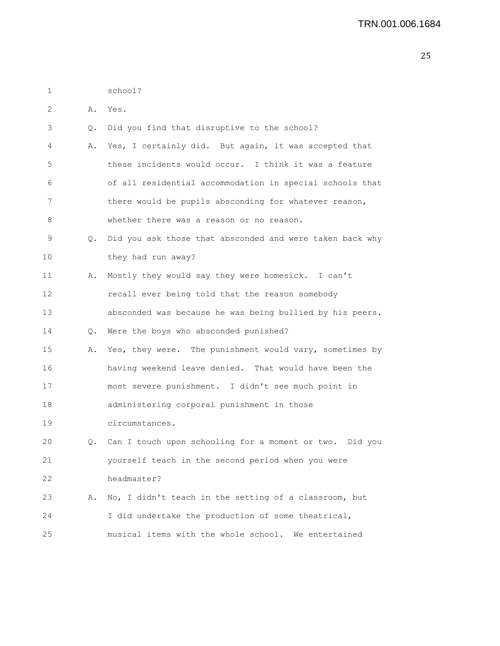| 1  |    | school?                                                  |
|----|----|----------------------------------------------------------|
| 2  | Α. | Yes.                                                     |
| 3  | Q. | Did you find that disruptive to the school?              |
| 4  | Α. | Yes, I certainly did. But again, it was accepted that    |
| 5  |    | these incidents would occur. I think it was a feature    |
| 6  |    | of all residential accommodation in special schools that |
| 7  |    | there would be pupils absconding for whatever reason,    |
| 8  |    | whether there was a reason or no reason.                 |
| 9  | Q. | Did you ask those that absconded and were taken back why |
| 10 |    | they had run away?                                       |
| 11 | Α. | Mostly they would say they were homesick. I can't        |
| 12 |    | recall ever being told that the reason somebody          |
| 13 |    | absconded was because he was being bullied by his peers. |
| 14 |    | Q. Were the boys who absconded punished?                 |
| 15 | Α. | Yes, they were. The punishment would vary, sometimes by  |
| 16 |    | having weekend leave denied. That would have been the    |
| 17 |    | most severe punishment. I didn't see much point in       |
| 18 |    | administering corporal punishment in those               |
| 19 |    | circumstances.                                           |
| 20 | Q. | Can I touch upon schooling for a moment or two. Did you  |
| 21 |    | yourself teach in the second period when you were        |
| 22 |    | headmaster?                                              |
| 23 | Α. | No, I didn't teach in the setting of a classroom, but    |
| 24 |    | I did undertake the production of some theatrical,       |
| 25 |    | musical items with the whole school. We entertained      |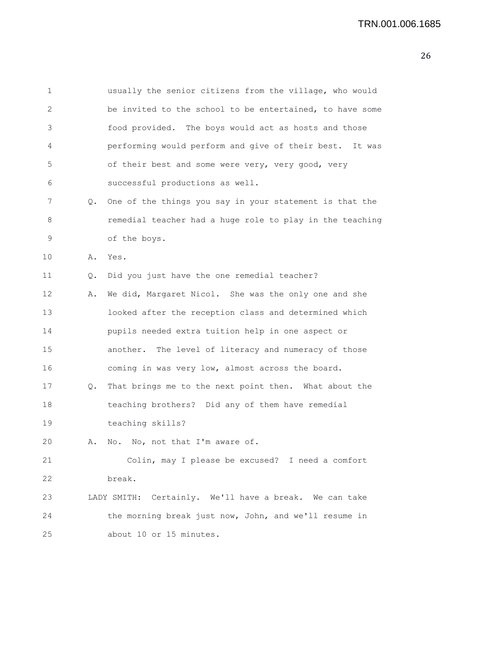|    | usually the senior citizens from the village, who would   |
|----|-----------------------------------------------------------|
|    | be invited to the school to be entertained, to have some  |
|    | food provided. The boys would act as hosts and those      |
|    | performing would perform and give of their best. It was   |
|    | of their best and some were very, very good, very         |
|    | successful productions as well.                           |
| Q. | One of the things you say in your statement is that the   |
|    | remedial teacher had a huge role to play in the teaching  |
|    | of the boys.                                              |
| Α. | Yes.                                                      |
| Q. | Did you just have the one remedial teacher?               |
| Α. | We did, Margaret Nicol. She was the only one and she      |
|    | looked after the reception class and determined which     |
|    | pupils needed extra tuition help in one aspect or         |
|    | another. The level of literacy and numeracy of those      |
|    | coming in was very low, almost across the board.          |
| Q. | That brings me to the next point then. What about the     |
|    | teaching brothers? Did any of them have remedial          |
|    | teaching skills?                                          |
| Α. | No. No, not that I'm aware of.                            |
|    | Colin, may I please be excused? I need a comfort          |
|    | break.                                                    |
|    | Certainly. We'll have a break. We can take<br>LADY SMITH: |
|    | the morning break just now, John, and we'll resume in     |
|    | about 10 or 15 minutes.                                   |
|    |                                                           |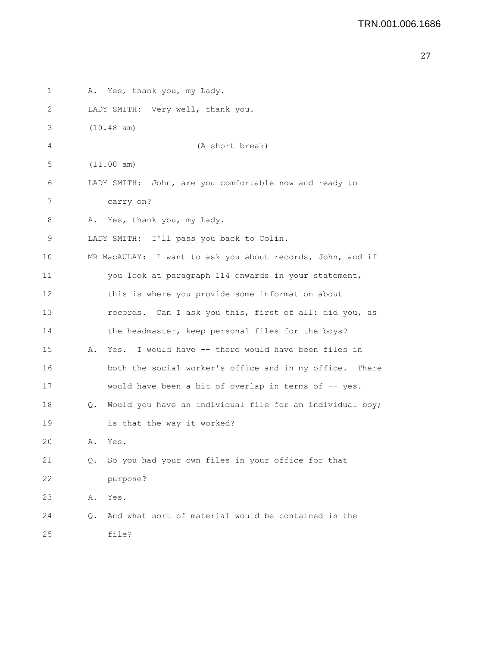```
27
```

| 1  |    | A. Yes, thank you, my Lady.                                |
|----|----|------------------------------------------------------------|
| 2  |    | LADY SMITH: Very well, thank you.                          |
| 3  |    | $(10.48$ am)                                               |
| 4  |    | (A short break)                                            |
| 5  |    | (11.00 am)                                                 |
| 6  |    | LADY SMITH: John, are you comfortable now and ready to     |
| 7  |    | carry on?                                                  |
| 8  | Α. | Yes, thank you, my Lady.                                   |
| 9  |    | LADY SMITH: I'll pass you back to Colin.                   |
| 10 |    | MR MacAULAY: I want to ask you about records, John, and if |
| 11 |    | you look at paragraph 114 onwards in your statement,       |
| 12 |    | this is where you provide some information about           |
| 13 |    | records. Can I ask you this, first of all: did you, as     |
| 14 |    | the headmaster, keep personal files for the boys?          |
| 15 | Α. | Yes. I would have -- there would have been files in        |
| 16 |    | both the social worker's office and in my office. There    |
| 17 |    | would have been a bit of overlap in terms of -- yes.       |
| 18 | Q. | Would you have an individual file for an individual boy;   |
| 19 |    | is that the way it worked?                                 |
| 20 | Α. | Yes.                                                       |
| 21 | Q. | So you had your own files in your office for that          |
| 22 |    | purpose?                                                   |
| 23 | Α. | Yes.                                                       |
| 24 | Q. | And what sort of material would be contained in the        |
| 25 |    | file?                                                      |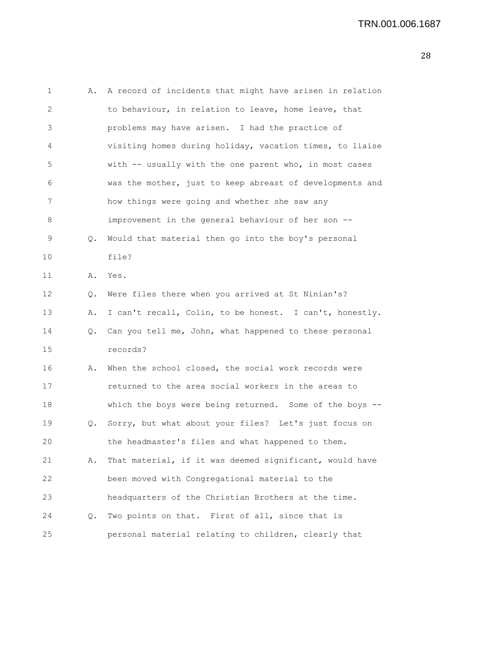| 1  | Α. | A record of incidents that might have arisen in relation   |
|----|----|------------------------------------------------------------|
| 2  |    | to behaviour, in relation to leave, home leave, that       |
| 3  |    | problems may have arisen. I had the practice of            |
| 4  |    | visiting homes during holiday, vacation times, to liaise   |
| 5  |    | with -- usually with the one parent who, in most cases     |
| 6  |    | was the mother, just to keep abreast of developments and   |
| 7  |    | how things were going and whether she saw any              |
| 8  |    | improvement in the general behaviour of her son --         |
| 9  | Q. | Would that material then go into the boy's personal        |
| 10 |    | file?                                                      |
| 11 | Α. | Yes.                                                       |
| 12 | Q. | Were files there when you arrived at St Ninian's?          |
| 13 | Α. | I can't recall, Colin, to be honest. I can't, honestly.    |
| 14 |    | Q. Can you tell me, John, what happened to these personal  |
| 15 |    | records?                                                   |
| 16 | Α. | When the school closed, the social work records were       |
| 17 |    | returned to the area social workers in the areas to        |
| 18 |    | which the boys were being returned. Some of the boys $-$ - |
| 19 | Q. | Sorry, but what about your files? Let's just focus on      |
| 20 |    | the headmaster's files and what happened to them.          |
| 21 | Α. | That material, if it was deemed significant, would have    |
| 22 |    | been moved with Congregational material to the             |
| 23 |    | headquarters of the Christian Brothers at the time.        |
| 24 | Q. | Two points on that. First of all, since that is            |
| 25 |    | personal material relating to children, clearly that       |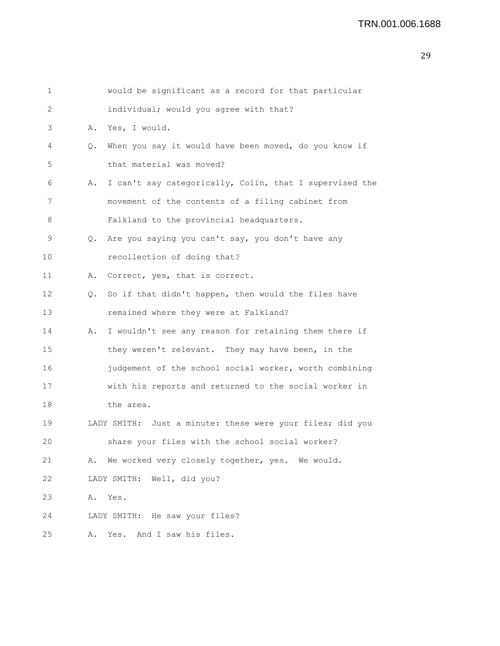```
1 would be significant as a record for that particular
2 individual; would you agree with that?
3 A. Yes, I would.
4 Q. When you say it would have been moved, do you know if
5 that material was moved?
6 A. I can't say categorically, Colin, that I supervised the
7 movement of the contents of a filing cabinet from
8 Falkland to the provincial headquarters.
9 Q. Are you saying you can't say, you don't have any
10 recollection of doing that?
11 A. Correct, yes, that is correct.
12 Q. So if that didn't happen, then would the files have
13 remained where they were at Falkland?
14 A. I wouldn't see any reason for retaining them there if
15 they weren't relevant. They may have been, in the
16 judgement of the school social worker, worth combining
17 with his reports and returned to the social worker in
18 the area.
19 LADY SMITH: Just a minute: these were your files; did you
20 share your files with the school social worker?
21 A. We worked very closely together, yes. We would.
22 LADY SMITH: Well, did you?
23 A. Yes.
24 LADY SMITH: He saw your files?
25 A. Yes. And I saw his files.
```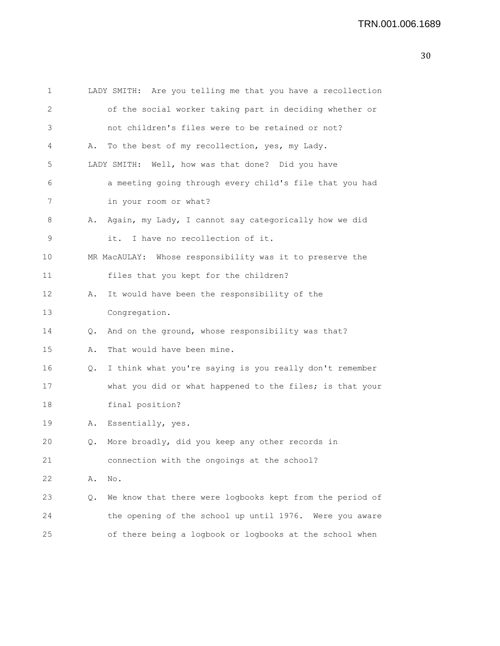| 1       |    | LADY SMITH: Are you telling me that you have a recollection |
|---------|----|-------------------------------------------------------------|
| 2       |    | of the social worker taking part in deciding whether or     |
| 3       |    | not children's files were to be retained or not?            |
| 4       | Α. | To the best of my recollection, yes, my Lady.               |
| 5       |    | LADY SMITH: Well, how was that done? Did you have           |
| 6       |    | a meeting going through every child's file that you had     |
| 7       |    | in your room or what?                                       |
| 8       | Α. | Again, my Lady, I cannot say categorically how we did       |
| 9       |    | I have no recollection of it.<br>it.                        |
| $10 \,$ |    | MR MacAULAY: Whose responsibility was it to preserve the    |
| 11      |    | files that you kept for the children?                       |
| 12      | Α. | It would have been the responsibility of the                |
| 13      |    | Congregation.                                               |
| 14      | Q. | And on the ground, whose responsibility was that?           |
| 15      | Α. | That would have been mine.                                  |
| 16      | Q. | I think what you're saying is you really don't remember     |
| 17      |    | what you did or what happened to the files; is that your    |
| 18      |    | final position?                                             |
| 19      | Α. | Essentially, yes.                                           |
| 20      | Q. | More broadly, did you keep any other records in             |
| 21      |    | connection with the ongoings at the school?                 |
| 22      | Α. | No.                                                         |
| 23      | Q. | We know that there were logbooks kept from the period of    |
| 24      |    | the opening of the school up until 1976. Were you aware     |
| 25      |    | of there being a logbook or logbooks at the school when     |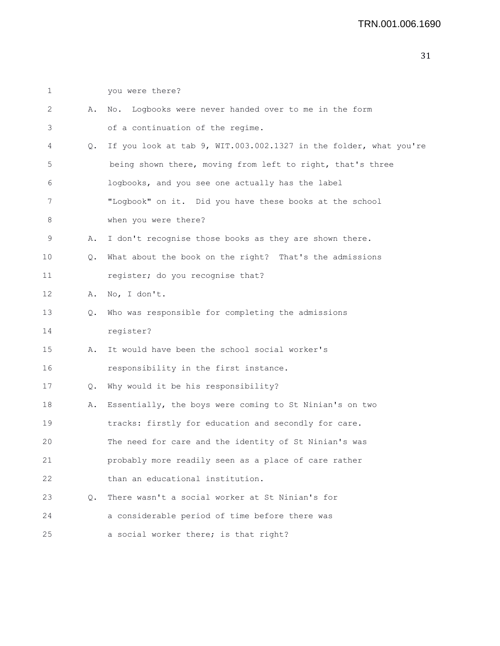1 you were there? 2 A. No. Logbooks were never handed over to me in the form 3 of a continuation of the regime. 4 Q. If you look at tab 9, WIT.003.002.1327 in the folder, what you're 5 being shown there, moving from left to right, that's three 6 logbooks, and you see one actually has the label 7 "Logbook" on it. Did you have these books at the school 8 when you were there? 9 A. I don't recognise those books as they are shown there. 10 Q. What about the book on the right? That's the admissions 11 register; do you recognise that? 12 A. No, I don't. 13 Q. Who was responsible for completing the admissions 14 register? 15 A. It would have been the school social worker's 16 responsibility in the first instance. 17 Q. Why would it be his responsibility? 18 A. Essentially, the boys were coming to St Ninian's on two 19 tracks: firstly for education and secondly for care. 20 The need for care and the identity of St Ninian's was 21 probably more readily seen as a place of care rather 22 than an educational institution. 23 Q. There wasn't a social worker at St Ninian's for 24 a considerable period of time before there was 25 a social worker there; is that right?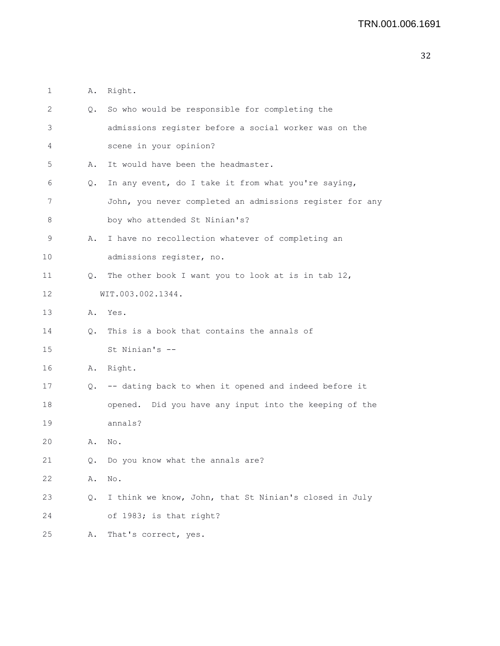| 1  | Α. | Right.                                                   |
|----|----|----------------------------------------------------------|
| 2  | Q. | So who would be responsible for completing the           |
| 3  |    | admissions register before a social worker was on the    |
| 4  |    | scene in your opinion?                                   |
| 5  | Α. | It would have been the headmaster.                       |
| 6  | Q. | In any event, do I take it from what you're saying,      |
| 7  |    | John, you never completed an admissions register for any |
| 8  |    | boy who attended St Ninian's?                            |
| 9  | Α. | I have no recollection whatever of completing an         |
| 10 |    | admissions register, no.                                 |
| 11 | Q. | The other book I want you to look at is in tab 12,       |
| 12 |    | WIT.003.002.1344.                                        |
| 13 | Α. | Yes.                                                     |
| 14 | Q. | This is a book that contains the annals of               |
| 15 |    | St Ninian's --                                           |
| 16 | Α. | Right.                                                   |
| 17 | Q. | -- dating back to when it opened and indeed before it    |
| 18 |    | opened. Did you have any input into the keeping of the   |
| 19 |    | annals?                                                  |
| 20 | Α. | No.                                                      |
| 21 | Q. | Do you know what the annals are?                         |
| 22 | Α. | No.                                                      |
| 23 | Q. | I think we know, John, that St Ninian's closed in July   |
| 24 |    | of 1983; is that right?                                  |
| 25 | Α. | That's correct, yes.                                     |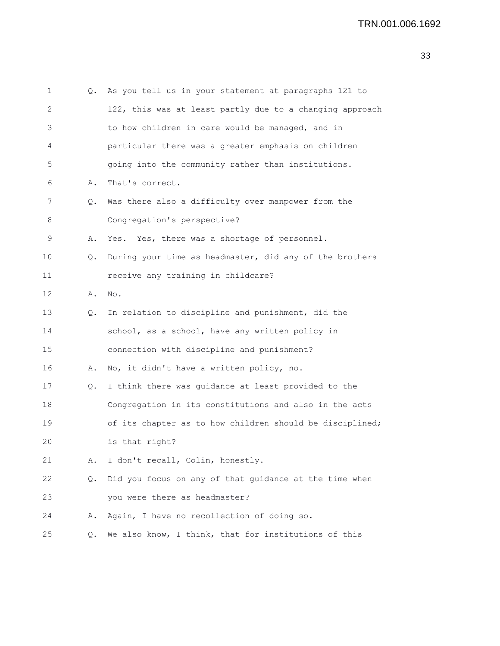```
1 Q. As you tell us in your statement at paragraphs 121 to
2 122, this was at least partly due to a changing approach
3 to how children in care would be managed, and in
4 particular there was a greater emphasis on children
5 going into the community rather than institutions.
6 A. That's correct.
7 Q. Was there also a difficulty over manpower from the
8 Congregation's perspective?
9 A. Yes. Yes, there was a shortage of personnel.
10 Q. During your time as headmaster, did any of the brothers
11 receive any training in childcare?
12 A. No.
13 Q. In relation to discipline and punishment, did the
14 school, as a school, have any written policy in
15 connection with discipline and punishment?
16 A. No, it didn't have a written policy, no.
17 Q. I think there was guidance at least provided to the
18 Congregation in its constitutions and also in the acts
19 of its chapter as to how children should be disciplined;
20 is that right?
21 A. I don't recall, Colin, honestly.
22 Q. Did you focus on any of that guidance at the time when
23 you were there as headmaster?
24 A. Again, I have no recollection of doing so.
25 Q. We also know, I think, that for institutions of this
```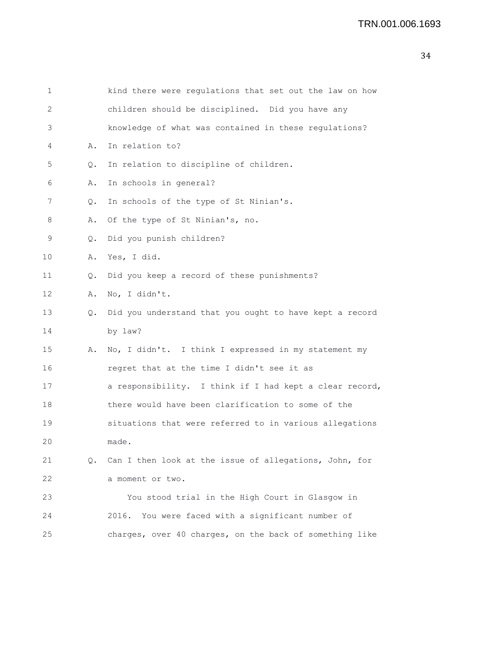| 1  |           | kind there were regulations that set out the law on how |
|----|-----------|---------------------------------------------------------|
| 2  |           | children should be disciplined. Did you have any        |
| 3  |           | knowledge of what was contained in these regulations?   |
| 4  | Α.        | In relation to?                                         |
| 5  | Q.        | In relation to discipline of children.                  |
| 6  | Α.        | In schools in general?                                  |
| 7  | Q.        | In schools of the type of St Ninian's.                  |
| 8  | Α.        | Of the type of St Ninian's, no.                         |
| 9  | $\circ$ . | Did you punish children?                                |
| 10 | Α.        | Yes, I did.                                             |
| 11 | Q.        | Did you keep a record of these punishments?             |
| 12 | Α.        | No, I didn't.                                           |
| 13 | Q.        | Did you understand that you ought to have kept a record |
| 14 |           | by law?                                                 |
| 15 | Α.        | No, I didn't. I think I expressed in my statement my    |
| 16 |           | regret that at the time I didn't see it as              |
| 17 |           | a responsibility. I think if I had kept a clear record, |
| 18 |           | there would have been clarification to some of the      |
| 19 |           | situations that were referred to in various allegations |
| 20 |           | made.                                                   |
| 21 | Q.        | Can I then look at the issue of allegations, John, for  |
| 22 |           | a moment or two.                                        |
| 23 |           | You stood trial in the High Court in Glasgow in         |
| 24 |           | 2016. You were faced with a significant number of       |
| 25 |           | charges, over 40 charges, on the back of something like |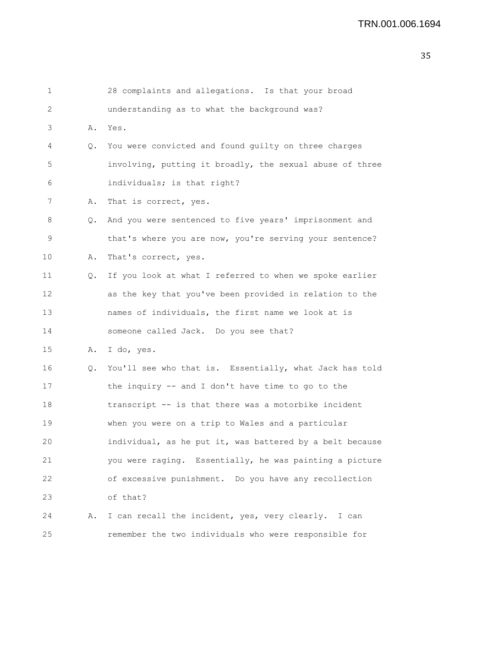| 1               |    | 28 complaints and allegations. Is that your broad        |
|-----------------|----|----------------------------------------------------------|
| 2               |    | understanding as to what the background was?             |
| 3               | Α. | Yes.                                                     |
| 4               | Q. | You were convicted and found guilty on three charges     |
| 5               |    | involving, putting it broadly, the sexual abuse of three |
| 6               |    | individuals; is that right?                              |
| 7               | Α. | That is correct, yes.                                    |
| 8               | Q. | And you were sentenced to five years' imprisonment and   |
| 9               |    | that's where you are now, you're serving your sentence?  |
| 10              | Α. | That's correct, yes.                                     |
| 11              | Q. | If you look at what I referred to when we spoke earlier  |
| 12 <sup>°</sup> |    | as the key that you've been provided in relation to the  |
| 13              |    | names of individuals, the first name we look at is       |
| 14              |    | someone called Jack. Do you see that?                    |
| 15              | Α. | I do, yes.                                               |
| 16              | Q. | You'll see who that is. Essentially, what Jack has told  |
| 17              |    | the inquiry -- and I don't have time to go to the        |
| 18              |    | transcript -- is that there was a motorbike incident     |
| 19              |    | when you were on a trip to Wales and a particular        |
| 20              |    | individual, as he put it, was battered by a belt because |
| 21              |    | you were raging. Essentially, he was painting a picture  |
| 22              |    | of excessive punishment. Do you have any recollection    |
| 23              |    | of that?                                                 |
| 24              | Α. | I can recall the incident, yes, very clearly. I can      |
| 25              |    | remember the two individuals who were responsible for    |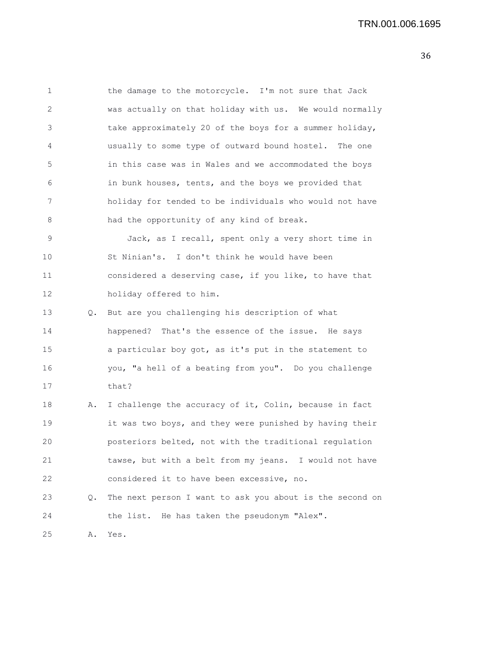1 the damage to the motorcycle. I'm not sure that Jack 2 was actually on that holiday with us. We would normally 3 take approximately 20 of the boys for a summer holiday, 4 usually to some type of outward bound hostel. The one 5 in this case was in Wales and we accommodated the boys 6 in bunk houses, tents, and the boys we provided that 7 holiday for tended to be individuals who would not have 8 had the opportunity of any kind of break. 9 Jack, as I recall, spent only a very short time in 10 St Ninian's. I don't think he would have been 11 considered a deserving case, if you like, to have that 12 holiday offered to him. 13 Q. But are you challenging his description of what 14 happened? That's the essence of the issue. He says 15 a particular boy got, as it's put in the statement to 16 you, "a hell of a beating from you". Do you challenge 17 that? 18 A. I challenge the accuracy of it, Colin, because in fact 19 it was two boys, and they were punished by having their 20 posteriors belted, not with the traditional regulation 21 tawse, but with a belt from my jeans. I would not have 22 considered it to have been excessive, no.

23 Q. The next person I want to ask you about is the second on 24 the list. He has taken the pseudonym "Alex".

25 A. Yes.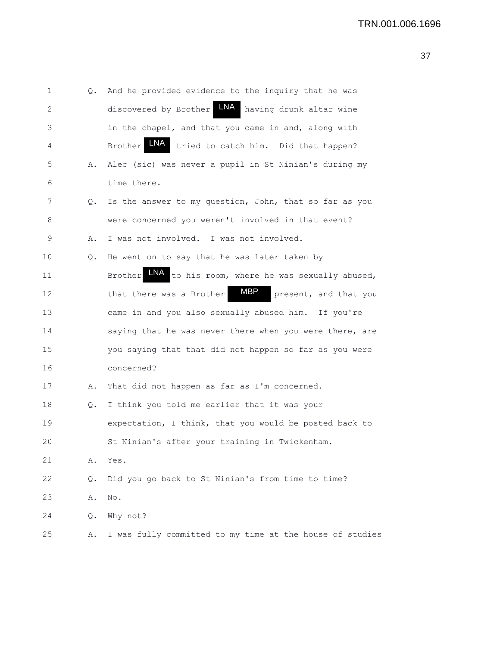| 1  | Q. | And he provided evidence to the inquiry that he was                  |
|----|----|----------------------------------------------------------------------|
| 2  |    | LNA<br>discovered by Brother<br>having drunk altar wine              |
| 3  |    | in the chapel, and that you came in and, along with                  |
| 4  |    | <b>LNA</b><br>tried to catch him. Did that happen?<br><b>Brother</b> |
| 5  | Α. | Alec (sic) was never a pupil in St Ninian's during my                |
| 6  |    | time there.                                                          |
| 7  | Q. | Is the answer to my question, John, that so far as you               |
| 8  |    | were concerned you weren't involved in that event?                   |
| 9  | Α. | I was not involved. I was not involved.                              |
| 10 | Q. | He went on to say that he was later taken by                         |
| 11 |    | LNA<br>to his room, where he was sexually abused,<br><b>Brother</b>  |
| 12 |    | MBP<br>that there was a Brother<br>present, and that you             |
| 13 |    | came in and you also sexually abused him. If you're                  |
| 14 |    | saying that he was never there when you were there, are              |
| 15 |    | you saying that that did not happen so far as you were               |
| 16 |    | concerned?                                                           |
| 17 | Α. | That did not happen as far as I'm concerned.                         |
| 18 | Q. | I think you told me earlier that it was your                         |
| 19 |    | expectation, I think, that you would be posted back to               |
| 20 |    | St Ninian's after your training in Twickenham.                       |
| 21 | Α. | Yes.                                                                 |
| 22 | Q. | Did you go back to St Ninian's from time to time?                    |
| 23 | Α. | No.                                                                  |
| 24 | Q. | Why not?                                                             |
| 25 | Α. | I was fully committed to my time at the house of studies             |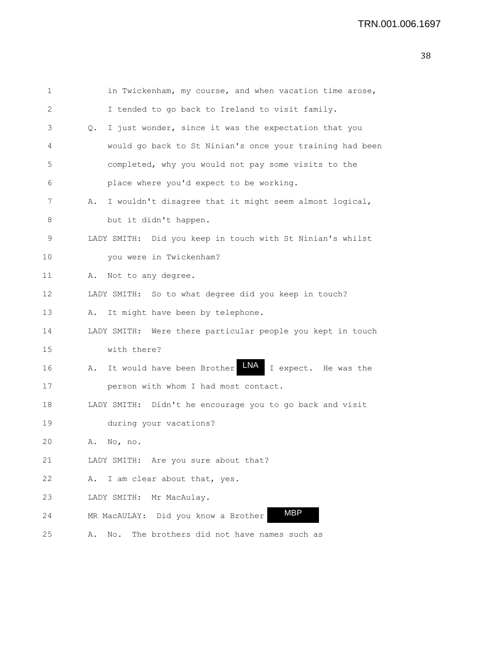## TRN.001.006.1697

| 1  | in Twickenham, my course, and when vacation time arose,         |
|----|-----------------------------------------------------------------|
| 2  | I tended to go back to Ireland to visit family.                 |
| 3  | I just wonder, since it was the expectation that you<br>Q.      |
| 4  | would go back to St Ninian's once your training had been        |
| 5  | completed, why you would not pay some visits to the             |
| 6  | place where you'd expect to be working.                         |
| 7  | I wouldn't disagree that it might seem almost logical,<br>Α.    |
| 8  | but it didn't happen.                                           |
| 9  | LADY SMITH: Did you keep in touch with St Ninian's whilst       |
| 10 | you were in Twickenham?                                         |
| 11 | Not to any degree.<br>Α.                                        |
| 12 | LADY SMITH: So to what degree did you keep in touch?            |
| 13 | It might have been by telephone.<br>Α.                          |
| 14 | LADY SMITH: Were there particular people you kept in touch      |
| 15 | with there?                                                     |
| 16 | LNA<br>It would have been Brother<br>I expect. He was the<br>Α. |
| 17 | person with whom I had most contact.                            |
| 18 | LADY SMITH: Didn't he encourage you to go back and visit        |
| 19 | during your vacations?                                          |
| 20 | No, no.<br>Α.                                                   |
| 21 | LADY SMITH: Are you sure about that?                            |
| 22 | A. I am clear about that, yes.                                  |
| 23 | Mr MacAulay.<br>LADY SMITH:                                     |
| 24 | <b>MBP</b><br>MR MacAULAY: Did you know a Brother               |
| 25 | The brothers did not have names such as<br>No.<br>Α.            |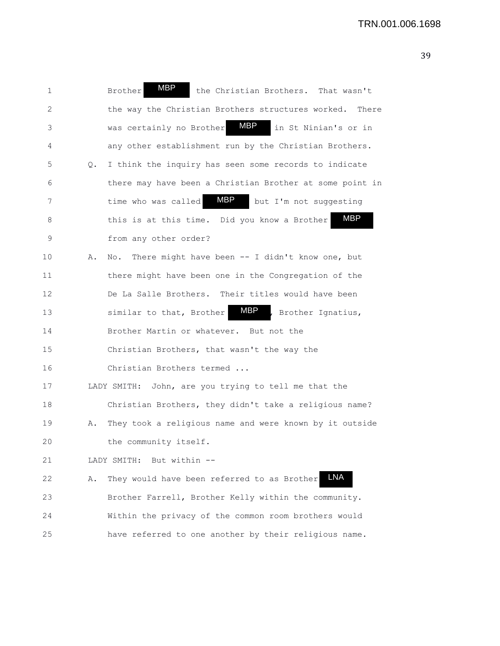| 1            |           | <b>MBP</b><br><b>Brother</b><br>the Christian Brothers. That wasn't |
|--------------|-----------|---------------------------------------------------------------------|
|              |           |                                                                     |
| $\mathbf{2}$ |           | the way the Christian Brothers structures worked.<br>There          |
| 3            |           | MBP<br>was certainly no Brother<br>in St Ninian's or in             |
| 4            |           | any other establishment run by the Christian Brothers.              |
| 5            | $\circ$ . | I think the inquiry has seen some records to indicate               |
| 6            |           | there may have been a Christian Brother at some point in            |
| 7            |           | MBP<br>time who was called<br>but I'm not suggesting                |
| 8            |           | <b>MBP</b><br>this is at this time. Did you know a Brother          |
| 9            |           | from any other order?                                               |
| 10           | Α.        | There might have been -- I didn't know one, but<br>No.              |
| 11           |           | there might have been one in the Congregation of the                |
| 12           |           | De La Salle Brothers. Their titles would have been                  |
| 13           |           | MBP<br>, Brother Ignatius,<br>similar to that, Brother              |
| 14           |           | Brother Martin or whatever. But not the                             |
| 15           |           | Christian Brothers, that wasn't the way the                         |
| 16           |           | Christian Brothers termed                                           |
| 17           |           | LADY SMITH: John, are you trying to tell me that the                |
| 18           |           | Christian Brothers, they didn't take a religious name?              |
| 19           | Α.        | They took a religious name and were known by it outside             |
| 20           |           | the community itself.                                               |
| 21           |           | LADY SMITH: But within --                                           |
| 22           | Α.        | <b>LNA</b><br>They would have been referred to as Brother           |
| 23           |           | Brother Farrell, Brother Kelly within the community.                |
| 24           |           | Within the privacy of the common room brothers would                |
| 25           |           | have referred to one another by their religious name.               |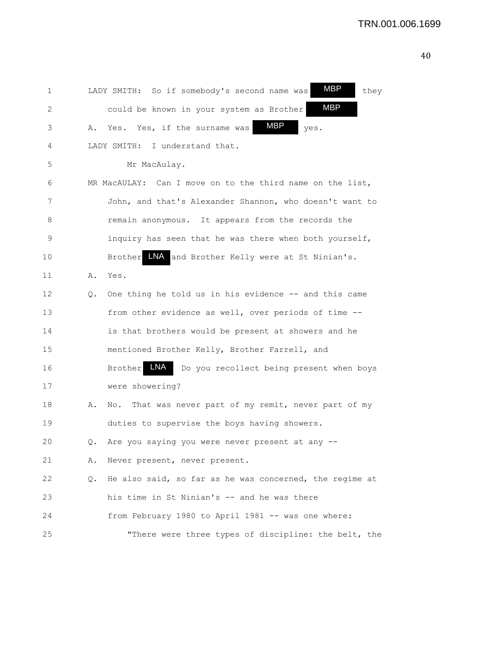1 LADY SMITH: So if somebody's second name was **MBP** they 2 could be known in your system as Brother  $\lambda$ . Yes. Yes, if the surname was  $\text{MBP}$  yes. 4 LADY SMITH: I understand that. 5 Mr MacAulay. 6 MR MacAULAY: Can I move on to the third name on the list, 7 John, and that's Alexander Shannon, who doesn't want to 8 **8** remain anonymous. It appears from the records the 9 inquiry has seen that he was there when both yourself, 10 Brother INA and Brother Kelly were at St Ninian's. 11 A. Yes. 12 Q. One thing he told us in his evidence -- and this came 13 from other evidence as well, over periods of time -- 14 is that brothers would be present at showers and he 15 mentioned Brother Kelly, Brother Farrell, and 16 Brother LNA Do you recollect being present when boys 17 were showering? 18 A. No. That was never part of my remit, never part of my 19 duties to supervise the boys having showers. 20 Q. Are you saying you were never present at any -- 21 A. Never present, never present. 22 Q. He also said, so far as he was concerned, the regime at 23 his time in St Ninian's -- and he was there 24 from February 1980 to April 1981 -- was one where: 25 "There were three types of discipline: the belt, the MBP MBP MBP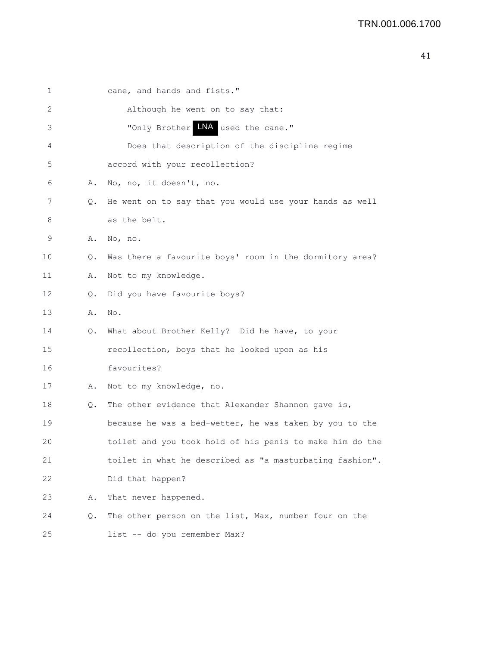| ۰<br>__ | ۰.<br>٠ |
|---------|---------|
|         |         |

| 1  |    | cane, and hands and fists."                              |
|----|----|----------------------------------------------------------|
|    |    |                                                          |
| 2  |    | Although he went on to say that:                         |
| 3  |    | "Only Brother LNA used the cane."                        |
| 4  |    | Does that description of the discipline regime           |
| 5  |    | accord with your recollection?                           |
| 6  | Α. | No, no, it doesn't, no.                                  |
| 7  | Q. | He went on to say that you would use your hands as well  |
| 8  |    | as the belt.                                             |
| 9  | Α. | No, no.                                                  |
| 10 | Q. | Was there a favourite boys' room in the dormitory area?  |
| 11 | Α. | Not to my knowledge.                                     |
| 12 | Q. | Did you have favourite boys?                             |
| 13 | Α. | No.                                                      |
| 14 | Q. | What about Brother Kelly? Did he have, to your           |
| 15 |    | recollection, boys that he looked upon as his            |
| 16 |    | favourites?                                              |
| 17 | Α. | Not to my knowledge, no.                                 |
| 18 | Q. | The other evidence that Alexander Shannon gave is,       |
| 19 |    | because he was a bed-wetter, he was taken by you to the  |
| 20 |    | toilet and you took hold of his penis to make him do the |
| 21 |    | toilet in what he described as "a masturbating fashion". |
| 22 |    | Did that happen?                                         |
| 23 | Α. | That never happened.                                     |
| 24 | Q. | The other person on the list, Max, number four on the    |
| 25 |    | list -- do you remember Max?                             |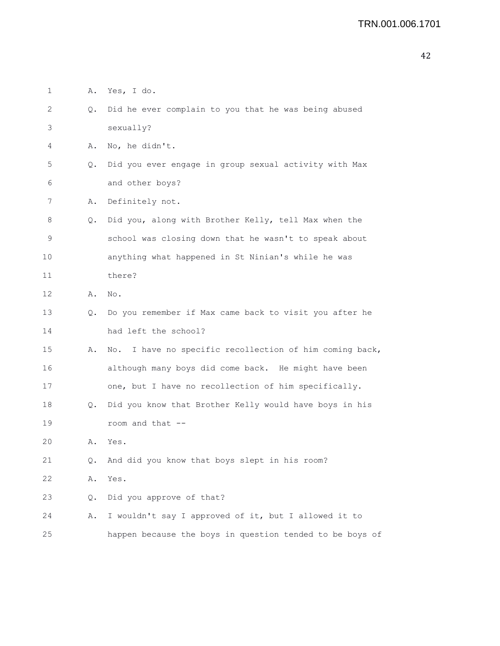| $\mathbf 1$ | Α. | Yes, I do.                                                 |
|-------------|----|------------------------------------------------------------|
| 2           | Q. | Did he ever complain to you that he was being abused       |
| 3           |    | sexually?                                                  |
| 4           | Α. | No, he didn't.                                             |
| 5           | Q. | Did you ever engage in group sexual activity with Max      |
| 6           |    | and other boys?                                            |
| 7           | Α. | Definitely not.                                            |
| 8           | Q. | Did you, along with Brother Kelly, tell Max when the       |
| 9           |    | school was closing down that he wasn't to speak about      |
| 10          |    | anything what happened in St Ninian's while he was         |
| 11          |    | there?                                                     |
| 12          | Α. | No.                                                        |
| 13          | Q. | Do you remember if Max came back to visit you after he     |
| 14          |    | had left the school?                                       |
| 15          | Α. | I have no specific recollection of him coming back,<br>No. |
| 16          |    | although many boys did come back. He might have been       |
| 17          |    | one, but I have no recollection of him specifically.       |
| 18          | Q. | Did you know that Brother Kelly would have boys in his     |
| 19          |    | room and that --                                           |
| 20          | Α. | Yes.                                                       |
| 21          | Q. | And did you know that boys slept in his room?              |
| 22          | Α. | Yes.                                                       |
| 23          | Q. | Did you approve of that?                                   |
| 24          | Α. | I wouldn't say I approved of it, but I allowed it to       |
| 25          |    | happen because the boys in question tended to be boys of   |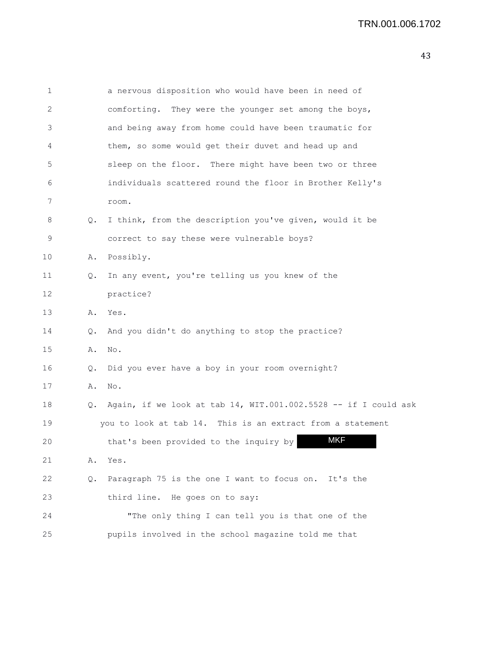| $\mathbf 1$ |       | a nervous disposition who would have been in need of            |
|-------------|-------|-----------------------------------------------------------------|
| 2           |       | comforting. They were the younger set among the boys,           |
| 3           |       | and being away from home could have been traumatic for          |
| 4           |       | them, so some would get their duvet and head up and             |
| 5           |       | sleep on the floor. There might have been two or three          |
| 6           |       | individuals scattered round the floor in Brother Kelly's        |
| 7           |       | room.                                                           |
| 8           | Q.    | I think, from the description you've given, would it be         |
| 9           |       | correct to say these were vulnerable boys?                      |
| 10          | Α.    | Possibly.                                                       |
| 11          | Q.    | In any event, you're telling us you knew of the                 |
| 12          |       | practice?                                                       |
| 13          | Α.    | Yes.                                                            |
| 14          | Q.    | And you didn't do anything to stop the practice?                |
| 15          | Α.    | No.                                                             |
| 16          | Q.    | Did you ever have a boy in your room overnight?                 |
| 17          | Α.    | No.                                                             |
| 18          | Q.    | Again, if we look at tab 14, WIT.001.002.5528 -- if I could ask |
| 19          |       | you to look at tab 14. This is an extract from a statement      |
| 20          |       | <b>MKF</b><br>that's been provided to the inquiry by            |
| 21          | Α.    | Yes.                                                            |
| 22          | $Q$ . | Paragraph 75 is the one I want to focus on. It's the            |
| 23          |       | third line. He goes on to say:                                  |
| 24          |       | "The only thing I can tell you is that one of the               |
| 25          |       | pupils involved in the school magazine told me that             |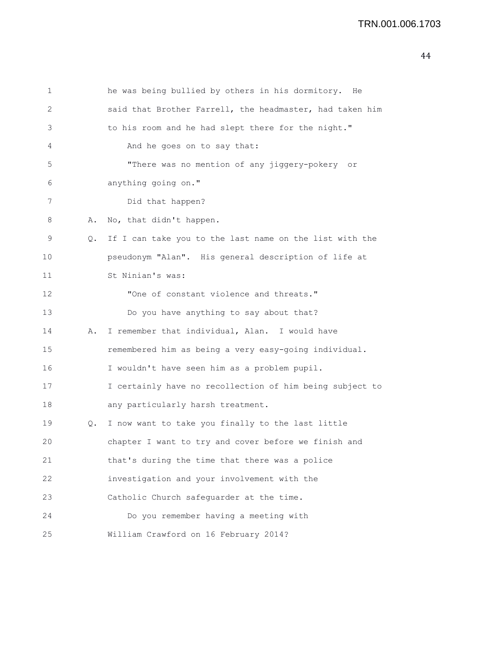```
1 he was being bullied by others in his dormitory. He
2 said that Brother Farrell, the headmaster, had taken him
3 to his room and he had slept there for the night."
4 And he goes on to say that:
5 "There was no mention of any jiggery-pokery or
6 anything going on."
7 Did that happen?
8 A. No, that didn't happen.
9 Q. If I can take you to the last name on the list with the
10 pseudonym "Alan". His general description of life at
11 St Ninian's was:
12 "One of constant violence and threats."
13 Do you have anything to say about that?
14 A. I remember that individual, Alan. I would have
15 remembered him as being a very easy-going individual.
16 I wouldn't have seen him as a problem pupil.
17 I certainly have no recollection of him being subject to
18 any particularly harsh treatment.
19 Q. I now want to take you finally to the last little
20 chapter I want to try and cover before we finish and
21 that's during the time that there was a police
22 investigation and your involvement with the
23 Catholic Church safeguarder at the time.
24 Do you remember having a meeting with
25 William Crawford on 16 February 2014?
```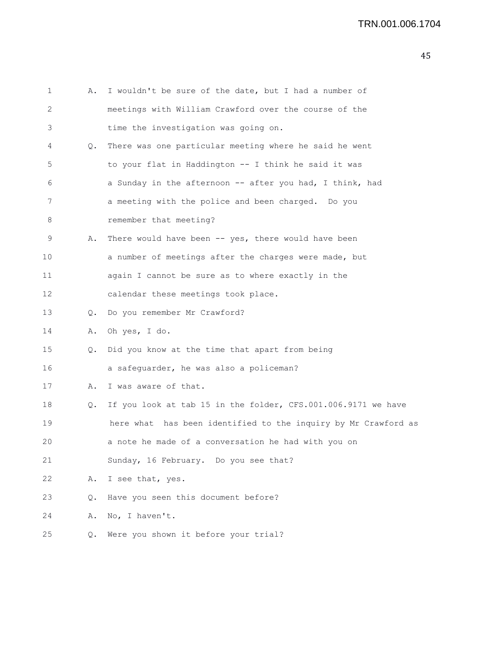| $\mathbf{1}$ | Α.    | I wouldn't be sure of the date, but I had a number of          |
|--------------|-------|----------------------------------------------------------------|
| 2            |       | meetings with William Crawford over the course of the          |
| 3            |       | time the investigation was going on.                           |
| 4            | Q.    | There was one particular meeting where he said he went         |
| 5            |       | to your flat in Haddington -- I think he said it was           |
| 6            |       | a Sunday in the afternoon -- after you had, I think, had       |
| 7            |       | a meeting with the police and been charged. Do you             |
| 8            |       | remember that meeting?                                         |
| 9            | Α.    | There would have been $--$ yes, there would have been          |
| 10           |       | a number of meetings after the charges were made, but          |
| 11           |       | again I cannot be sure as to where exactly in the              |
| 12           |       | calendar these meetings took place.                            |
| 13           | Q.    | Do you remember Mr Crawford?                                   |
| 14           | Α.    | Oh yes, I do.                                                  |
| 15           | Q.    | Did you know at the time that apart from being                 |
| 16           |       | a safeguarder, he was also a policeman?                        |
| 17           | Α.    | I was aware of that.                                           |
| 18           | Q.    | If you look at tab 15 in the folder, CFS.001.006.9171 we have  |
| 19           |       | here what has been identified to the inquiry by Mr Crawford as |
| 20           |       | a note he made of a conversation he had with you on            |
| 21           |       | Sunday, 16 February. Do you see that?                          |
| 22           | Α.    | I see that, yes.                                               |
| 23           | $Q$ . | Have you seen this document before?                            |
| 24           | Α.    | No, I haven't.                                                 |
| 25           | Q.    | Were you shown it before your trial?                           |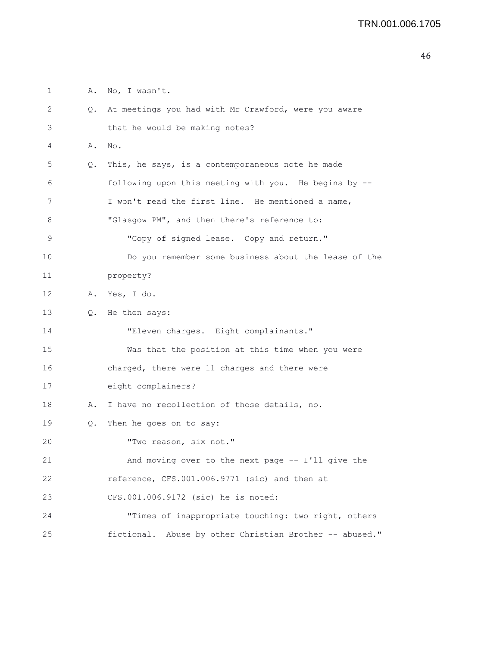1 A. No, I wasn't. 2 Q. At meetings you had with Mr Crawford, were you aware 3 that he would be making notes? 4 A. No. 5 Q. This, he says, is a contemporaneous note he made 6 following upon this meeting with you. He begins by -- 7 I won't read the first line. He mentioned a name, 8 "Glasgow PM", and then there's reference to: 9 "Copy of signed lease. Copy and return." 10 Do you remember some business about the lease of the 11 property? 12 A. Yes, I do. 13 Q. He then says: 14 "Eleven charges. Eight complainants." 15 Was that the position at this time when you were 16 charged, there were 11 charges and there were 17 eight complainers? 18 A. I have no recollection of those details, no. 19 Q. Then he goes on to say: 20 "Two reason, six not." 21 And moving over to the next page -- I'll give the 22 reference, CFS.001.006.9771 (sic) and then at 23 CFS.001.006.9172 (sic) he is noted: 24 "Times of inappropriate touching: two right, others 25 fictional. Abuse by other Christian Brother -- abused."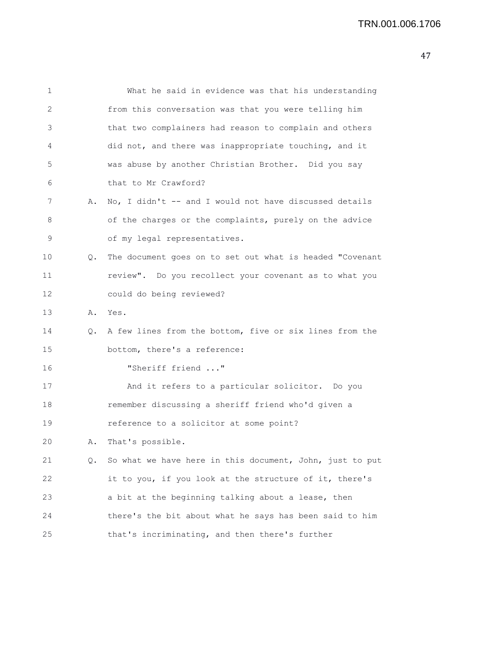| 1  |    | What he said in evidence was that his understanding      |
|----|----|----------------------------------------------------------|
| 2  |    | from this conversation was that you were telling him     |
| 3  |    | that two complainers had reason to complain and others   |
| 4  |    | did not, and there was inappropriate touching, and it    |
| 5  |    | was abuse by another Christian Brother. Did you say      |
| 6  |    | that to Mr Crawford?                                     |
| 7  | Α. | No, I didn't -- and I would not have discussed details   |
| 8  |    | of the charges or the complaints, purely on the advice   |
| 9  |    | of my legal representatives.                             |
| 10 | Q. | The document goes on to set out what is headed "Covenant |
| 11 |    | review". Do you recollect your covenant as to what you   |
| 12 |    | could do being reviewed?                                 |
| 13 | Α. | Yes.                                                     |
| 14 | Q. | A few lines from the bottom, five or six lines from the  |
| 15 |    | bottom, there's a reference:                             |
| 16 |    | "Sheriff friend "                                        |
| 17 |    | And it refers to a particular solicitor. Do you          |
| 18 |    | remember discussing a sheriff friend who'd given a       |
| 19 |    | reference to a solicitor at some point?                  |
| 20 | Α. | That's possible.                                         |
| 21 | Q. | So what we have here in this document, John, just to put |
| 22 |    | it to you, if you look at the structure of it, there's   |
| 23 |    | a bit at the beginning talking about a lease, then       |
| 24 |    | there's the bit about what he says has been said to him  |
| 25 |    | that's incriminating, and then there's further           |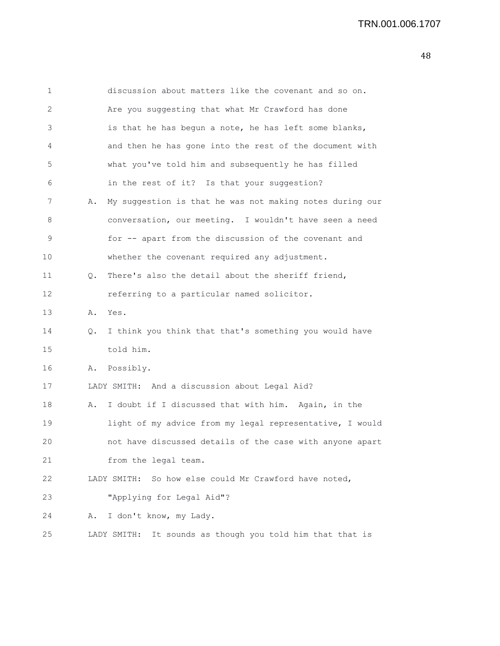| $\mathbf 1$ |    | discussion about matters like the covenant and so on.        |
|-------------|----|--------------------------------------------------------------|
| 2           |    | Are you suggesting that what Mr Crawford has done            |
| 3           |    | is that he has begun a note, he has left some blanks,        |
| 4           |    | and then he has gone into the rest of the document with      |
| 5           |    | what you've told him and subsequently he has filled          |
| 6           |    | in the rest of it? Is that your suggestion?                  |
| 7           | Α. | My suggestion is that he was not making notes during our     |
| 8           |    | conversation, our meeting. I wouldn't have seen a need       |
| 9           |    | for -- apart from the discussion of the covenant and         |
| 10          |    | whether the covenant required any adjustment.                |
| 11          | Q. | There's also the detail about the sheriff friend,            |
| 12          |    | referring to a particular named solicitor.                   |
| 13          | Α. | Yes.                                                         |
| 14          | Q. | I think you think that that's something you would have       |
| 15          |    | told him.                                                    |
| 16          | Α. | Possibly.                                                    |
| 17          |    | LADY SMITH: And a discussion about Legal Aid?                |
| 18          | Α. | I doubt if I discussed that with him. Again, in the          |
| 19          |    | light of my advice from my legal representative, I would     |
| 20          |    | not have discussed details of the case with anyone apart     |
| 21          |    | from the legal team.                                         |
| 22          |    | So how else could Mr Crawford have noted,<br>LADY SMITH:     |
| 23          |    | "Applying for Legal Aid"?                                    |
| 24          | Α. | I don't know, my Lady.                                       |
| 25          |    | It sounds as though you told him that that is<br>LADY SMITH: |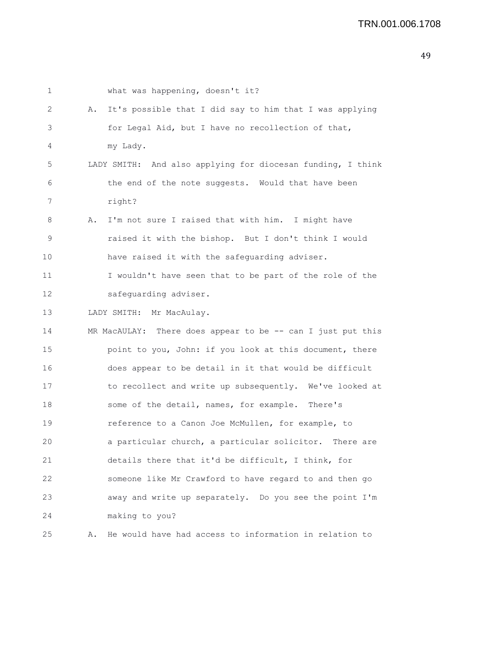| 1  |    | what was happening, doesn't it?                             |
|----|----|-------------------------------------------------------------|
| 2  | Α. | It's possible that I did say to him that I was applying     |
| 3  |    | for Legal Aid, but I have no recollection of that,          |
| 4  |    | my Lady.                                                    |
| 5  |    | LADY SMITH: And also applying for diocesan funding, I think |
| 6  |    | the end of the note suggests. Would that have been          |
| 7  |    | right?                                                      |
| 8  | Α. | I'm not sure I raised that with him. I might have           |
| 9  |    | raised it with the bishop. But I don't think I would        |
| 10 |    | have raised it with the safeguarding adviser.               |
| 11 |    | I wouldn't have seen that to be part of the role of the     |
| 12 |    | safeguarding adviser.                                       |
| 13 |    | LADY SMITH: Mr MacAulay.                                    |
| 14 |    | MR MacAULAY: There does appear to be -- can I just put this |
| 15 |    | point to you, John: if you look at this document, there     |
| 16 |    | does appear to be detail in it that would be difficult      |
| 17 |    | to recollect and write up subsequently. We've looked at     |
| 18 |    | some of the detail, names, for example. There's             |
| 19 |    | reference to a Canon Joe McMullen, for example, to          |
| 20 |    | a particular church, a particular solicitor. There are      |
| 21 |    | details there that it'd be difficult, I think, for          |
| 22 |    | someone like Mr Crawford to have regard to and then go      |
| 23 |    | away and write up separately. Do you see the point I'm      |
| 24 |    | making to you?                                              |
| 25 | Α. | He would have had access to information in relation to      |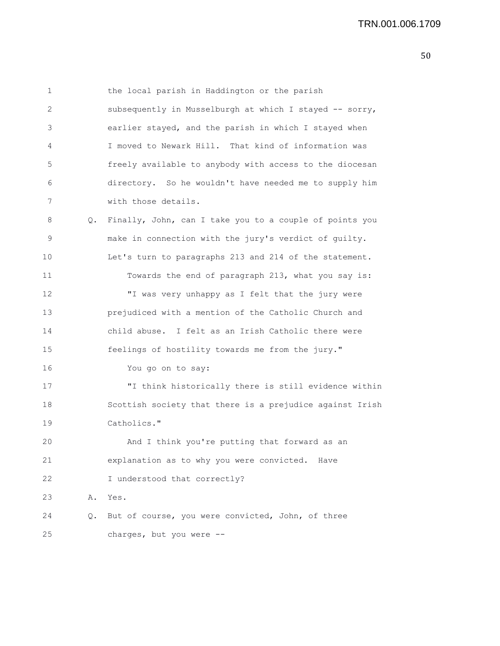1 the local parish in Haddington or the parish 2 subsequently in Musselburgh at which I stayed -- sorry, 3 earlier stayed, and the parish in which I stayed when 4 I moved to Newark Hill. That kind of information was 5 freely available to anybody with access to the diocesan 6 directory. So he wouldn't have needed me to supply him 7 with those details. 8 Q. Finally, John, can I take you to a couple of points you 9 make in connection with the jury's verdict of guilty. 10 Let's turn to paragraphs 213 and 214 of the statement. 11 Towards the end of paragraph 213, what you say is: 12 "I was very unhappy as I felt that the jury were 13 prejudiced with a mention of the Catholic Church and 14 child abuse. I felt as an Irish Catholic there were

15 feelings of hostility towards me from the jury."

16 You go on to say:

17 "I think historically there is still evidence within 18 Scottish society that there is a prejudice against Irish 19 Catholics."

20 And I think you're putting that forward as an 21 explanation as to why you were convicted. Have 22 I understood that correctly?

23 A. Yes.

24 Q. But of course, you were convicted, John, of three 25 charges, but you were --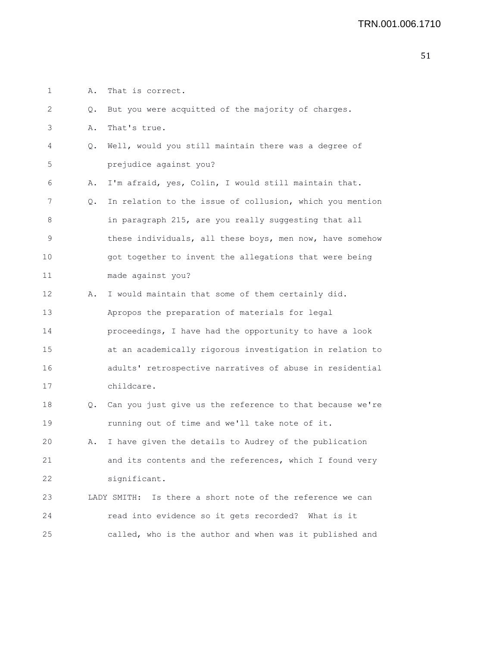1 A. That is correct.

| 2                 | Q.            | But you were acquitted of the majority of charges.           |
|-------------------|---------------|--------------------------------------------------------------|
| 3                 | Α.            | That's true.                                                 |
| 4                 | Q.            | Well, would you still maintain there was a degree of         |
| 5                 |               | prejudice against you?                                       |
| 6                 | Α.            | I'm afraid, yes, Colin, I would still maintain that.         |
| 7                 | Q.            | In relation to the issue of collusion, which you mention     |
| 8                 |               | in paragraph 215, are you really suggesting that all         |
| 9                 |               | these individuals, all these boys, men now, have somehow     |
| 10                |               | got together to invent the allegations that were being       |
| 11                |               | made against you?                                            |
| $12 \overline{ }$ | Α.            | I would maintain that some of them certainly did.            |
| 13                |               | Apropos the preparation of materials for legal               |
| 14                |               | proceedings, I have had the opportunity to have a look       |
| 15                |               | at an academically rigorous investigation in relation to     |
| 16                |               | adults' retrospective narratives of abuse in residential     |
| 17                |               | childcare.                                                   |
| 18                | $Q_{\bullet}$ | Can you just give us the reference to that because we're     |
| 19                |               | running out of time and we'll take note of it.               |
| 20                | Α.            | I have given the details to Audrey of the publication        |
| 21                |               | and its contents and the references, which I found very      |
| 22                |               | significant.                                                 |
| 23                |               | Is there a short note of the reference we can<br>LADY SMITH: |
| 24                |               | read into evidence so it gets recorded? What is it           |
| 25                |               | called, who is the author and when was it published and      |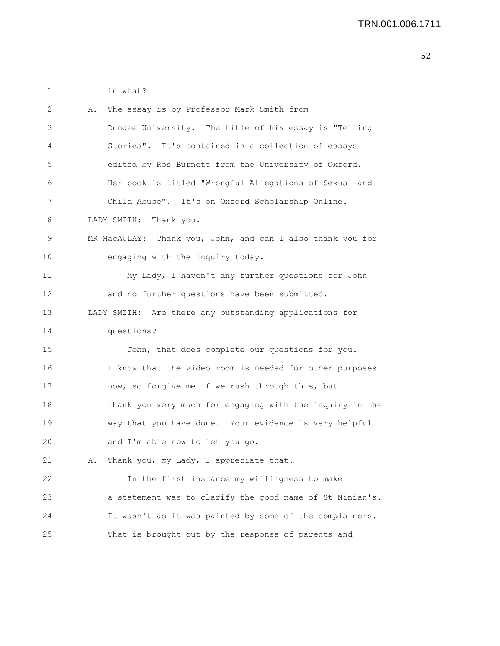1 in what?

| 2  | The essay is by Professor Mark Smith from<br>Α.            |
|----|------------------------------------------------------------|
| 3  | Dundee University. The title of his essay is "Telling      |
| 4  | Stories". It's contained in a collection of essays         |
| 5  | edited by Ros Burnett from the University of Oxford.       |
| 6  | Her book is titled "Wrongful Allegations of Sexual and     |
| 7  | Child Abuse". It's on Oxford Scholarship Online.           |
| 8  | LADY SMITH: Thank you.                                     |
| 9  | MR MacAULAY: Thank you, John, and can I also thank you for |
| 10 | engaging with the inquiry today.                           |
| 11 | My Lady, I haven't any further questions for John          |
| 12 | and no further questions have been submitted.              |
| 13 | LADY SMITH: Are there any outstanding applications for     |
| 14 | questions?                                                 |
| 15 | John, that does complete our questions for you.            |
| 16 | I know that the video room is needed for other purposes    |
| 17 | now, so forgive me if we rush through this, but            |
| 18 | thank you very much for engaging with the inquiry in the   |
| 19 | way that you have done. Your evidence is very helpful      |
| 20 | and I'm able now to let you go.                            |
| 21 | Thank you, my Lady, I appreciate that.<br>Α.               |
| 22 | In the first instance my willingness to make               |
| 23 | a statement was to clarify the good name of St Ninian's.   |
| 24 | It wasn't as it was painted by some of the complainers.    |
| 25 | That is brought out by the response of parents and         |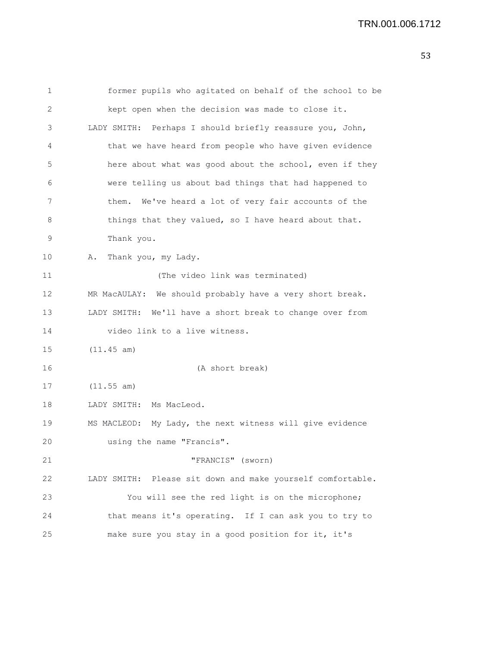```
1 former pupils who agitated on behalf of the school to be
2 kept open when the decision was made to close it.
3 LADY SMITH: Perhaps I should briefly reassure you, John,
4 that we have heard from people who have given evidence
5 here about what was good about the school, even if they
6 were telling us about bad things that had happened to
7 them. We've heard a lot of very fair accounts of the
8 things that they valued, so I have heard about that.
9 Thank you.
10 A. Thank you, my Lady.
11 (The video link was terminated)
12 MR MacAULAY: We should probably have a very short break.
13 LADY SMITH: We'll have a short break to change over from
14 video link to a live witness.
15 (11.45 am)
16 (A short break)
17 (11.55 am)
18 LADY SMITH: Ms MacLeod.
19 MS MACLEOD: My Lady, the next witness will give evidence
20 using the name "Francis".
21 "FRANCIS" (sworn)
22 LADY SMITH: Please sit down and make yourself comfortable.
23 You will see the red light is on the microphone;
24 that means it's operating. If I can ask you to try to
25 make sure you stay in a good position for it, it's
```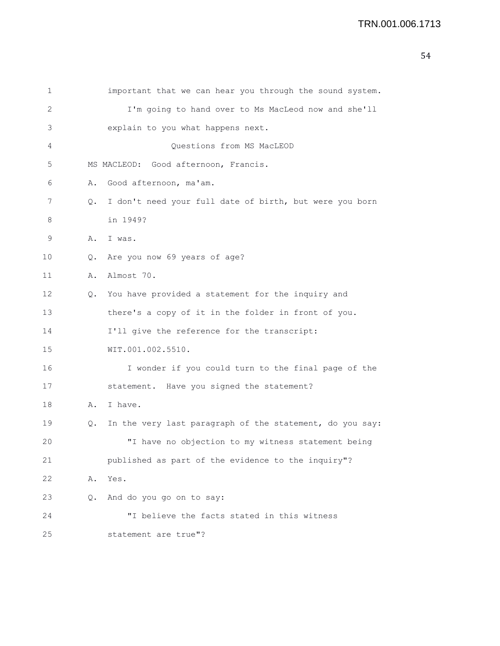| 1  |           | important that we can hear you through the sound system. |
|----|-----------|----------------------------------------------------------|
| 2  |           | I'm going to hand over to Ms MacLeod now and she'll      |
| 3  |           | explain to you what happens next.                        |
| 4  |           | Questions from MS MacLEOD                                |
| 5  |           | MS MACLEOD: Good afternoon, Francis.                     |
| 6  | Α.        | Good afternoon, ma'am.                                   |
| 7  | Q.        | I don't need your full date of birth, but were you born  |
| 8  |           | in 1949?                                                 |
| 9  | Α.        | I was.                                                   |
| 10 | $\circ$ . | Are you now 69 years of age?                             |
| 11 | Α.        | Almost 70.                                               |
| 12 | $\circ$ . | You have provided a statement for the inquiry and        |
| 13 |           | there's a copy of it in the folder in front of you.      |
| 14 |           | I'll give the reference for the transcript:              |
| 15 |           | WIT.001.002.5510.                                        |
| 16 |           | I wonder if you could turn to the final page of the      |
| 17 |           | statement. Have you signed the statement?                |
| 18 | Α.        | I have.                                                  |
| 19 | О.        | In the very last paragraph of the statement, do you say: |
| 20 |           | "I have no objection to my witness statement being       |
| 21 |           | published as part of the evidence to the inquiry"?       |
| 22 | Α.        | Yes.                                                     |
| 23 | Q.        | And do you go on to say:                                 |
| 24 |           | "I believe the facts stated in this witness              |
| 25 |           | statement are true"?                                     |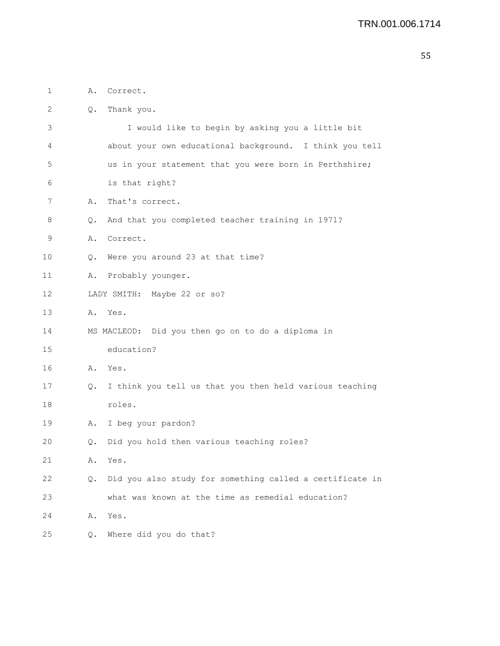| 1  | Α. | Correct.                                                 |
|----|----|----------------------------------------------------------|
| 2  | Q. | Thank you.                                               |
| 3  |    | I would like to begin by asking you a little bit         |
| 4  |    | about your own educational background. I think you tell  |
| 5  |    | us in your statement that you were born in Perthshire;   |
| 6  |    | is that right?                                           |
| 7  | Α. | That's correct.                                          |
| 8  | Q. | And that you completed teacher training in 1971?         |
| 9  | Α. | Correct.                                                 |
| 10 | Q. | Were you around 23 at that time?                         |
| 11 | Α. | Probably younger.                                        |
| 12 |    | LADY SMITH: Maybe 22 or so?                              |
| 13 | Α. | Yes.                                                     |
| 14 |    | MS MACLEOD: Did you then go on to do a diploma in        |
| 15 |    | education?                                               |
| 16 | Α. | Yes.                                                     |
| 17 | Q. | I think you tell us that you then held various teaching  |
| 18 |    | roles.                                                   |
| 19 | Α. | I beg your pardon?                                       |
| 20 | О. | Did you hold then various teaching roles?                |
| 21 | Α. | Yes.                                                     |
| 22 | Q. | Did you also study for something called a certificate in |
| 23 |    | what was known at the time as remedial education?        |
| 24 | Α. | Yes.                                                     |
| 25 | Q. | Where did you do that?                                   |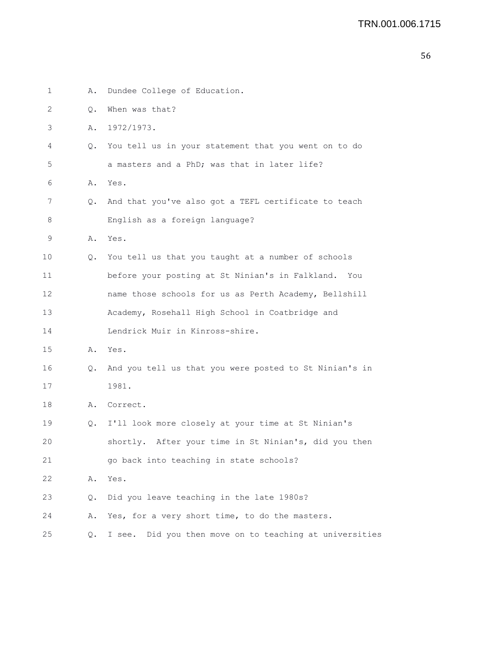| 1  | Α. | Dundee College of Education.                               |
|----|----|------------------------------------------------------------|
| 2  | Q. | When was that?                                             |
| 3  | Α. | 1972/1973.                                                 |
| 4  | Q. | You tell us in your statement that you went on to do       |
| 5  |    | a masters and a PhD; was that in later life?               |
| 6  |    | A. Yes.                                                    |
| 7  | Q. | And that you've also got a TEFL certificate to teach       |
| 8  |    | English as a foreign language?                             |
| 9  | Α. | Yes.                                                       |
| 10 | Q. | You tell us that you taught at a number of schools         |
| 11 |    | before your posting at St Ninian's in Falkland.<br>You     |
| 12 |    | name those schools for us as Perth Academy, Bellshill      |
| 13 |    | Academy, Rosehall High School in Coatbridge and            |
| 14 |    | Lendrick Muir in Kinross-shire.                            |
| 15 | Α. | Yes.                                                       |
| 16 | Q. | And you tell us that you were posted to St Ninian's in     |
| 17 |    | 1981.                                                      |
| 18 | Α. | Correct.                                                   |
| 19 | Q. | I'll look more closely at your time at St Ninian's         |
| 20 |    | shortly. After your time in St Ninian's, did you then      |
| 21 |    | go back into teaching in state schools?                    |
| 22 | Α. | Yes.                                                       |
| 23 | Q. | Did you leave teaching in the late 1980s?                  |
| 24 | Α. | Yes, for a very short time, to do the masters.             |
| 25 | Q. | Did you then move on to teaching at universities<br>I see. |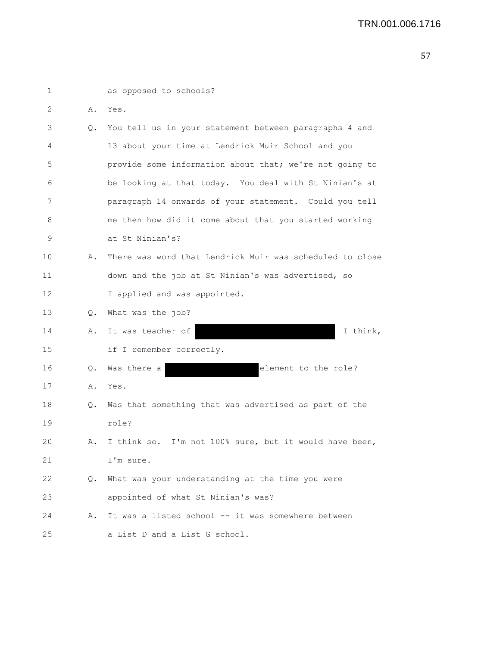| 1  |           | as opposed to schools?                                   |
|----|-----------|----------------------------------------------------------|
| 2  | Α.        | Yes.                                                     |
| 3  | $\circ$ . | You tell us in your statement between paragraphs 4 and   |
| 4  |           | 13 about your time at Lendrick Muir School and you       |
| 5  |           | provide some information about that; we're not going to  |
| 6  |           | be looking at that today. You deal with St Ninian's at   |
| 7  |           | paragraph 14 onwards of your statement. Could you tell   |
| 8  |           | me then how did it come about that you started working   |
| 9  |           | at St Ninian's?                                          |
| 10 | Α.        | There was word that Lendrick Muir was scheduled to close |
| 11 |           | down and the job at St Ninian's was advertised, so       |
| 12 |           | I applied and was appointed.                             |
| 13 | Q.        | What was the job?                                        |
| 14 | Α.        | It was teacher of<br>I think,                            |
| 15 |           | if I remember correctly.                                 |
| 16 | Q.        | Was there a<br>element to the role?                      |
| 17 | Α.        | Yes.                                                     |
| 18 | Q.        | Was that something that was advertised as part of the    |
| 19 |           | role?                                                    |
| 20 | Α.        | I think so. I'm not 100% sure, but it would have been,   |
| 21 |           | I'm sure.                                                |
| 22 | Q.        | What was your understanding at the time you were         |
| 23 |           | appointed of what St Ninian's was?                       |
| 24 | Α.        | It was a listed school -- it was somewhere between       |
| 25 |           | a List D and a List G school.                            |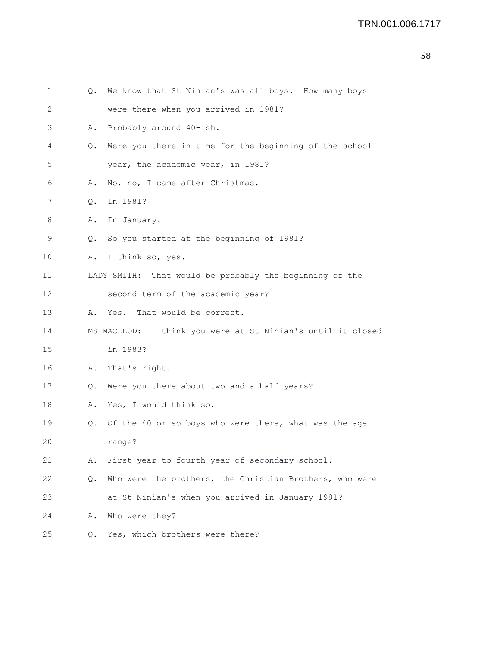| 1       | Q. | We know that St Ninian's was all boys. How many boys        |
|---------|----|-------------------------------------------------------------|
| 2       |    | were there when you arrived in 1981?                        |
| 3       | Α. | Probably around 40-ish.                                     |
| 4       | Q. | Were you there in time for the beginning of the school      |
| 5       |    | year, the academic year, in 1981?                           |
| 6       | Α. | No, no, I came after Christmas.                             |
| 7       | Q. | In 1981?                                                    |
| 8       | Α. | In January.                                                 |
| 9       | Q. | So you started at the beginning of 1981?                    |
| $10 \,$ | Α. | I think so, yes.                                            |
| 11      |    | LADY SMITH: That would be probably the beginning of the     |
| 12      |    | second term of the academic year?                           |
| 13      | Α. | That would be correct.<br>Yes.                              |
| 14      |    | MS MACLEOD: I think you were at St Ninian's until it closed |
| 15      |    | in 1983?                                                    |
| 16      | Α. | That's right.                                               |
| 17      | Q. | Were you there about two and a half years?                  |
| 18      | Α. | Yes, I would think so.                                      |
| 19      | Q. | Of the 40 or so boys who were there, what was the age       |
| 20      |    | range?                                                      |
| 21      | Α. | First year to fourth year of secondary school.              |
| 22      | Q. | Who were the brothers, the Christian Brothers, who were     |
| 23      |    | at St Ninian's when you arrived in January 1981?            |
| 24      | Α. | Who were they?                                              |
| 25      | Q. | Yes, which brothers were there?                             |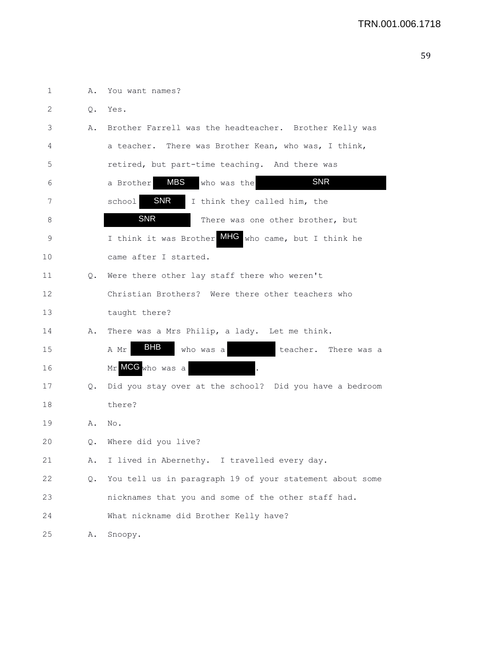| 1  | Α.    | You want names?                                          |
|----|-------|----------------------------------------------------------|
| 2  | $Q$ . | Yes.                                                     |
| 3  | Α.    | Brother Farrell was the headteacher. Brother Kelly was   |
| 4  |       | a teacher. There was Brother Kean, who was, I think,     |
| 5  |       | retired, but part-time teaching. And there was           |
| 6  |       | <b>SNR</b><br><b>MBS</b><br>who was the<br>a Brother     |
| 7  |       | SNR<br>school<br>I think they called him, the            |
| 8  |       | <b>SNR</b><br>There was one other brother, but           |
| 9  |       | I think it was Brother MHC who came, but I think he      |
| 10 |       | came after I started.                                    |
| 11 |       | Q. Were there other lay staff there who weren't          |
| 12 |       | Christian Brothers? Were there other teachers who        |
| 13 |       | taught there?                                            |
| 14 | Α.    | There was a Mrs Philip, a lady. Let me think.            |
| 15 |       | <b>BHB</b><br>who was a<br>A Mr<br>teacher. There was a  |
| 16 |       | Mr MCG who was a                                         |
| 17 | Q.    | Did you stay over at the school? Did you have a bedroom  |
| 18 |       | there?                                                   |
| 19 | Α.    | No.                                                      |
| 20 |       | Q. Where did you live?                                   |
| 21 | Α.    | I lived in Abernethy. I travelled every day.             |
| 22 | Q.    | You tell us in paragraph 19 of your statement about some |
| 23 |       | nicknames that you and some of the other staff had.      |
| 24 |       | What nickname did Brother Kelly have?                    |
| 25 | Α.    | Snoopy.                                                  |
|    |       |                                                          |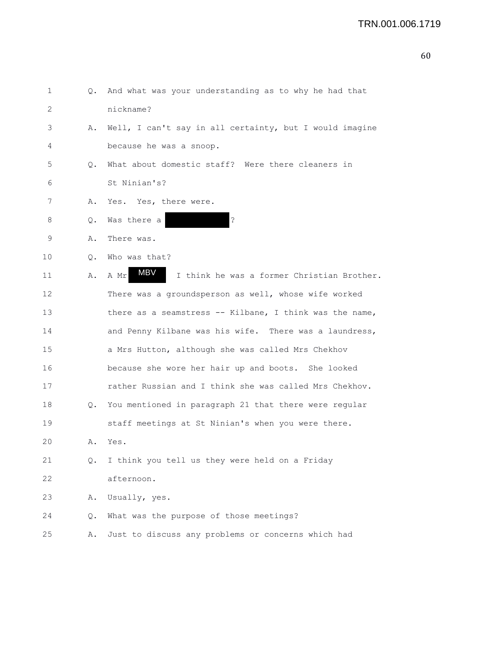| 1               |       | Q. And what was your understanding as to why he had that  |
|-----------------|-------|-----------------------------------------------------------|
| 2               |       | nickname?                                                 |
| 3               | Α.    | Well, I can't say in all certainty, but I would imagine   |
| 4               |       | because he was a snoop.                                   |
| 5               | Q.    | What about domestic staff? Were there cleaners in         |
| 6               |       | St Ninian's?                                              |
| 7               | Α.    | Yes. Yes, there were.                                     |
| 8               | Q.    | $\mathbf{S}$<br>Was there a                               |
| 9               | Α.    | There was.                                                |
| 10              | О.    | Who was that?                                             |
| 11              | Α.    | MBV<br>I think he was a former Christian Brother.<br>A Mr |
| 12 <sup>2</sup> |       | There was a groundsperson as well, whose wife worked      |
| 13              |       | there as a seamstress -- Kilbane, I think was the name,   |
| 14              |       | and Penny Kilbane was his wife. There was a laundress,    |
| 15              |       | a Mrs Hutton, although she was called Mrs Chekhov         |
| 16              |       | because she wore her hair up and boots. She looked        |
| 17              |       | rather Russian and I think she was called Mrs Chekhov.    |
| 18              | Q.    | You mentioned in paragraph 21 that there were regular     |
| 19              |       | staff meetings at St Ninian's when you were there.        |
| 20              | Α.    | Yes.                                                      |
| 21              | $Q$ . | I think you tell us they were held on a Friday            |
| 22              |       | afternoon.                                                |
| 23              | Α.    | Usually, yes.                                             |
| 24              | Q.    | What was the purpose of those meetings?                   |
| 25              | Α.    | Just to discuss any problems or concerns which had        |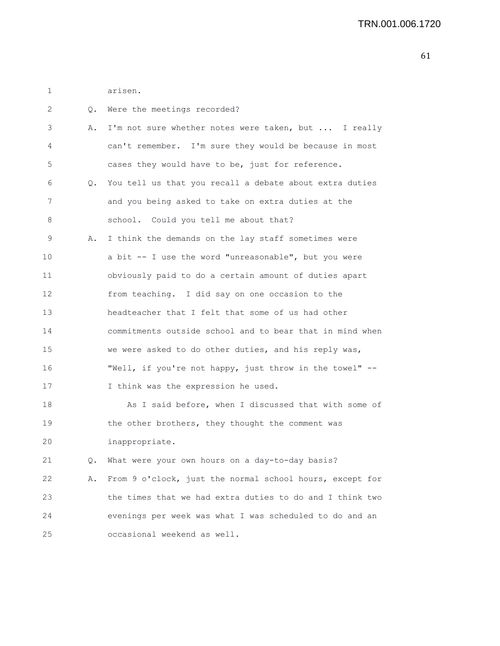| arisen. |
|---------|
|         |

| 2               | Q. | Were the meetings recorded?                              |
|-----------------|----|----------------------------------------------------------|
| 3               | Α. | I'm not sure whether notes were taken, but  I really     |
| 4               |    | can't remember. I'm sure they would be because in most   |
| 5               |    | cases they would have to be, just for reference.         |
| 6               | Q. | You tell us that you recall a debate about extra duties  |
| 7               |    | and you being asked to take on extra duties at the       |
| 8               |    | school. Could you tell me about that?                    |
| 9               | Α. | I think the demands on the lay staff sometimes were      |
| 10              |    | a bit -- I use the word "unreasonable", but you were     |
| 11              |    | obviously paid to do a certain amount of duties apart    |
| 12 <sup>2</sup> |    | from teaching. I did say on one occasion to the          |
| 13              |    | headteacher that I felt that some of us had other        |
| 14              |    | commitments outside school and to bear that in mind when |
| 15              |    | we were asked to do other duties, and his reply was,     |
| 16              |    | "Well, if you're not happy, just throw in the towel" --  |
| 17              |    | I think was the expression he used.                      |
| 18              |    | As I said before, when I discussed that with some of     |
| 19              |    | the other brothers, they thought the comment was         |
| 20              |    | inappropriate.                                           |
| 21              | Q. | What were your own hours on a day-to-day basis?          |
| 22              | Α. | From 9 o'clock, just the normal school hours, except for |
| 23              |    | the times that we had extra duties to do and I think two |
| 24              |    | evenings per week was what I was scheduled to do and an  |
| 25              |    | occasional weekend as well.                              |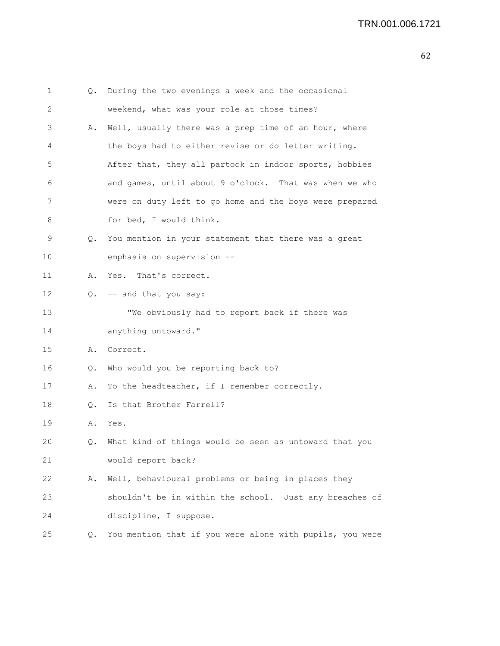| 1  | Q. | During the two evenings a week and the occasional        |
|----|----|----------------------------------------------------------|
| 2  |    | weekend, what was your role at those times?              |
| 3  | Α. | Well, usually there was a prep time of an hour, where    |
| 4  |    | the boys had to either revise or do letter writing.      |
| 5  |    | After that, they all partook in indoor sports, hobbies   |
| 6  |    | and games, until about 9 o'clock. That was when we who   |
| 7  |    | were on duty left to go home and the boys were prepared  |
| 8  |    | for bed, I would think.                                  |
| 9  | 0. | You mention in your statement that there was a great     |
| 10 |    | emphasis on supervision --                               |
| 11 | Α. | Yes. That's correct.                                     |
| 12 | Q. | -- and that you say:                                     |
| 13 |    | "We obviously had to report back if there was            |
| 14 |    | anything untoward."                                      |
| 15 | Α. | Correct.                                                 |
| 16 | Q. | Who would you be reporting back to?                      |
| 17 | Α. | To the headteacher, if I remember correctly.             |
| 18 | О. | Is that Brother Farrell?                                 |
| 19 | Α. | Yes.                                                     |
| 20 | О. | What kind of things would be seen as untoward that you   |
| 21 |    | would report back?                                       |
| 22 | Α. | Well, behavioural problems or being in places they       |
| 23 |    | shouldn't be in within the school. Just any breaches of  |
| 24 |    | discipline, I suppose.                                   |
| 25 | Q. | You mention that if you were alone with pupils, you were |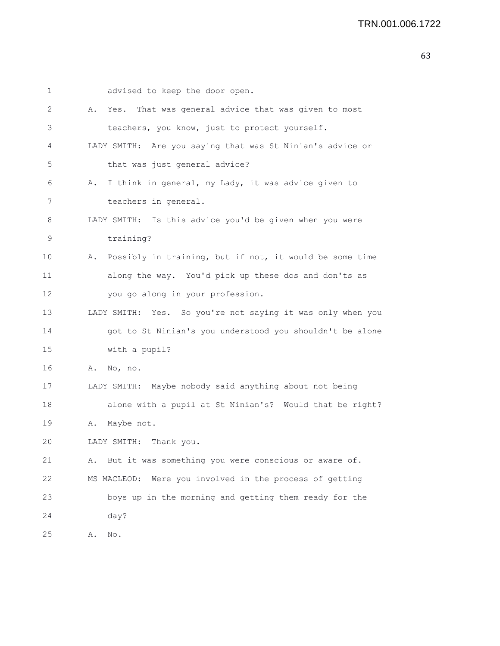| 1  |    | advised to keep the door open.                             |
|----|----|------------------------------------------------------------|
| 2  |    | A. Yes. That was general advice that was given to most     |
| 3  |    | teachers, you know, just to protect yourself.              |
| 4  |    | LADY SMITH: Are you saying that was St Ninian's advice or  |
| 5  |    | that was just general advice?                              |
| 6  | Α. | I think in general, my Lady, it was advice given to        |
| 7  |    | teachers in general.                                       |
| 8  |    | LADY SMITH: Is this advice you'd be given when you were    |
| 9  |    | training?                                                  |
| 10 | Α. | Possibly in training, but if not, it would be some time    |
| 11 |    | along the way. You'd pick up these dos and don'ts as       |
| 12 |    | you go along in your profession.                           |
| 13 |    | LADY SMITH: Yes. So you're not saying it was only when you |
| 14 |    | got to St Ninian's you understood you shouldn't be alone   |
| 15 |    | with a pupil?                                              |
| 16 | Α. | No, no.                                                    |
| 17 |    | LADY SMITH: Maybe nobody said anything about not being     |
| 18 |    | alone with a pupil at St Ninian's? Would that be right?    |
| 19 | Α. | Maybe not.                                                 |
| 20 |    | LADY SMITH: Thank you.                                     |
| 21 | Α. | But it was something you were conscious or aware of.       |
| 22 |    | Were you involved in the process of getting<br>MS MACLEOD: |
| 23 |    | boys up in the morning and getting them ready for the      |
| 24 |    | day?                                                       |
| 25 | Α. | No.                                                        |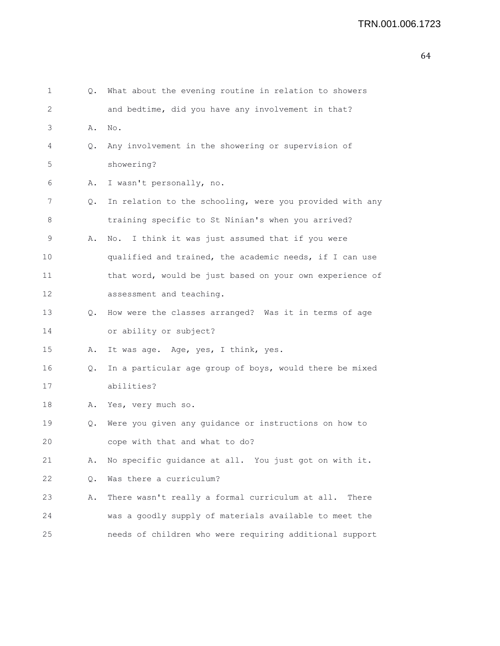| 1  | Q.        | What about the evening routine in relation to showers    |
|----|-----------|----------------------------------------------------------|
| 2  |           | and bedtime, did you have any involvement in that?       |
| 3  | Α.        | No.                                                      |
| 4  | Q.        | Any involvement in the showering or supervision of       |
| 5  |           | showering?                                               |
| 6  | Α.        | I wasn't personally, no.                                 |
| 7  | $\circ$ . | In relation to the schooling, were you provided with any |
| 8  |           | training specific to St Ninian's when you arrived?       |
| 9  | Α.        | I think it was just assumed that if you were<br>No.      |
| 10 |           | qualified and trained, the academic needs, if I can use  |
| 11 |           | that word, would be just based on your own experience of |
| 12 |           | assessment and teaching.                                 |
| 13 | Q.        | How were the classes arranged? Was it in terms of age    |
| 14 |           | or ability or subject?                                   |
| 15 | Α.        | It was age. Age, yes, I think, yes.                      |
| 16 | Q.        | In a particular age group of boys, would there be mixed  |
| 17 |           | abilities?                                               |
| 18 | Α.        | Yes, very much so.                                       |
| 19 | Q.        | Were you given any guidance or instructions on how to    |
| 20 |           | cope with that and what to do?                           |
| 21 | Α.        | No specific guidance at all. You just got on with it.    |
| 22 | Q.        | Was there a curriculum?                                  |
| 23 | Α.        | There wasn't really a formal curriculum at all.<br>There |
| 24 |           | was a goodly supply of materials available to meet the   |
| 25 |           | needs of children who were requiring additional support  |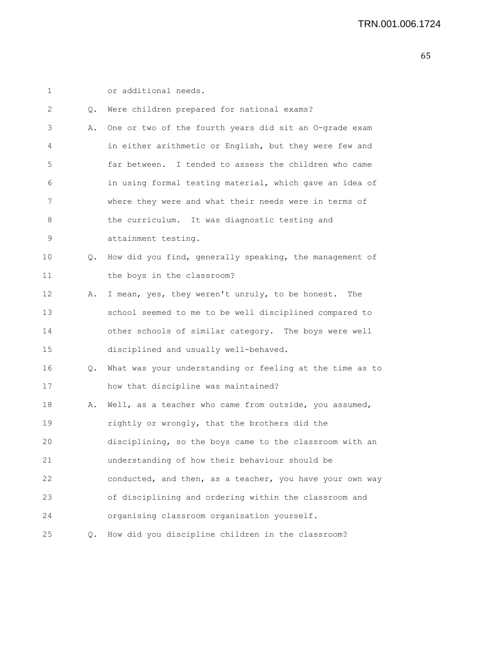1 or additional needs.

| 2  | Q.            | Were children prepared for national exams?               |
|----|---------------|----------------------------------------------------------|
| 3  | Α.            | One or two of the fourth years did sit an O-grade exam   |
| 4  |               | in either arithmetic or English, but they were few and   |
| 5  |               | far between. I tended to assess the children who came    |
| 6  |               | in using formal testing material, which gave an idea of  |
| 7  |               | where they were and what their needs were in terms of    |
| 8  |               | the curriculum. It was diagnostic testing and            |
| 9  |               | attainment testing.                                      |
| 10 | $Q_{\bullet}$ | How did you find, generally speaking, the management of  |
| 11 |               | the boys in the classroom?                               |
| 12 | Α.            | I mean, yes, they weren't unruly, to be honest.<br>The   |
| 13 |               | school seemed to me to be well disciplined compared to   |
| 14 |               | other schools of similar category. The boys were well    |
| 15 |               | disciplined and usually well-behaved.                    |
| 16 | Q.            | What was your understanding or feeling at the time as to |
| 17 |               | how that discipline was maintained?                      |
| 18 | Α.            | Well, as a teacher who came from outside, you assumed,   |
| 19 |               | rightly or wrongly, that the brothers did the            |
| 20 |               | disciplining, so the boys came to the classroom with an  |
| 21 |               | understanding of how their behaviour should be           |
| 22 |               | conducted, and then, as a teacher, you have your own way |
| 23 |               | of disciplining and ordering within the classroom and    |
| 24 |               | organising classroom organisation yourself.              |
| 25 | $Q_{\bullet}$ | How did you discipline children in the classroom?        |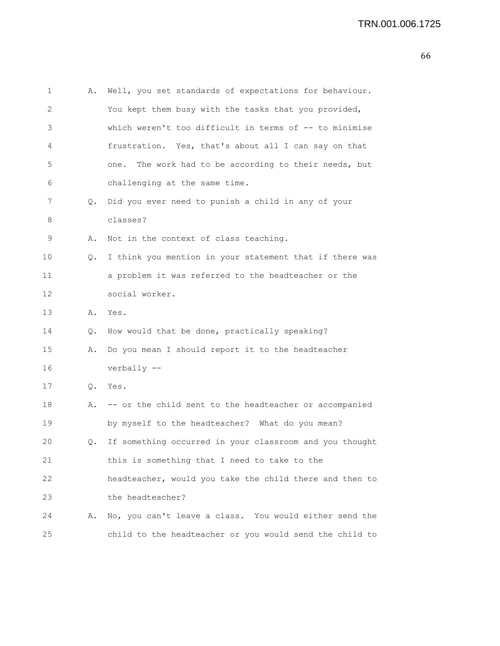| 1            | Α. | Well, you set standards of expectations for behaviour.   |
|--------------|----|----------------------------------------------------------|
| $\mathbf{2}$ |    | You kept them busy with the tasks that you provided,     |
| 3            |    | which weren't too difficult in terms of -- to minimise   |
| 4            |    | frustration. Yes, that's about all I can say on that     |
| 5            |    | The work had to be according to their needs, but<br>one. |
| 6            |    | challenging at the same time.                            |
| 7            | Q. | Did you ever need to punish a child in any of your       |
| 8            |    | classes?                                                 |
| 9            | Α. | Not in the context of class teaching.                    |
| 10           | Q. | I think you mention in your statement that if there was  |
| 11           |    | a problem it was referred to the headteacher or the      |
| 12           |    | social worker.                                           |
| 13           | Α. | Yes.                                                     |
| 14           | Q. | How would that be done, practically speaking?            |
| 15           | Α. | Do you mean I should report it to the headteacher        |
| 16           |    | verbally --                                              |
| 17           | Q. | Yes.                                                     |
| 18           | Α. | -- or the child sent to the headteacher or accompanied   |
| 19           |    | by myself to the headteacher? What do you mean?          |
| 20           | Q. | If something occurred in your classroom and you thought  |
| 21           |    | this is something that I need to take to the             |
| 22           |    | headteacher, would you take the child there and then to  |
| 23           |    | the headteacher?                                         |
| 24           | Α. | No, you can't leave a class. You would either send the   |
| 25           |    | child to the headteacher or you would send the child to  |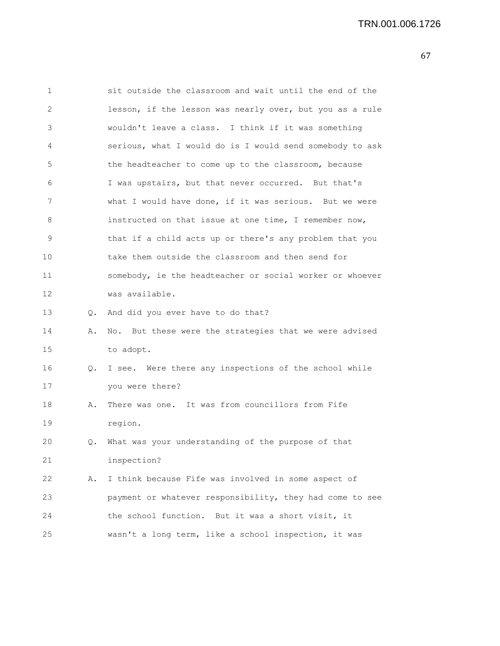| 1  |    | sit outside the classroom and wait until the end of the  |
|----|----|----------------------------------------------------------|
| 2  |    | lesson, if the lesson was nearly over, but you as a rule |
| 3  |    | wouldn't leave a class. I think if it was something      |
| 4  |    | serious, what I would do is I would send somebody to ask |
| 5  |    | the headteacher to come up to the classroom, because     |
| 6  |    | I was upstairs, but that never occurred. But that's      |
| 7  |    | what I would have done, if it was serious. But we were   |
| 8  |    | instructed on that issue at one time, I remember now,    |
| 9  |    | that if a child acts up or there's any problem that you  |
| 10 |    | take them outside the classroom and then send for        |
| 11 |    | somebody, ie the headteacher or social worker or whoever |
| 12 |    | was available.                                           |
| 13 |    | Q. And did you ever have to do that?                     |
| 14 | Α. | No. But these were the strategies that we were advised   |
| 15 |    | to adopt.                                                |
| 16 | Q. | I see. Were there any inspections of the school while    |
| 17 |    | you were there?                                          |
| 18 | Α. | There was one. It was from councillors from Fife         |
| 19 |    | region.                                                  |
| 20 | 0. | What was your understanding of the purpose of that       |
| 21 |    | inspection?                                              |
| 22 | Α. | I think because Fife was involved in some aspect of      |
| 23 |    | payment or whatever responsibility, they had come to see |
| 24 |    | the school function. But it was a short visit, it        |
| 25 |    | wasn't a long term, like a school inspection, it was     |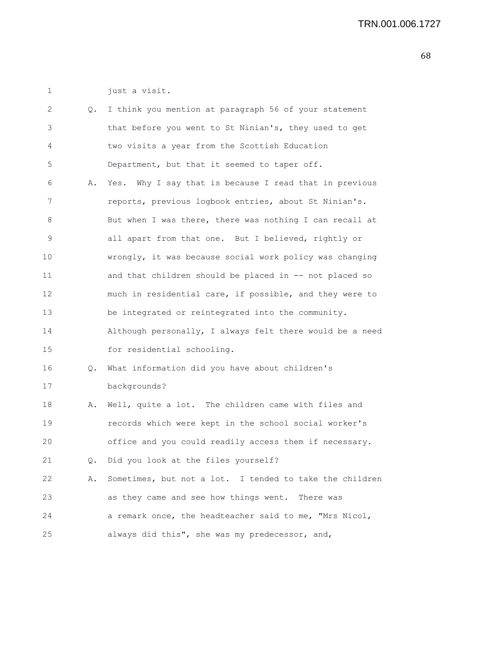1 just a visit.

| 2               | Q. | I think you mention at paragraph 56 of your statement    |
|-----------------|----|----------------------------------------------------------|
| 3               |    | that before you went to St Ninian's, they used to get    |
| 4               |    | two visits a year from the Scottish Education            |
| 5               |    | Department, but that it seemed to taper off.             |
| 6               | Α. | Yes. Why I say that is because I read that in previous   |
| 7               |    | reports, previous logbook entries, about St Ninian's.    |
| 8               |    | But when I was there, there was nothing I can recall at  |
| 9               |    | all apart from that one. But I believed, rightly or      |
| 10              |    | wrongly, it was because social work policy was changing  |
| 11              |    | and that children should be placed in -- not placed so   |
| 12 <sup>2</sup> |    | much in residential care, if possible, and they were to  |
| 13              |    | be integrated or reintegrated into the community.        |
| 14              |    | Although personally, I always felt there would be a need |
| 15              |    | for residential schooling.                               |
| 16              | Q. | What information did you have about children's           |
| 17              |    | backgrounds?                                             |
| 18              | Α. | Well, quite a lot. The children came with files and      |
| 19              |    | records which were kept in the school social worker's    |
| 20              |    | office and you could readily access them if necessary.   |
| 21              | Q. | Did you look at the files yourself?                      |
| 22              | Α. | Sometimes, but not a lot. I tended to take the children  |
| 23              |    | as they came and see how things went. There was          |
| 24              |    | a remark once, the headteacher said to me, "Mrs Nicol,   |
| 25              |    | always did this", she was my predecessor, and,           |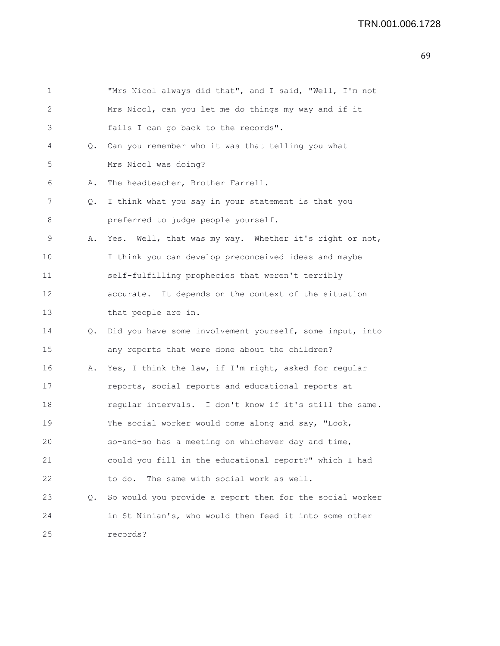|    | "Mrs Nicol always did that", and I said, "Well, I'm not  |
|----|----------------------------------------------------------|
|    | Mrs Nicol, can you let me do things my way and if it     |
|    | fails I can go back to the records".                     |
|    | Q. Can you remember who it was that telling you what     |
|    | Mrs Nicol was doing?                                     |
| Α. | The headteacher, Brother Farrell.                        |
| Q. | I think what you say in your statement is that you       |
|    | preferred to judge people yourself.                      |
| Α. | Yes. Well, that was my way. Whether it's right or not,   |
|    | I think you can develop preconceived ideas and maybe     |
|    | self-fulfilling prophecies that weren't terribly         |
|    | accurate. It depends on the context of the situation     |
|    | that people are in.                                      |
| Q. | Did you have some involvement yourself, some input, into |
|    | any reports that were done about the children?           |
| Α. | Yes, I think the law, if I'm right, asked for regular    |
|    | reports, social reports and educational reports at       |
|    | regular intervals. I don't know if it's still the same.  |
|    | The social worker would come along and say, "Look,       |
|    | so-and-so has a meeting on whichever day and time,       |
|    | could you fill in the educational report?" which I had   |
|    | The same with social work as well.<br>to do.             |
| Q. | So would you provide a report then for the social worker |
|    | in St Ninian's, who would then feed it into some other   |
|    | records?                                                 |
|    |                                                          |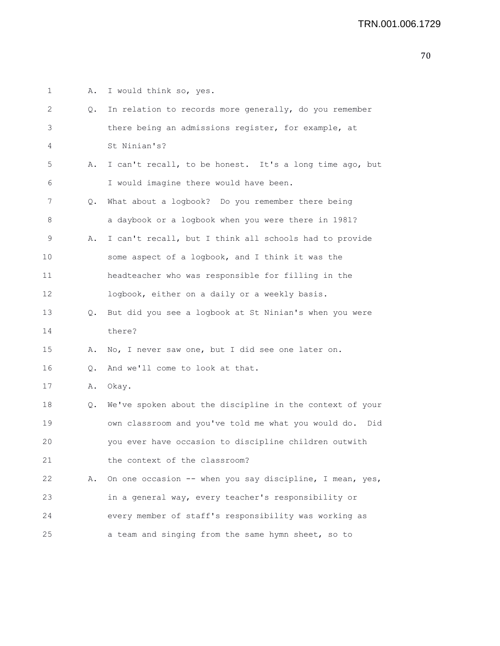1 A. I would think so, yes. 2 Q. In relation to records more generally, do you remember 3 there being an admissions register, for example, at 4 St Ninian's? 5 A. I can't recall, to be honest. It's a long time ago, but 6 I would imagine there would have been. 7 Q. What about a logbook? Do you remember there being 8 a daybook or a logbook when you were there in 1981? 9 A. I can't recall, but I think all schools had to provide 10 some aspect of a logbook, and I think it was the 11 headteacher who was responsible for filling in the 12 logbook, either on a daily or a weekly basis. 13 Q. But did you see a logbook at St Ninian's when you were 14 there? 15 A. No, I never saw one, but I did see one later on. 16 Q. And we'll come to look at that. 17 A. Okay. 18 Q. We've spoken about the discipline in the context of your 19 own classroom and you've told me what you would do. Did 20 you ever have occasion to discipline children outwith 21 the context of the classroom? 22 A. On one occasion -- when you say discipline, I mean, yes, 23 in a general way, every teacher's responsibility or 24 every member of staff's responsibility was working as 25 a team and singing from the same hymn sheet, so to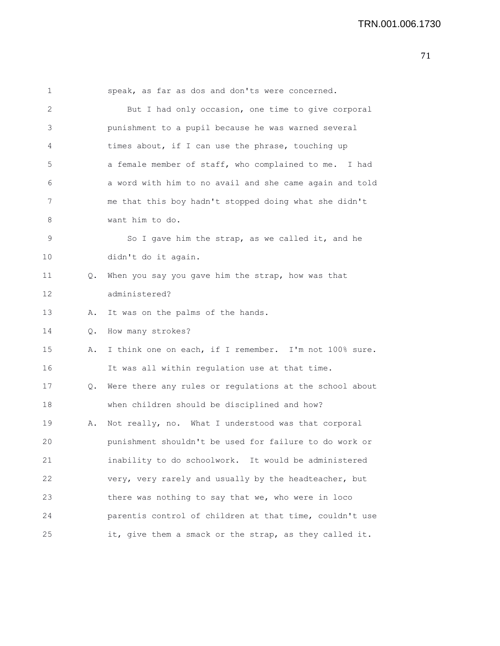1 speak, as far as dos and don'ts were concerned. 2 But I had only occasion, one time to give corporal 3 punishment to a pupil because he was warned several 4 times about, if I can use the phrase, touching up 5 a female member of staff, who complained to me. I had 6 a word with him to no avail and she came again and told 7 me that this boy hadn't stopped doing what she didn't 8 want him to do. 9 So I gave him the strap, as we called it, and he 10 didn't do it again. 11 O. When you say you gave him the strap, how was that 12 administered? 13 A. It was on the palms of the hands. 14 Q. How many strokes? 15 A. I think one on each, if I remember. I'm not 100% sure. 16 It was all within regulation use at that time. 17 Q. Were there any rules or regulations at the school about 18 when children should be disciplined and how? 19 A. Not really, no. What I understood was that corporal 20 punishment shouldn't be used for failure to do work or 21 inability to do schoolwork. It would be administered 22 very, very rarely and usually by the headteacher, but 23 there was nothing to say that we, who were in loco 24 parentis control of children at that time, couldn't use 25 it, give them a smack or the strap, as they called it.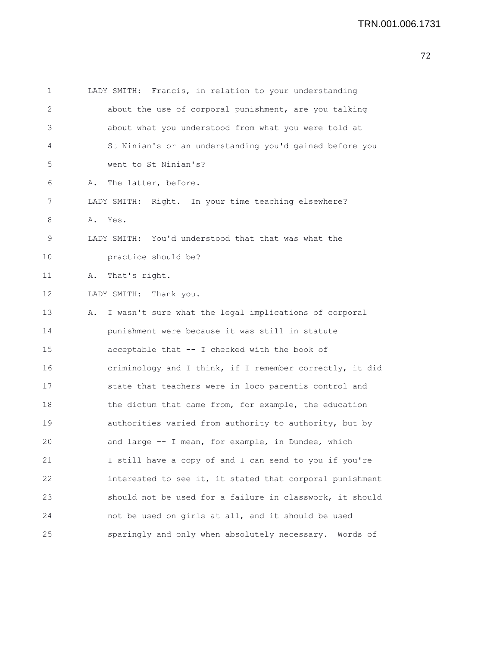| 1  | LADY SMITH: Francis, in relation to your understanding      |
|----|-------------------------------------------------------------|
| 2  | about the use of corporal punishment, are you talking       |
| 3  | about what you understood from what you were told at        |
| 4  | St Ninian's or an understanding you'd gained before you     |
| 5  | went to St Ninian's?                                        |
| 6  | The latter, before.<br>Α.                                   |
| 7  | LADY SMITH: Right. In your time teaching elsewhere?         |
| 8  | Α.<br>Yes.                                                  |
| 9  | LADY SMITH: You'd understood that that was what the         |
| 10 | practice should be?                                         |
| 11 | That's right.<br>Α.                                         |
| 12 | Thank you.<br>LADY SMITH:                                   |
| 13 | I wasn't sure what the legal implications of corporal<br>Α. |
| 14 | punishment were because it was still in statute             |
| 15 | acceptable that -- I checked with the book of               |
| 16 | criminology and I think, if I remember correctly, it did    |
| 17 | state that teachers were in loco parentis control and       |
| 18 | the dictum that came from, for example, the education       |
| 19 | authorities varied from authority to authority, but by      |
| 20 | and large -- I mean, for example, in Dundee, which          |
| 21 | I still have a copy of and I can send to you if you're      |
| 22 | interested to see it, it stated that corporal punishment    |
| 23 | should not be used for a failure in classwork, it should    |
| 24 | not be used on girls at all, and it should be used          |
| 25 | sparingly and only when absolutely necessary. Words of      |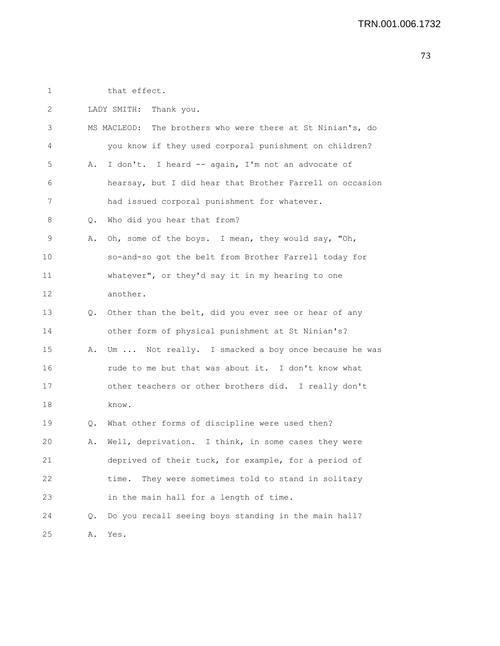1 that effect.

| 2  |           | LADY SMITH:<br>Thank you.                                  |
|----|-----------|------------------------------------------------------------|
| 3  |           | MS MACLEOD: The brothers who were there at St Ninian's, do |
| 4  |           | you know if they used corporal punishment on children?     |
| 5  | Α.        | I don't. I heard -- again, I'm not an advocate of          |
| 6  |           | hearsay, but I did hear that Brother Farrell on occasion   |
| 7  |           | had issued corporal punishment for whatever.               |
| 8  | Q.        | Who did you hear that from?                                |
| 9  | Α.        | Oh, some of the boys. I mean, they would say, "Oh,         |
| 10 |           | so-and-so got the belt from Brother Farrell today for      |
| 11 |           | whatever", or they'd say it in my hearing to one           |
| 12 |           | another.                                                   |
| 13 | $\circ$ . | Other than the belt, did you ever see or hear of any       |
| 14 |           | other form of physical punishment at St Ninian's?          |
| 15 | Α.        | Um  Not really. I smacked a boy once because he was        |
| 16 |           | rude to me but that was about it. I don't know what        |
| 17 |           | other teachers or other brothers did. I really don't       |
| 18 |           | know.                                                      |
| 19 | Q.        | What other forms of discipline were used then?             |
| 20 | Α.        | Well, deprivation. I think, in some cases they were        |
| 21 |           | deprived of their tuck, for example, for a period of       |
| 22 |           | They were sometimes told to stand in solitary<br>time.     |
| 23 |           | in the main hall for a length of time.                     |
| 24 | Q.        | Do you recall seeing boys standing in the main hall?       |
| 25 | Α.        | Yes.                                                       |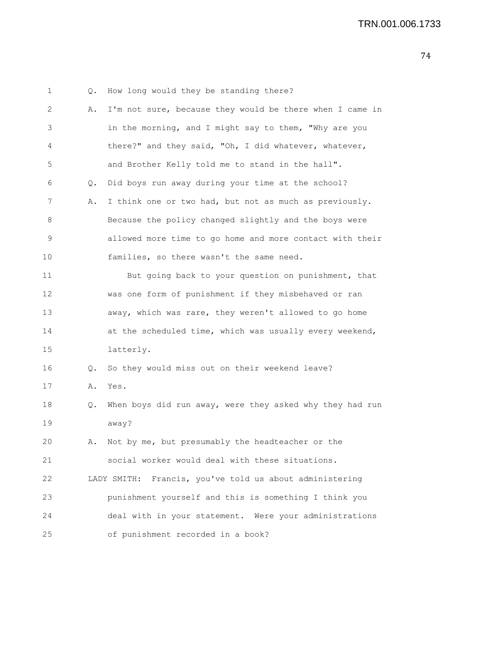| 1  | Q. | How long would they be standing there?                     |
|----|----|------------------------------------------------------------|
| 2  | Α. | I'm not sure, because they would be there when I came in   |
| 3  |    | in the morning, and I might say to them, "Why are you      |
| 4  |    | there?" and they said, "Oh, I did whatever, whatever,      |
| 5  |    | and Brother Kelly told me to stand in the hall".           |
| 6  | Q. | Did boys run away during your time at the school?          |
| 7  | Α. | I think one or two had, but not as much as previously.     |
| 8  |    | Because the policy changed slightly and the boys were      |
| 9  |    | allowed more time to go home and more contact with their   |
| 10 |    | families, so there wasn't the same need.                   |
| 11 |    | But going back to your question on punishment, that        |
| 12 |    | was one form of punishment if they misbehaved or ran       |
| 13 |    | away, which was rare, they weren't allowed to go home      |
| 14 |    | at the scheduled time, which was usually every weekend,    |
| 15 |    | latterly.                                                  |
| 16 | Q. | So they would miss out on their weekend leave?             |
| 17 | Α. | Yes.                                                       |
| 18 | Q. | When boys did run away, were they asked why they had run   |
| 19 |    | away?                                                      |
| 20 | Α. | Not by me, but presumably the headteacher or the           |
| 21 |    | social worker would deal with these situations.            |
| 22 |    | Francis, you've told us about administering<br>LADY SMITH: |
| 23 |    | punishment yourself and this is something I think you      |
| 24 |    | deal with in your statement. Were your administrations     |
| 25 |    | of punishment recorded in a book?                          |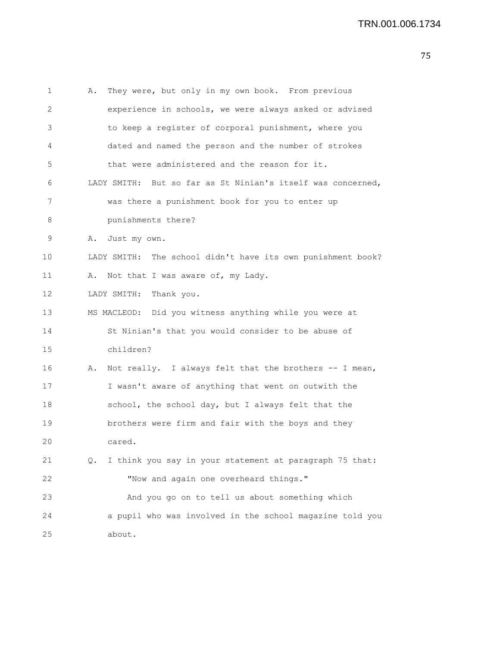```
1 A. They were, but only in my own book. From previous
2 experience in schools, we were always asked or advised
3 to keep a register of corporal punishment, where you
4 dated and named the person and the number of strokes
5 that were administered and the reason for it.
6 LADY SMITH: But so far as St Ninian's itself was concerned,
7 was there a punishment book for you to enter up
8 punishments there?
9 A. Just my own.
10 LADY SMITH: The school didn't have its own punishment book?
11 A. Not that I was aware of, my Lady.
12 LADY SMITH: Thank you.
13 MS MACLEOD: Did you witness anything while you were at
14 St Ninian's that you would consider to be abuse of
15 children?
16 A. Not really. I always felt that the brothers -- I mean,
17 I wasn't aware of anything that went on outwith the
18 school, the school day, but I always felt that the
19 brothers were firm and fair with the boys and they
20 cared.
21 Q. I think you say in your statement at paragraph 75 that:
22 "Now and again one overheard things."
23 And you go on to tell us about something which
24 a pupil who was involved in the school magazine told you
25 about.
```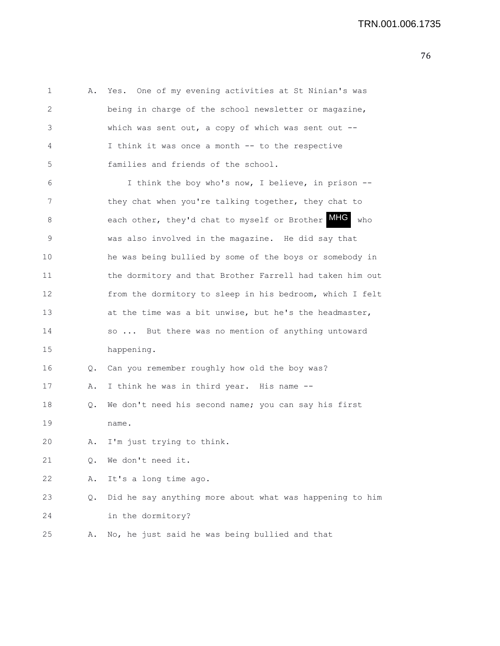| $\mathbf 1$ | Α. | One of my evening activities at St Ninian's was<br>Yes.  |
|-------------|----|----------------------------------------------------------|
| 2           |    | being in charge of the school newsletter or magazine,    |
| 3           |    | which was sent out, a copy of which was sent out $--$    |
| 4           |    | I think it was once a month -- to the respective         |
| 5           |    | families and friends of the school.                      |
| 6           |    | I think the boy who's now, I believe, in prison --       |
| 7           |    | they chat when you're talking together, they chat to     |
| 8           |    | each other, they'd chat to myself or Brother MHG<br>who  |
| 9           |    | was also involved in the magazine. He did say that       |
| 10          |    | he was being bullied by some of the boys or somebody in  |
| 11          |    | the dormitory and that Brother Farrell had taken him out |
| 12          |    | from the dormitory to sleep in his bedroom, which I felt |
| 13          |    | at the time was a bit unwise, but he's the headmaster,   |
| 14          |    | so  But there was no mention of anything untoward        |
| 15          |    | happening.                                               |
| 16          | Q. | Can you remember roughly how old the boy was?            |
| 17          | Α. | I think he was in third year. His name --                |
| 18          | Q. | We don't need his second name; you can say his first     |
| 19          |    | name.                                                    |
| 20          | Α. | I'm just trying to think.                                |
| 21          | Q. | We don't need it.                                        |
| 22          | Α. | It's a long time ago.                                    |
| 23          | Q. | Did he say anything more about what was happening to him |
| 24          |    | in the dormitory?                                        |
| 25          | Α. | No, he just said he was being bullied and that           |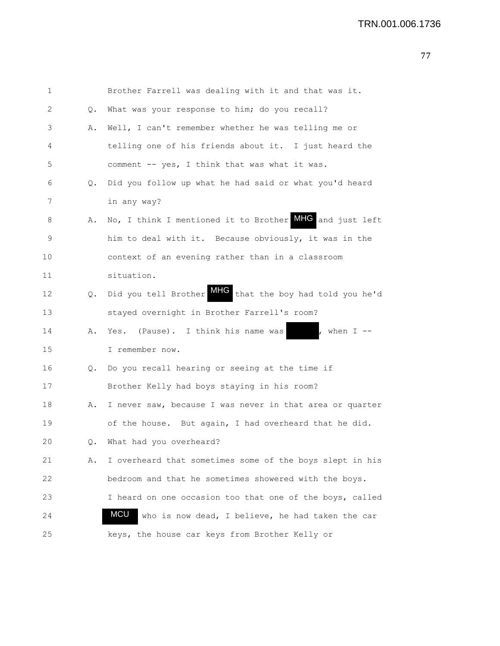| 1              |    | Brother Farrell was dealing with it and that was it.       |
|----------------|----|------------------------------------------------------------|
| 2              | Q. | What was your response to him; do you recall?              |
| $\mathfrak{Z}$ | Α. | Well, I can't remember whether he was telling me or        |
| 4              |    | telling one of his friends about it. I just heard the      |
| 5              |    | comment -- yes, I think that was what it was.              |
| 6              | 0. | Did you follow up what he had said or what you'd heard     |
| 7              |    | in any way?                                                |
| 8              | Α. | No, I think I mentioned it to Brother MHC and just left    |
| 9              |    | him to deal with it. Because obviously, it was in the      |
| 10             |    | context of an evening rather than in a classroom           |
| 11             |    | situation.                                                 |
| 12             |    | Q. Did you tell Brother MHG that the boy had told you he'd |
| 13             |    | stayed overnight in Brother Farrell's room?                |
| 14             | Α. | Yes. (Pause). I think his name was<br>, when $I$ --        |
| 15             |    | I remember now.                                            |
| 16             | Q. | Do you recall hearing or seeing at the time if             |
| 17             |    | Brother Kelly had boys staying in his room?                |
| 18             | Α. | I never saw, because I was never in that area or quarter   |
| 19             |    | of the house. But again, I had overheard that he did.      |
| 20             |    | Q. What had you overheard?                                 |
| 21             | Α. | I overheard that sometimes some of the boys slept in his   |
| 22             |    | bedroom and that he sometimes showered with the boys.      |
| 23             |    | I heard on one occasion too that one of the boys, called   |
| 24             |    | MCU<br>who is now dead, I believe, he had taken the car    |
| 25             |    | keys, the house car keys from Brother Kelly or             |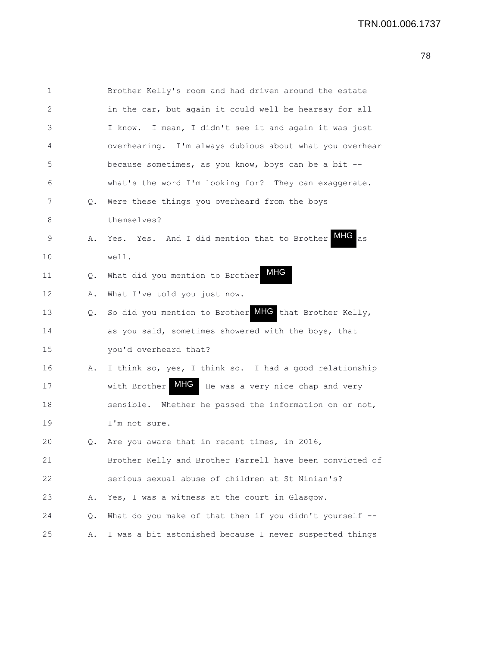```
1 Brother Kelly's room and had driven around the estate
2 in the car, but again it could well be hearsay for all
3 I know. I mean, I didn't see it and again it was just
4 overhearing. I'm always dubious about what you overhear
5 because sometimes, as you know, boys can be a bit --
6 what's the word I'm looking for? They can exaggerate.
7 Q. Were these things you overheard from the boys
8 themselves?
9 A. Yes. Yes. And I did mention that to Brother
10 well.
11 Q. What did you mention to Brother
12 A. What I've told you just now.
13 Q. So did you mention to Brother MHG that Brother Kelly,
14 as you said, sometimes showered with the boys, that
15 you'd overheard that?
16 A. I think so, yes, I think so. I had a good relationship
17 With Brother MHG He was a very nice chap and very
18 sensible. Whether he passed the information on or not,
19 I'm not sure.
20 Q. Are you aware that in recent times, in 2016,
21 Brother Kelly and Brother Farrell have been convicted of
22 serious sexual abuse of children at St Ninian's?
23 A. Yes, I was a witness at the court in Glasgow.
24 Q. What do you make of that then if you didn't yourself --
25 A. I was a bit astonished because I never suspected things
                                                  MHG
                                      MHG
```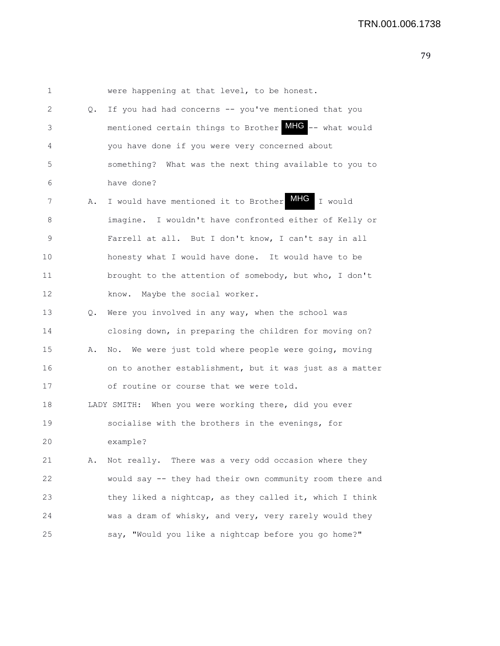1 were happening at that level, to be honest. 2 Q. If you had had concerns -- you've mentioned that you 3 mentioned certain things to Brother MHG -- what would 4 you have done if you were very concerned about 5 something? What was the next thing available to you to 6 have done? 7 A. I would have mentioned it to Brother MHG I would 8 imagine. I wouldn't have confronted either of Kelly or 9 Farrell at all. But I don't know, I can't say in all 10 honesty what I would have done. It would have to be 11 brought to the attention of somebody, but who, I don't 12 know. Maybe the social worker. 13 Q. Were you involved in any way, when the school was 14 closing down, in preparing the children for moving on? 15 A. No. We were just told where people were going, moving 16 on to another establishment, but it was just as a matter 17 of routine or course that we were told. 18 LADY SMITH: When you were working there, did you ever 19 socialise with the brothers in the evenings, for 20 example? 21 A. Not really. There was a very odd occasion where they 22 would say -- they had their own community room there and 23 they liked a nightcap, as they called it, which I think 24 was a dram of whisky, and very, very rarely would they 25 say, "Would you like a nightcap before you go home?"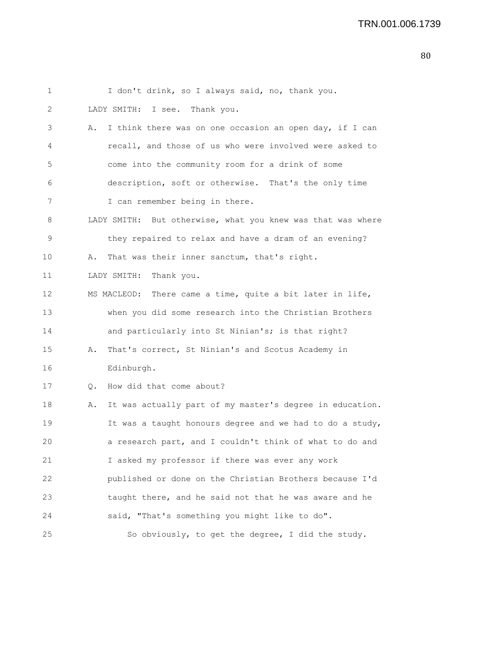| 1  | I don't drink, so I always said, no, thank you.                |
|----|----------------------------------------------------------------|
| 2  | LADY SMITH: I see. Thank you.                                  |
| 3  | I think there was on one occasion an open day, if I can<br>Α.  |
| 4  | recall, and those of us who were involved were asked to        |
| 5  | come into the community room for a drink of some               |
| 6  | description, soft or otherwise. That's the only time           |
| 7  | I can remember being in there.                                 |
| 8  | LADY SMITH: But otherwise, what you knew was that was where    |
| 9  | they repaired to relax and have a dram of an evening?          |
| 10 | That was their inner sanctum, that's right.<br>Α.              |
| 11 | LADY SMITH:<br>Thank you.                                      |
| 12 | MS MACLEOD: There came a time, quite a bit later in life,      |
| 13 | when you did some research into the Christian Brothers         |
| 14 | and particularly into St Ninian's; is that right?              |
| 15 | That's correct, St Ninian's and Scotus Academy in<br>Α.        |
| 16 | Edinburgh.                                                     |
| 17 | How did that come about?<br>Q.                                 |
| 18 | It was actually part of my master's degree in education.<br>Α. |
| 19 | It was a taught honours degree and we had to do a study,       |
| 20 | a research part, and I couldn't think of what to do and        |
| 21 | I asked my professor if there was ever any work                |
| 22 | published or done on the Christian Brothers because I'd        |
| 23 | taught there, and he said not that he was aware and he         |
| 24 | said, "That's something you might like to do".                 |
| 25 | So obviously, to get the degree, I did the study.              |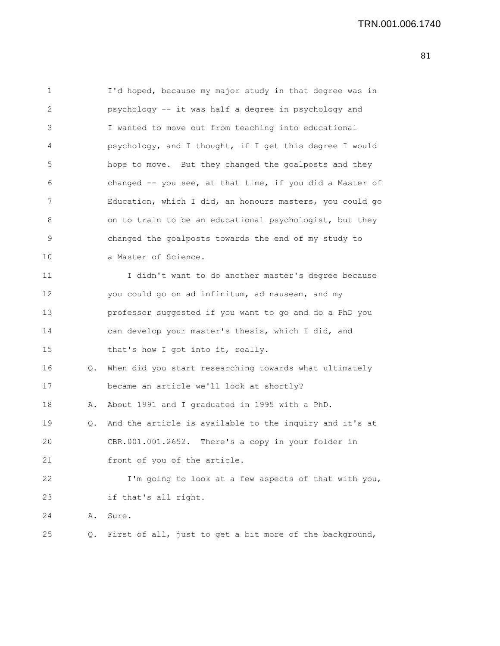1 I'd hoped, because my major study in that degree was in 2 psychology -- it was half a degree in psychology and 3 I wanted to move out from teaching into educational 4 psychology, and I thought, if I get this degree I would 5 hope to move. But they changed the goalposts and they 6 changed -- you see, at that time, if you did a Master of 7 Education, which I did, an honours masters, you could go 8 on to train to be an educational psychologist, but they 9 changed the goalposts towards the end of my study to 10 a Master of Science. 11 I didn't want to do another master's degree because 12 you could go on ad infinitum, ad nauseam, and my 13 professor suggested if you want to go and do a PhD you 14 can develop your master's thesis, which I did, and 15 that's how I got into it, really. 16 Q. When did you start researching towards what ultimately 17 became an article we'll look at shortly? 18 A. About 1991 and I graduated in 1995 with a PhD. 19 Q. And the article is available to the inquiry and it's at 20 CBR.001.001.2652. There's a copy in your folder in 21 front of you of the article. 22 I'm going to look at a few aspects of that with you, 23 if that's all right. 24 A. Sure. 25 Q. First of all, just to get a bit more of the background,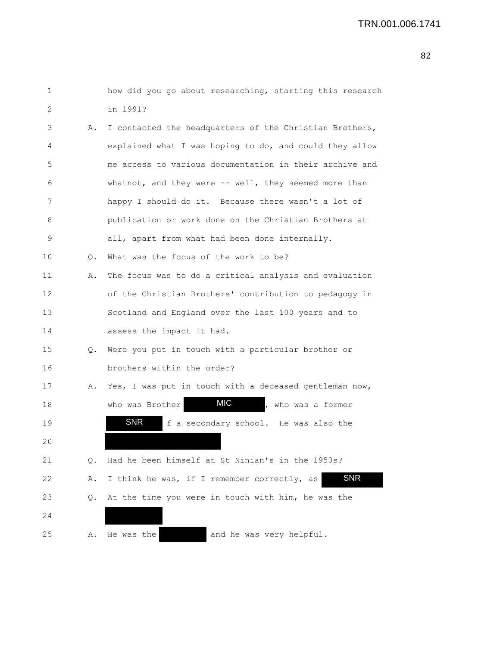| $\mathbf 1$ |    | how did you go about researching, starting this research  |
|-------------|----|-----------------------------------------------------------|
| 2           |    | in 1991?                                                  |
| 3           | Α. | I contacted the headquarters of the Christian Brothers,   |
| 4           |    | explained what I was hoping to do, and could they allow   |
| 5           |    | me access to various documentation in their archive and   |
| 6           |    | whatnot, and they were -- well, they seemed more than     |
| 7           |    | happy I should do it. Because there wasn't a lot of       |
| 8           |    | publication or work done on the Christian Brothers at     |
| 9           |    | all, apart from what had been done internally.            |
| 10          | Q. | What was the focus of the work to be?                     |
| 11          | Α. | The focus was to do a critical analysis and evaluation    |
| 12          |    | of the Christian Brothers' contribution to pedagogy in    |
| 13          |    | Scotland and England over the last 100 years and to       |
| 14          |    | assess the impact it had.                                 |
| 15          | Q. | Were you put in touch with a particular brother or        |
| 16          |    | brothers within the order?                                |
| 17          | Α. | Yes, I was put in touch with a deceased gentleman now,    |
| 18          |    | MIC<br>who was Brother<br>, who was a former              |
| 19          |    | <b>SNR</b><br>f a secondary school. He was also the       |
| 20          |    |                                                           |
| 21          | Q. | Had he been himself at St Ninian's in the 1950s?          |
| 22          | Α. | <b>SNR</b><br>I think he was, if I remember correctly, as |
| 23          | Q. | At the time you were in touch with him, he was the        |
| 24          |    |                                                           |
| 25          | Α. | He was the<br>and he was very helpful.                    |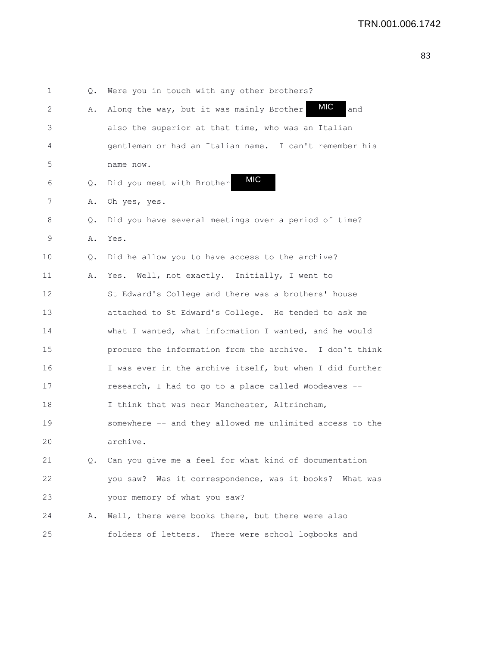1 Q. Were you in touch with any other brothers? 2 A. Along the way, but it was mainly Brother **MIC** and 3 also the superior at that time, who was an Italian 4 gentleman or had an Italian name. I can't remember his 5 name now. 6 Q. Did you meet with Brother 7 A. Oh yes, yes. 8 Q. Did you have several meetings over a period of time? 9 A. Yes. 10 Q. Did he allow you to have access to the archive? 11 A. Yes. Well, not exactly. Initially, I went to 12 St Edward's College and there was a brothers' house 13 attached to St Edward's College. He tended to ask me 14 what I wanted, what information I wanted, and he would 15 procure the information from the archive. I don't think 16 I was ever in the archive itself, but when I did further 17 research, I had to go to a place called Woodeaves -- 18 I think that was near Manchester, Altrincham, 19 somewhere -- and they allowed me unlimited access to the 20 archive. 21 Q. Can you give me a feel for what kind of documentation 22 you saw? Was it correspondence, was it books? What was 23 your memory of what you saw? 24 A. Well, there were books there, but there were also 25 folders of letters. There were school logbooks and MIC MIC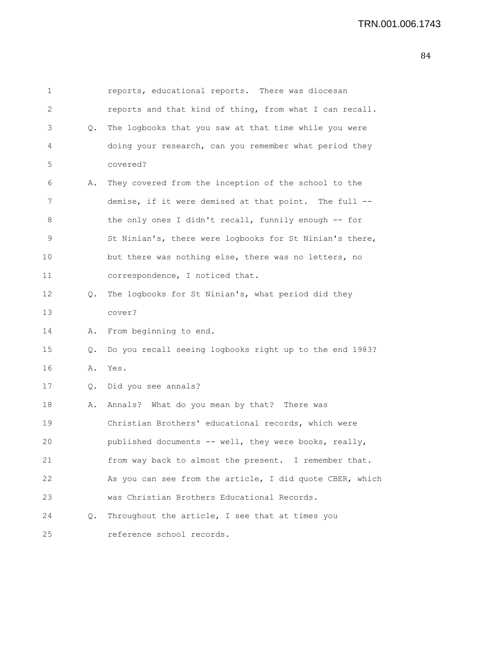| 1  |    | reports, educational reports. There was diocesan         |
|----|----|----------------------------------------------------------|
| 2  |    | reports and that kind of thing, from what I can recall.  |
| 3  | Q. | The logbooks that you saw at that time while you were    |
| 4  |    | doing your research, can you remember what period they   |
| 5  |    | covered?                                                 |
| 6  | Α. | They covered from the inception of the school to the     |
| 7  |    | demise, if it were demised at that point. The full --    |
| 8  |    | the only ones I didn't recall, funnily enough -- for     |
| 9  |    | St Ninian's, there were logbooks for St Ninian's there,  |
| 10 |    | but there was nothing else, there was no letters, no     |
| 11 |    | correspondence, I noticed that.                          |
| 12 | Q. | The logbooks for St Ninian's, what period did they       |
| 13 |    | cover?                                                   |
| 14 | Α. | From beginning to end.                                   |
| 15 | Q. | Do you recall seeing logbooks right up to the end 1983?  |
| 16 | Α. | Yes.                                                     |
| 17 | Q. | Did you see annals?                                      |
| 18 | Α. | Annals? What do you mean by that? There was              |
| 19 |    | Christian Brothers' educational records, which were      |
| 20 |    | published documents -- well, they were books, really,    |
| 21 |    | from way back to almost the present. I remember that.    |
| 22 |    | As you can see from the article, I did quote CBER, which |
| 23 |    | was Christian Brothers Educational Records.              |
| 24 | Q. | Throughout the article, I see that at times you          |
| 25 |    | reference school records.                                |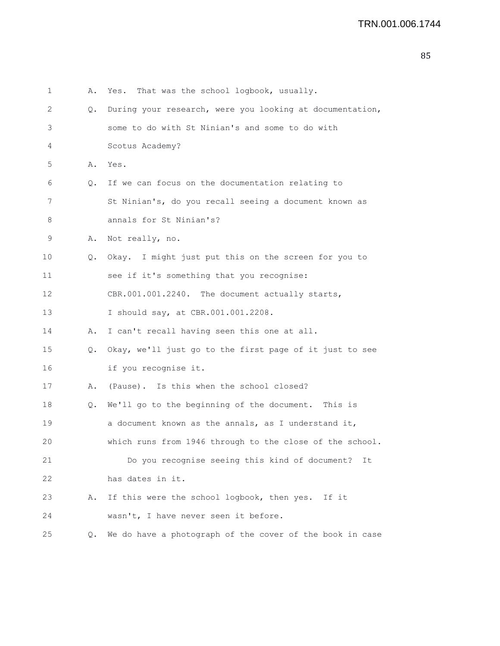| 1  | Α. | Yes. That was the school logbook, usually.               |
|----|----|----------------------------------------------------------|
| 2  | Q. | During your research, were you looking at documentation, |
| 3  |    | some to do with St Ninian's and some to do with          |
| 4  |    | Scotus Academy?                                          |
| 5  | Α. | Yes.                                                     |
| 6  | Q. | If we can focus on the documentation relating to         |
| 7  |    | St Ninian's, do you recall seeing a document known as    |
| 8  |    | annals for St Ninian's?                                  |
| 9  | Α. | Not really, no.                                          |
| 10 | Q. | Okay. I might just put this on the screen for you to     |
| 11 |    | see if it's something that you recognise:                |
| 12 |    | CBR.001.001.2240. The document actually starts,          |
| 13 |    | I should say, at CBR.001.001.2208.                       |
| 14 | Α. | I can't recall having seen this one at all.              |
| 15 | Q. | Okay, we'll just go to the first page of it just to see  |
| 16 |    | if you recognise it.                                     |
| 17 | Α. | (Pause). Is this when the school closed?                 |
| 18 | Q. | We'll go to the beginning of the document. This is       |
| 19 |    | a document known as the annals, as I understand it,      |
| 20 |    | which runs from 1946 through to the close of the school. |
| 21 |    | Do you recognise seeing this kind of document? It        |
| 22 |    | has dates in it.                                         |
| 23 | Α. | If this were the school logbook, then yes. If it         |
| 24 |    | wasn't, I have never seen it before.                     |
| 25 | Q. | We do have a photograph of the cover of the book in case |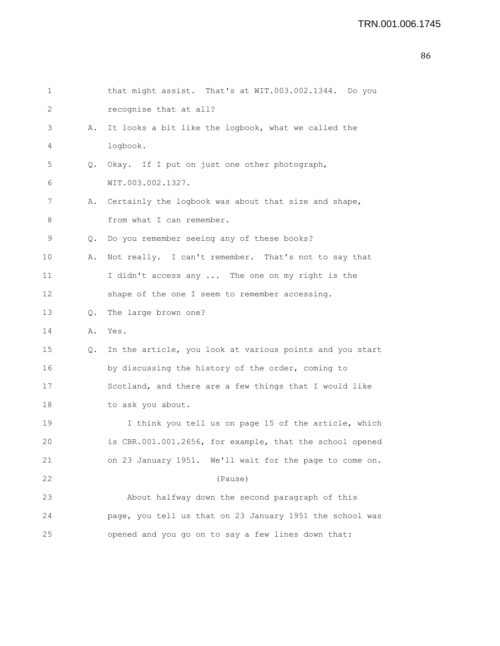## TRN.001.006.1745

| $\mathbf 1$ |    | that might assist. That's at WIT.003.002.1344. Do you    |
|-------------|----|----------------------------------------------------------|
| 2           |    | recognise that at all?                                   |
| 3           | Α. | It looks a bit like the logbook, what we called the      |
| 4           |    | logbook.                                                 |
| 5           | Q. | Okay. If I put on just one other photograph,             |
| 6           |    | WIT.003.002.1327.                                        |
| 7           | Α. | Certainly the logbook was about that size and shape,     |
| 8           |    | from what I can remember.                                |
| 9           | Q. | Do you remember seeing any of these books?               |
| 10          | Α. | Not really. I can't remember. That's not to say that     |
| 11          |    | I didn't access any  The one on my right is the          |
| 12          |    | shape of the one I seem to remember accessing.           |
| 13          | Q. | The large brown one?                                     |
| 14          | Α. | Yes.                                                     |
| 15          | Q. | In the article, you look at various points and you start |
| 16          |    | by discussing the history of the order, coming to        |
| 17          |    | Scotland, and there are a few things that I would like   |
| 18          |    | to ask you about.                                        |
| 19          |    | I think you tell us on page 15 of the article, which     |
| 20          |    | is CBR.001.001.2656, for example, that the school opened |
| 21          |    | on 23 January 1951. We'll wait for the page to come on.  |
| 22          |    | (Pause)                                                  |
| 23          |    | About halfway down the second paragraph of this          |
| 24          |    | page, you tell us that on 23 January 1951 the school was |
| 25          |    | opened and you go on to say a few lines down that:       |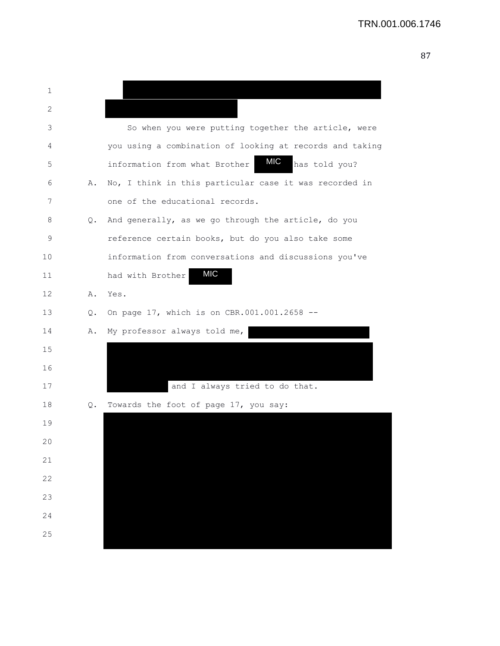| 1  |    |                                                          |
|----|----|----------------------------------------------------------|
| 2  |    |                                                          |
| 3  |    | So when you were putting together the article, were      |
| 4  |    | you using a combination of looking at records and taking |
| 5  |    | MIC<br>has told you?<br>information from what Brother    |
| 6  | Α. | No, I think in this particular case it was recorded in   |
| 7  |    | one of the educational records.                          |
| 8  | Q. | And generally, as we go through the article, do you      |
| 9  |    | reference certain books, but do you also take some       |
| 10 |    | information from conversations and discussions you've    |
| 11 |    | <b>MIC</b><br>had with Brother                           |
| 12 | Α. | Yes.                                                     |
| 13 | Q. | On page 17, which is on CBR.001.001.2658 --              |
| 14 | Α. | My professor always told me,                             |
| 15 |    |                                                          |
| 16 |    |                                                          |
| 17 |    | and I always tried to do that.                           |
| 18 | Q. | Towards the foot of page 17, you say:                    |
| 19 |    |                                                          |
| 20 |    |                                                          |
| 21 |    |                                                          |
| 22 |    |                                                          |
| 23 |    |                                                          |
| 24 |    |                                                          |
| 25 |    |                                                          |
|    |    |                                                          |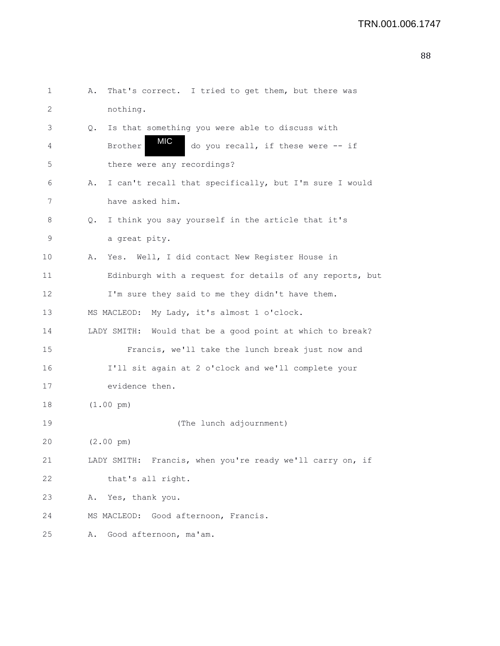```
1 A. That's correct. I tried to get them, but there was
2 nothing.
3 Q. Is that something you were able to discuss with
4 Brother WIC do you recall, if these were -- if
5 there were any recordings?
6 A. I can't recall that specifically, but I'm sure I would
7 have asked him.
8 Q. I think you say yourself in the article that it's
9 a great pity.
10 A. Yes. Well, I did contact New Register House in
11 Edinburgh with a request for details of any reports, but
12 I'm sure they said to me they didn't have them.
13 MS MACLEOD: My Lady, it's almost 1 o'clock.
14 LADY SMITH: Would that be a good point at which to break?
15 Francis, we'll take the lunch break just now and
16 I'll sit again at 2 o'clock and we'll complete your
17 evidence then.
18 (1.00 pm)
19 (The lunch adjournment)
20 (2.00 pm)
21 LADY SMITH: Francis, when you're ready we'll carry on, if
22 that's all right.
23 A. Yes, thank you.
24 MS MACLEOD: Good afternoon, Francis.
25 A. Good afternoon, ma'am.
                  MIC
```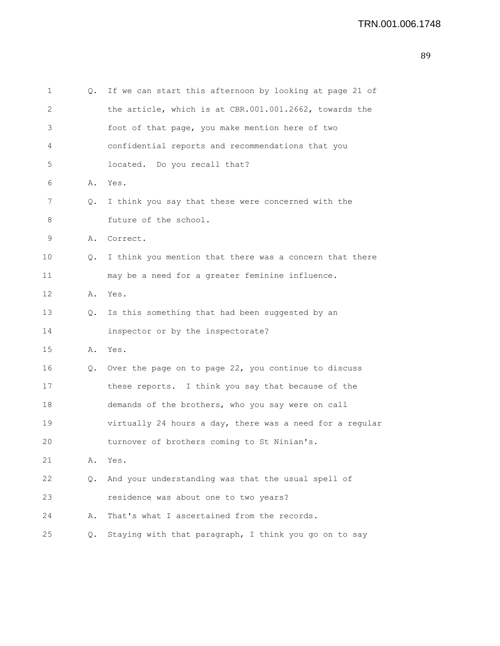```
1 Q. If we can start this afternoon by looking at page 21 of
2 the article, which is at CBR.001.001.2662, towards the
3 foot of that page, you make mention here of two
4 confidential reports and recommendations that you
5 located. Do you recall that?
6 A. Yes.
7 Q. I think you say that these were concerned with the
8 future of the school.
9 A. Correct.
10 Q. I think you mention that there was a concern that there
11 may be a need for a greater feminine influence.
12 A. Yes.
13 Q. Is this something that had been suggested by an
14 inspector or by the inspectorate?
15 A. Yes.
16 Q. Over the page on to page 22, you continue to discuss
17 these reports. I think you say that because of the
18 demands of the brothers, who you say were on call
19 virtually 24 hours a day, there was a need for a regular
20 turnover of brothers coming to St Ninian's.
21 A. Yes.
22 Q. And your understanding was that the usual spell of
23 residence was about one to two years?
24 A. That's what I ascertained from the records.
25 Q. Staying with that paragraph, I think you go on to say
```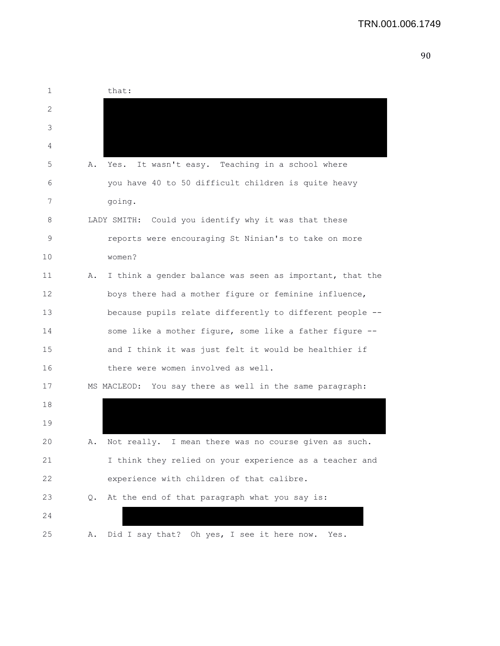| 1  | that:                                                          |
|----|----------------------------------------------------------------|
| 2  |                                                                |
| 3  |                                                                |
| 4  |                                                                |
| 5  | It wasn't easy. Teaching in a school where<br>Α.<br>Yes.       |
| 6  | you have 40 to 50 difficult children is quite heavy            |
| 7  | going.                                                         |
| 8  | LADY SMITH: Could you identify why it was that these           |
| 9  | reports were encouraging St Ninian's to take on more           |
| 10 | women?                                                         |
| 11 | I think a gender balance was seen as important, that the<br>Α. |
| 12 | boys there had a mother figure or feminine influence,          |
| 13 | because pupils relate differently to different people --       |
| 14 | some like a mother figure, some like a father figure --        |
| 15 | and I think it was just felt it would be healthier if          |
| 16 | there were women involved as well.                             |
| 17 | MS MACLEOD: You say there as well in the same paragraph:       |
| 18 |                                                                |
| 19 |                                                                |
| 20 | Not really. I mean there was no course given as such.<br>Α.    |
| 21 | I think they relied on your experience as a teacher and        |
| 22 | experience with children of that calibre.                      |
| 23 | At the end of that paragraph what you say is:<br>$\circ$ .     |
| 24 |                                                                |
| 25 | Did I say that? Oh yes, I see it here now. Yes.<br>Α.          |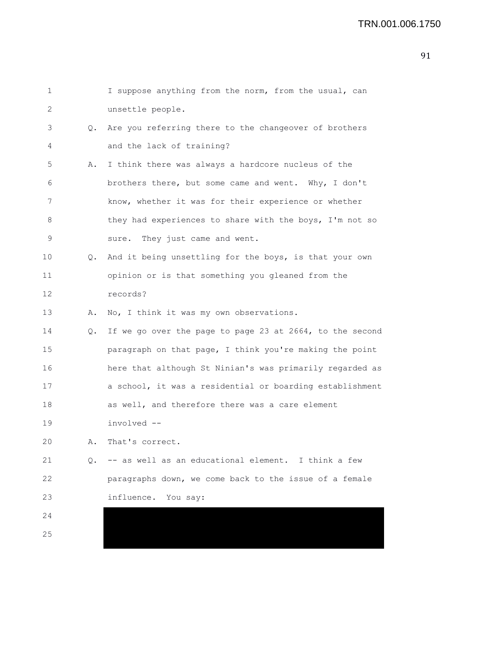| 1  |    | I suppose anything from the norm, from the usual, can    |
|----|----|----------------------------------------------------------|
| 2  |    | unsettle people.                                         |
| 3  | Q. | Are you referring there to the changeover of brothers    |
| 4  |    | and the lack of training?                                |
| 5  | Α. | I think there was always a hardcore nucleus of the       |
| 6  |    | brothers there, but some came and went. Why, I don't     |
| 7  |    | know, whether it was for their experience or whether     |
| 8  |    | they had experiences to share with the boys, I'm not so  |
| 9  |    | They just came and went.<br>sure.                        |
| 10 | Q. | And it being unsettling for the boys, is that your own   |
| 11 |    | opinion or is that something you gleaned from the        |
| 12 |    | records?                                                 |
| 13 | Α. | No, I think it was my own observations.                  |
| 14 | Q. | If we go over the page to page 23 at 2664, to the second |
| 15 |    | paragraph on that page, I think you're making the point  |
| 16 |    | here that although St Ninian's was primarily regarded as |
| 17 |    | a school, it was a residential or boarding establishment |
| 18 |    | as well, and therefore there was a care element          |
| 19 |    | involved --                                              |
| 20 | Α. | That's correct.                                          |
| 21 |    | Q. -- as well as an educational element. I think a few   |
| 22 |    | paragraphs down, we come back to the issue of a female   |
| 23 |    | influence. You say:                                      |
| 24 |    |                                                          |
| 25 |    |                                                          |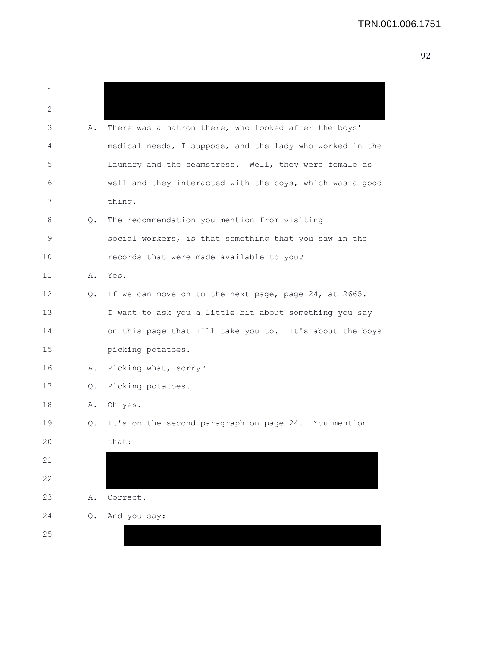| 1  |               |                                                          |
|----|---------------|----------------------------------------------------------|
| 2  |               |                                                          |
| 3  | Α.            | There was a matron there, who looked after the boys'     |
| 4  |               | medical needs, I suppose, and the lady who worked in the |
| 5  |               | laundry and the seamstress. Well, they were female as    |
| 6  |               | well and they interacted with the boys, which was a good |
| 7  |               | thing.                                                   |
| 8  | Q.            | The recommendation you mention from visiting             |
| 9  |               | social workers, is that something that you saw in the    |
| 10 |               | records that were made available to you?                 |
| 11 |               | A. Yes.                                                  |
| 12 | Q.            | If we can move on to the next page, page 24, at 2665.    |
| 13 |               | I want to ask you a little bit about something you say   |
| 14 |               | on this page that I'll take you to. It's about the boys  |
| 15 |               | picking potatoes.                                        |
| 16 | Α.            | Picking what, sorry?                                     |
| 17 | $Q_{\bullet}$ | Picking potatoes.                                        |
| 18 | Α.            | Oh yes.                                                  |
| 19 | Q.            | It's on the second paragraph on page 24. You mention     |
| 20 |               | that:                                                    |
| 21 |               |                                                          |
| 22 |               |                                                          |
| 23 | Α.            | Correct.                                                 |
| 24 | Q.            | And you say:                                             |
| 25 |               |                                                          |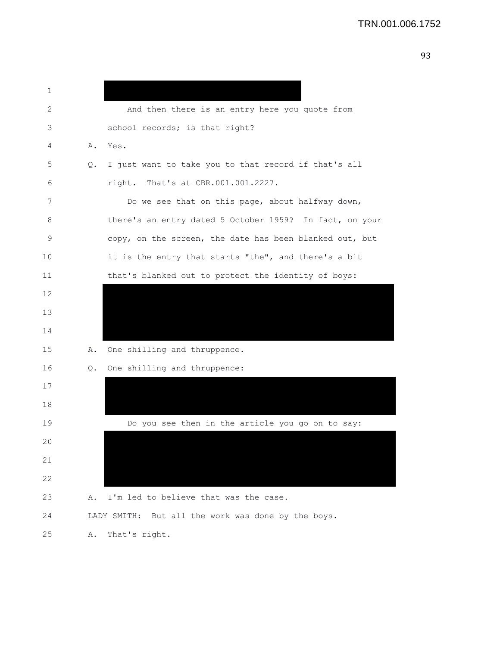|                               | ٠<br>m. |
|-------------------------------|---------|
| ×<br>M<br>۰.<br>۰.<br>۰.<br>٠ | ۰.      |
| ۰.                            | v       |

| 1  |    |                                                         |
|----|----|---------------------------------------------------------|
| 2  |    | And then there is an entry here you quote from          |
| 3  |    | school records; is that right?                          |
| 4  | Α. | Yes.                                                    |
| 5  | Q. | I just want to take you to that record if that's all    |
| 6  |    | right. That's at CBR.001.001.2227.                      |
| 7  |    | Do we see that on this page, about halfway down,        |
| 8  |    | there's an entry dated 5 October 1959? In fact, on your |
| 9  |    | copy, on the screen, the date has been blanked out, but |
| 10 |    | it is the entry that starts "the", and there's a bit    |
| 11 |    | that's blanked out to protect the identity of boys:     |
| 12 |    |                                                         |
| 13 |    |                                                         |
| 14 |    |                                                         |
| 15 | Α. | One shilling and thruppence.                            |
| 16 | Q. | One shilling and thruppence:                            |
| 17 |    |                                                         |
| 18 |    |                                                         |
| 19 |    | Do you see then in the article you go on to say:        |
| 20 |    |                                                         |
| 21 |    |                                                         |
| 22 |    |                                                         |
| 23 | Α. | I'm led to believe that was the case.                   |
| 24 |    | LADY SMITH: But all the work was done by the boys.      |
| 25 | Α. | That's right.                                           |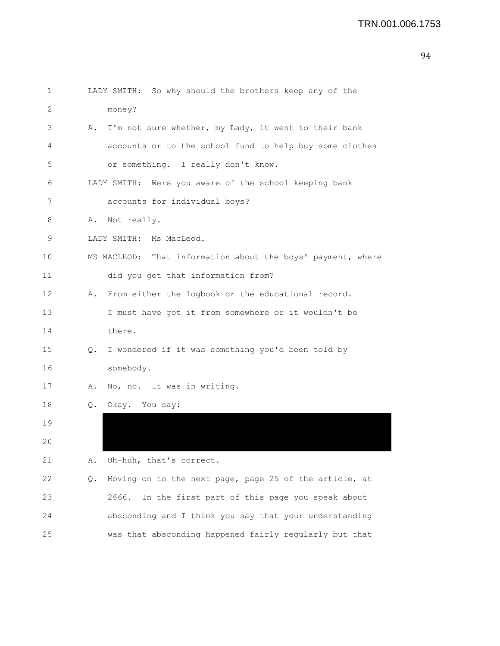```
1 LADY SMITH: So why should the brothers keep any of the
2 money?
3 A. I'm not sure whether, my Lady, it went to their bank
4 accounts or to the school fund to help buy some clothes
5 or something. I really don't know.
6 LADY SMITH: Were you aware of the school keeping bank
7 accounts for individual boys?
8 A. Not really.
9 LADY SMITH: Ms MacLeod.
10 MS MACLEOD: That information about the boys' payment, where
11 did you get that information from?
12 A. From either the logbook or the educational record.
13 I must have got it from somewhere or it wouldn't be
14 there.
15 Q. I wondered if it was something you'd been told by
16 somebody.
17 A. No, no. It was in writing.
18 Q. Okay. You say:
19 
20 
21 A. Uh-huh, that's correct.
22 Q. Moving on to the next page, page 25 of the article, at
23 2666. In the first part of this page you speak about
24 absconding and I think you say that your understanding
25 was that absconding happened fairly regularly but that
```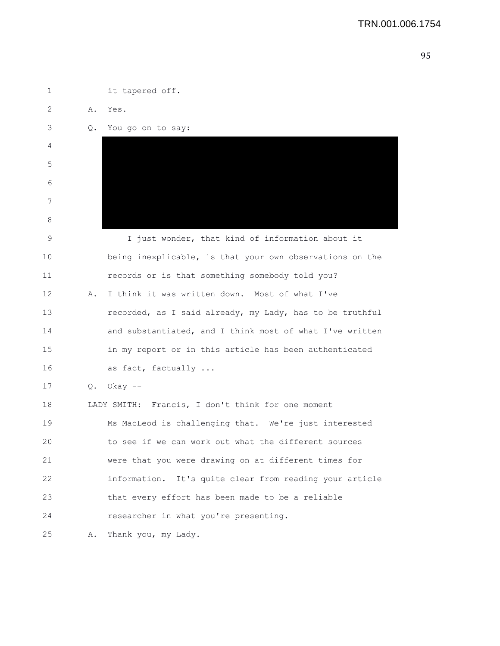| 1  |    | it tapered off.                                          |
|----|----|----------------------------------------------------------|
| 2  | Α. | Yes.                                                     |
| 3  | Q. | You go on to say:                                        |
| 4  |    |                                                          |
| 5  |    |                                                          |
| 6  |    |                                                          |
| 7  |    |                                                          |
| 8  |    |                                                          |
| 9  |    | I just wonder, that kind of information about it         |
| 10 |    | being inexplicable, is that your own observations on the |
| 11 |    | records or is that something somebody told you?          |
| 12 | Α. | I think it was written down. Most of what I've           |
| 13 |    | recorded, as I said already, my Lady, has to be truthful |
| 14 |    | and substantiated, and I think most of what I've written |
| 15 |    | in my report or in this article has been authenticated   |
| 16 |    | as fact, factually                                       |
| 17 | Q. | Okay $--$                                                |
| 18 |    | LADY SMITH: Francis, I don't think for one moment        |
| 19 |    | Ms MacLeod is challenging that. We're just interested    |
| 20 |    | to see if we can work out what the different sources     |
| 21 |    | were that you were drawing on at different times for     |
| 22 |    | information. It's quite clear from reading your article  |
| 23 |    | that every effort has been made to be a reliable         |
| 24 |    | researcher in what you're presenting.                    |
| 25 | Α. | Thank you, my Lady.                                      |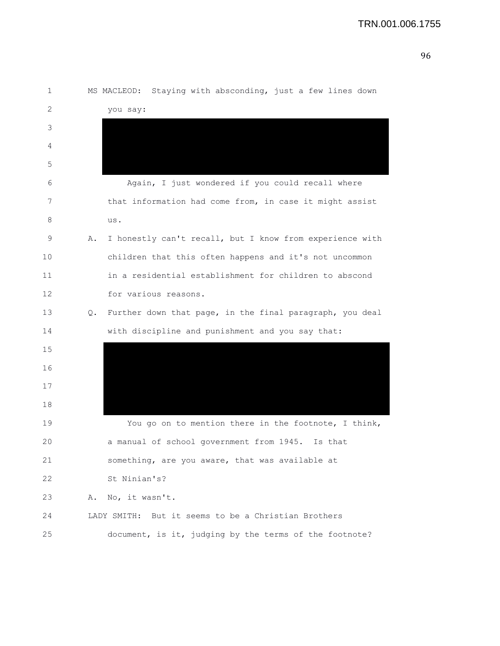| 1  |    | MS MACLEOD: Staying with absconding, just a few lines down |
|----|----|------------------------------------------------------------|
| 2  |    | you say:                                                   |
| 3  |    |                                                            |
| 4  |    |                                                            |
| 5  |    |                                                            |
| 6  |    | Again, I just wondered if you could recall where           |
| 7  |    | that information had come from, in case it might assist    |
| 8  |    | us.                                                        |
| 9  | Α. | I honestly can't recall, but I know from experience with   |
| 10 |    | children that this often happens and it's not uncommon     |
| 11 |    | in a residential establishment for children to abscond     |
| 12 |    | for various reasons.                                       |
| 13 | Q. | Further down that page, in the final paragraph, you deal   |
| 14 |    | with discipline and punishment and you say that:           |
| 15 |    |                                                            |
| 16 |    |                                                            |
| 17 |    |                                                            |
| 18 |    |                                                            |
| 19 |    | You go on to mention there in the footnote, I think,       |
| 20 |    | a manual of school government from 1945. Is that           |
| 21 |    | something, are you aware, that was available at            |
| 22 |    | St Ninian's?                                               |
| 23 | Α. | No, it wasn't.                                             |
| 24 |    | LADY SMITH: But it seems to be a Christian Brothers        |
| 25 |    | document, is it, judging by the terms of the footnote?     |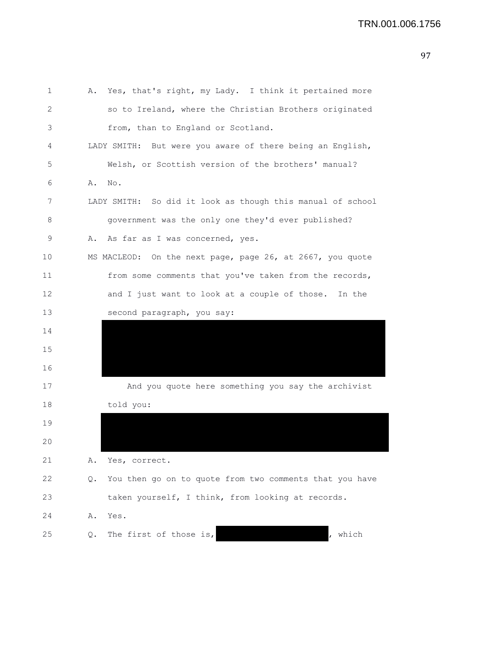| 1  | Α. | Yes, that's right, my Lady. I think it pertained more      |
|----|----|------------------------------------------------------------|
| 2  |    | so to Ireland, where the Christian Brothers originated     |
| 3  |    | from, than to England or Scotland.                         |
| 4  |    | LADY SMITH: But were you aware of there being an English,  |
| 5  |    | Welsh, or Scottish version of the brothers' manual?        |
| 6  | Α. | No.                                                        |
| 7  |    | LADY SMITH: So did it look as though this manual of school |
| 8  |    | government was the only one they'd ever published?         |
| 9  | Α. | As far as I was concerned, yes.                            |
| 10 |    | MS MACLEOD: On the next page, page 26, at 2667, you quote  |
| 11 |    | from some comments that you've taken from the records,     |
| 12 |    | and I just want to look at a couple of those.<br>In the    |
| 13 |    | second paragraph, you say:                                 |
| 14 |    |                                                            |
| 15 |    |                                                            |
| 16 |    |                                                            |
| 17 |    | And you quote here something you say the archivist         |
| 18 |    | told you:                                                  |
| 19 |    |                                                            |
| 20 |    |                                                            |
| 21 | Α. | Yes, correct.                                              |
| 22 | Q. | You then go on to quote from two comments that you have    |
| 23 |    | taken yourself, I think, from looking at records.          |
| 24 | Α. | Yes.                                                       |
| 25 | Q. | The first of those is,<br>which                            |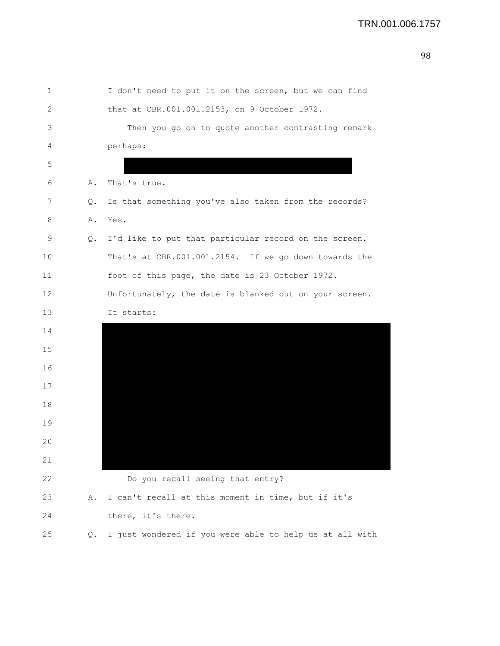| 1  |    | I don't need to put it on the screen, but we can find   |
|----|----|---------------------------------------------------------|
| 2  |    | that at CBR.001.001.2153, on 9 October 1972.            |
| 3  |    | Then you go on to quote another contrasting remark      |
| 4  |    | perhaps:                                                |
| 5  |    |                                                         |
| 6  | Α. | That's true.                                            |
| 7  | Q. | Is that something you've also taken from the records?   |
| 8  | Α. | Yes.                                                    |
| 9  | Q. | I'd like to put that particular record on the screen.   |
| 10 |    | That's at CBR.001.001.2154. If we go down towards the   |
| 11 |    | foot of this page, the date is 23 October 1972.         |
| 12 |    | Unfortunately, the date is blanked out on your screen.  |
| 13 |    | It starts:                                              |
| 14 |    |                                                         |
| 15 |    |                                                         |
| 16 |    |                                                         |
| 17 |    |                                                         |
| 18 |    |                                                         |
| 19 |    |                                                         |
| 20 |    |                                                         |
| 21 |    |                                                         |
| 22 |    | Do you recall seeing that entry?                        |
| 23 | Α. | I can't recall at this moment in time, but if it's      |
| 24 |    | there, it's there.                                      |
| 25 | Q. | I just wondered if you were able to help us at all with |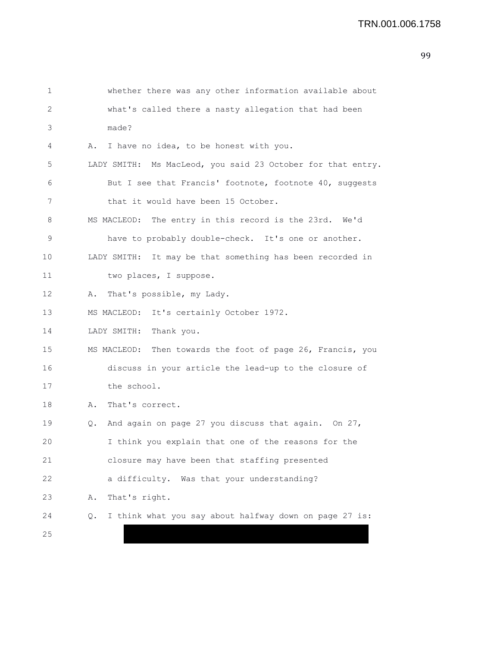| 1  | whether there was any other information available about      |
|----|--------------------------------------------------------------|
| 2  | what's called there a nasty allegation that had been         |
| 3  | made?                                                        |
| 4  | Α.<br>I have no idea, to be honest with you.                 |
| 5  | LADY SMITH: Ms MacLeod, you said 23 October for that entry.  |
| 6  | But I see that Francis' footnote, footnote 40, suggests      |
| 7  | that it would have been 15 October.                          |
| 8  | MS MACLEOD: The entry in this record is the 23rd. We'd       |
| 9  | have to probably double-check. It's one or another.          |
| 10 | LADY SMITH: It may be that something has been recorded in    |
| 11 | two places, I suppose.                                       |
| 12 | That's possible, my Lady.<br>Α.                              |
| 13 | MS MACLEOD: It's certainly October 1972.                     |
| 14 | LADY SMITH:<br>Thank you.                                    |
| 15 | MS MACLEOD: Then towards the foot of page 26, Francis, you   |
| 16 | discuss in your article the lead-up to the closure of        |
| 17 | the school.                                                  |
| 18 | That's correct.<br>Α.                                        |
| 19 | And again on page 27 you discuss that again. On 27,<br>Q.    |
| 20 | I think you explain that one of the reasons for the          |
| 21 | closure may have been that staffing presented                |
| 22 | a difficulty. Was that your understanding?                   |
| 23 | That's right.<br>Α.                                          |
| 24 | I think what you say about halfway down on page 27 is:<br>Q. |
| 25 |                                                              |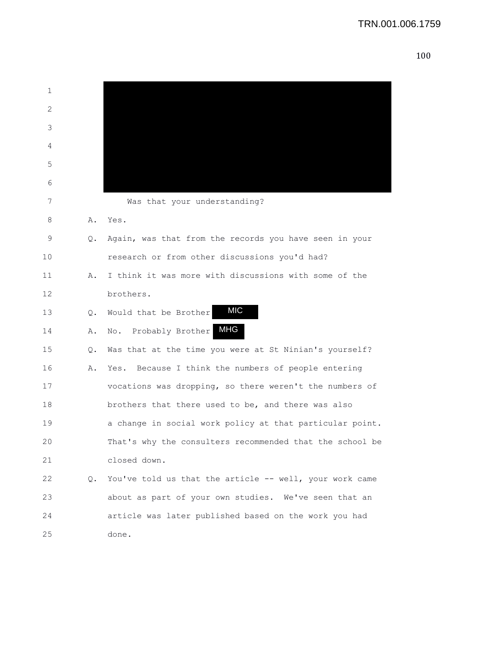| 1  |               |                                                          |
|----|---------------|----------------------------------------------------------|
| 2  |               |                                                          |
| 3  |               |                                                          |
| 4  |               |                                                          |
| 5  |               |                                                          |
| 6  |               |                                                          |
| 7  |               | Was that your understanding?                             |
| 8  | Α.            | Yes.                                                     |
| 9  | Q.            | Again, was that from the records you have seen in your   |
| 10 |               | research or from other discussions you'd had?            |
| 11 | Α.            | I think it was more with discussions with some of the    |
| 12 |               | brothers.                                                |
| 13 | $Q_{\bullet}$ | <b>MIC</b><br>Would that be Brother                      |
| 14 | Α.            | <b>MHG</b><br>No. Probably Brother                       |
| 15 | Q.            | Was that at the time you were at St Ninian's yourself?   |
| 16 | Α.            | Yes. Because I think the numbers of people entering      |
| 17 |               | vocations was dropping, so there weren't the numbers of  |
| 18 |               | brothers that there used to be, and there was also       |
| 19 |               | a change in social work policy at that particular point. |
| 20 |               | That's why the consulters recommended that the school be |
| 21 |               | closed down.                                             |
| 22 | Q.            | You've told us that the article -- well, your work came  |
| 23 |               | about as part of your own studies. We've seen that an    |
| 24 |               | article was later published based on the work you had    |
| 25 |               | done.                                                    |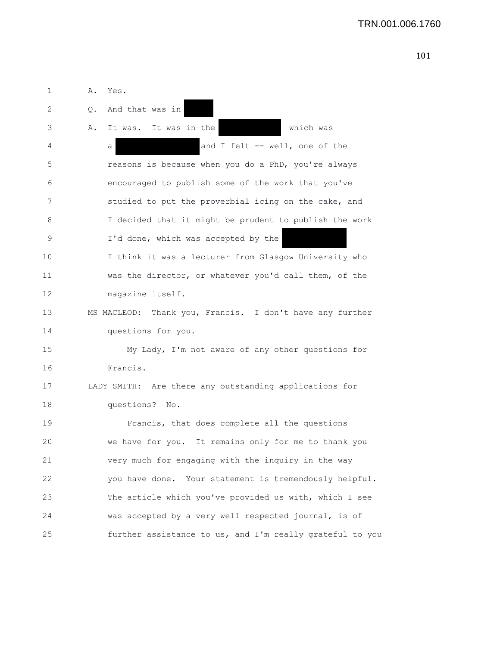1 A. Yes. 2 Q. And that was in 3 A. It was. It was in the which was 4 a a a and I felt -- well, one of the 5 reasons is because when you do a PhD, you're always 6 encouraged to publish some of the work that you've 7 studied to put the proverbial icing on the cake, and 8 I decided that it might be prudent to publish the work 9 I'd done, which was accepted by the 10 I think it was a lecturer from Glasgow University who 11 was the director, or whatever you'd call them, of the 12 magazine itself. 13 MS MACLEOD: Thank you, Francis. I don't have any further 14 questions for you. 15 My Lady, I'm not aware of any other questions for 16 Francis. 17 LADY SMITH: Are there any outstanding applications for 18 questions? No. 19 Francis, that does complete all the questions 20 we have for you. It remains only for me to thank you 21 very much for engaging with the inquiry in the way 22 you have done. Your statement is tremendously helpful. 23 The article which you've provided us with, which I see 24 was accepted by a very well respected journal, is of 25 further assistance to us, and I'm really grateful to you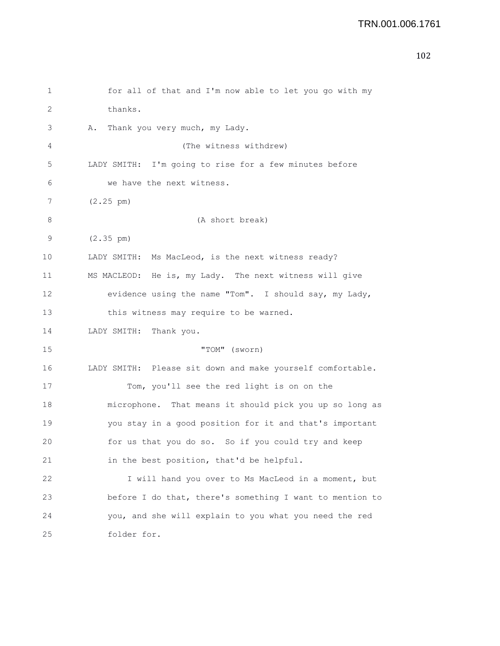```
1 for all of that and I'm now able to let you go with my
2 thanks.
3 A. Thank you very much, my Lady.
4 (The witness withdrew)
5 LADY SMITH: I'm going to rise for a few minutes before
6 we have the next witness.
7 (2.25 pm)
8 (A short break)
9 (2.35 pm)
10 LADY SMITH: Ms MacLeod, is the next witness ready?
11 MS MACLEOD: He is, my Lady. The next witness will give
12 evidence using the name "Tom". I should say, my Lady,
13 this witness may require to be warned.
14 LADY SMITH: Thank you.
15 "TOM" (sworn)
16 LADY SMITH: Please sit down and make yourself comfortable.
17 Tom, you'll see the red light is on on the
18 microphone. That means it should pick you up so long as
19 you stay in a good position for it and that's important
20 for us that you do so. So if you could try and keep
21 in the best position, that'd be helpful.
22 I will hand you over to Ms MacLeod in a moment, but
23 before I do that, there's something I want to mention to
24 you, and she will explain to you what you need the red
25 folder for.
```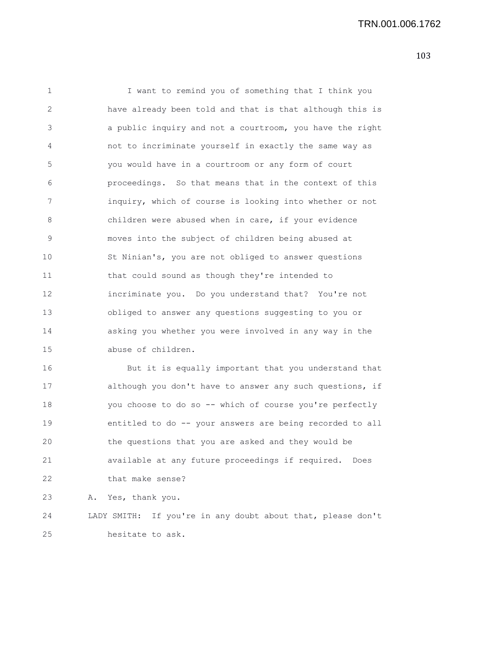1 I want to remind you of something that I think you 2 have already been told and that is that although this is 3 a public inquiry and not a courtroom, you have the right 4 not to incriminate yourself in exactly the same way as 5 you would have in a courtroom or any form of court 6 proceedings. So that means that in the context of this 7 inquiry, which of course is looking into whether or not 8 children were abused when in care, if your evidence 9 moves into the subject of children being abused at 10 St Ninian's, you are not obliged to answer questions 11 that could sound as though they're intended to 12 incriminate you. Do you understand that? You're not 13 obliged to answer any questions suggesting to you or 14 asking you whether you were involved in any way in the 15 abuse of children. 16 But it is equally important that you understand that 17 although you don't have to answer any such questions, if 18 you choose to do so -- which of course you're perfectly 19 entitled to do -- your answers are being recorded to all 20 the questions that you are asked and they would be 21 available at any future proceedings if required. Does 22 that make sense?

23 A. Yes, thank you.

24 LADY SMITH: If you're in any doubt about that, please don't 25 hesitate to ask.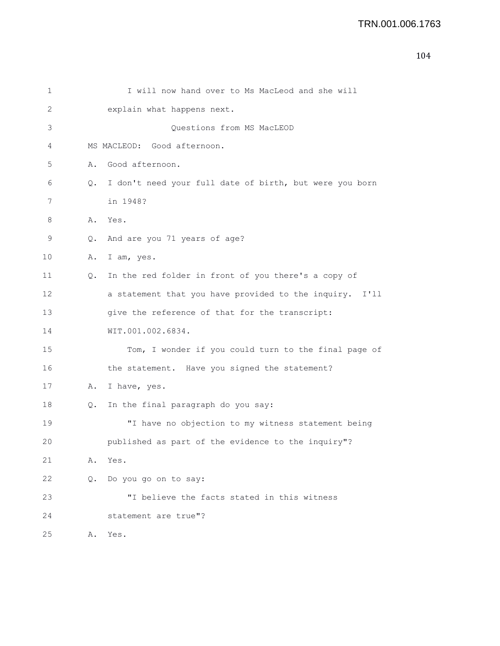| 1  |    | I will now hand over to Ms MacLeod and she will         |
|----|----|---------------------------------------------------------|
| 2  |    | explain what happens next.                              |
| 3  |    | Questions from MS MacLEOD                               |
| 4  |    | MS MACLEOD: Good afternoon.                             |
| 5  | Α. | Good afternoon.                                         |
| 6  | Q. | I don't need your full date of birth, but were you born |
| 7  |    | in 1948?                                                |
| 8  | Α. | Yes.                                                    |
| 9  | Q. | And are you 71 years of age?                            |
| 10 | Α. | I am, yes.                                              |
| 11 | Q. | In the red folder in front of you there's a copy of     |
| 12 |    | a statement that you have provided to the inquiry. I'll |
| 13 |    | give the reference of that for the transcript:          |
| 14 |    | WIT.001.002.6834.                                       |
| 15 |    | Tom, I wonder if you could turn to the final page of    |
| 16 |    | the statement. Have you signed the statement?           |
| 17 | Α. | I have, yes.                                            |
| 18 | Q. | In the final paragraph do you say:                      |
| 19 |    | "I have no objection to my witness statement being      |
| 20 |    | published as part of the evidence to the inquiry"?      |
| 21 | Α. | Yes.                                                    |
| 22 | Q. | Do you go on to say:                                    |
| 23 |    | "I believe the facts stated in this witness             |
| 24 |    | statement are true"?                                    |
| 25 | Α. | Yes.                                                    |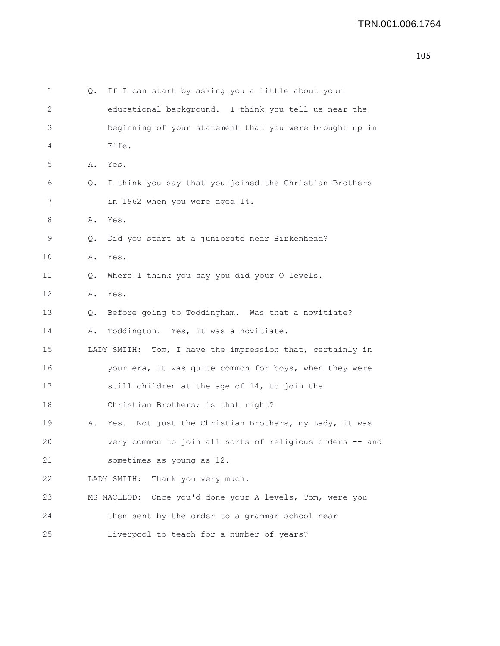| $\mathbf 1$  | Q.            | If I can start by asking you a little about your             |
|--------------|---------------|--------------------------------------------------------------|
| $\mathbf{2}$ |               | educational background. I think you tell us near the         |
| 3            |               | beginning of your statement that you were brought up in      |
| 4            |               | Fife.                                                        |
| $\mathsf S$  | Α.            | Yes.                                                         |
| 6            | Q.            | I think you say that you joined the Christian Brothers       |
| 7            |               | in 1962 when you were aged 14.                               |
| 8            | Α.            | Yes.                                                         |
| 9            | Q.            | Did you start at a juniorate near Birkenhead?                |
| 10           | Α.            | Yes.                                                         |
| 11           | Q.            | Where I think you say you did your O levels.                 |
| 12           | Α.            | Yes.                                                         |
| 13           | $Q_{\bullet}$ | Before going to Toddingham. Was that a novitiate?            |
| 14           | Α.            | Toddington. Yes, it was a novitiate.                         |
| 15           |               | Tom, I have the impression that, certainly in<br>LADY SMITH: |
| 16           |               | your era, it was quite common for boys, when they were       |
| 17           |               | still children at the age of 14, to join the                 |
| 18           |               | Christian Brothers; is that right?                           |
| 19           | Α.            | Yes. Not just the Christian Brothers, my Lady, it was        |
| 20           |               | very common to join all sorts of religious orders -- and     |
| 21           |               | sometimes as young as 12.                                    |
| 22           |               | Thank you very much.<br>LADY SMITH:                          |
| 23           |               | MS MACLEOD: Once you'd done your A levels, Tom, were you     |
| 24           |               | then sent by the order to a grammar school near              |
| 25           |               | Liverpool to teach for a number of years?                    |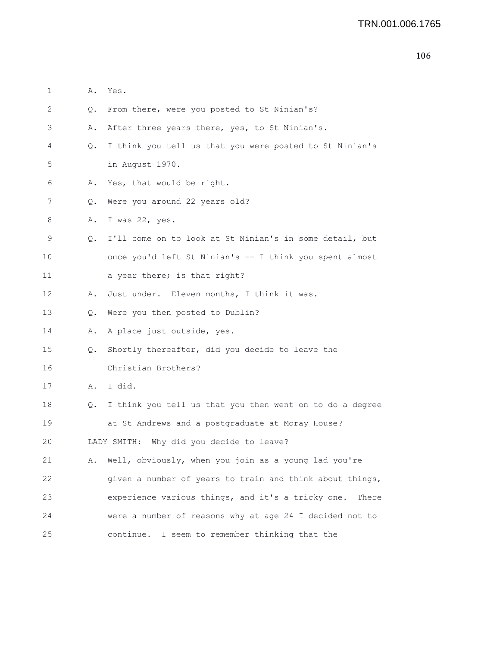|         | ۰.<br>. .    |
|---------|--------------|
| ۰.<br>× | ٦<br>۰,<br>× |

| 1                                                 | Α.        | Yes.                                                       |
|---------------------------------------------------|-----------|------------------------------------------------------------|
| 2                                                 | Q.        | From there, were you posted to St Ninian's?                |
| 3                                                 | Α.        | After three years there, yes, to St Ninian's.              |
| 4                                                 | Q.        | I think you tell us that you were posted to St Ninian's    |
| 5                                                 |           | in August 1970.                                            |
| 6                                                 | Α.        | Yes, that would be right.                                  |
| 7                                                 | Q.        | Were you around 22 years old?                              |
| 8                                                 | Α.        | I was 22, yes.                                             |
| 9                                                 | $\circ$ . | I'll come on to look at St Ninian's in some detail, but    |
| 10                                                |           | once you'd left St Ninian's -- I think you spent almost    |
| 11                                                |           | a year there; is that right?                               |
| 12                                                | Α.        | Just under. Eleven months, I think it was.                 |
| 13                                                | $\circ$ . | Were you then posted to Dublin?                            |
| 14                                                | Α.        | A place just outside, yes.                                 |
| 15                                                | Q.        | Shortly thereafter, did you decide to leave the            |
| 16                                                |           | Christian Brothers?                                        |
| 17                                                | Α.        | I did.                                                     |
| 18                                                | Q.        | I think you tell us that you then went on to do a degree   |
| 19                                                |           | at St Andrews and a postgraduate at Moray House?           |
| Why did you decide to leave?<br>20<br>LADY SMITH: |           |                                                            |
| 21                                                |           | A. Well, obviously, when you join as a young lad you're    |
| 22                                                |           | given a number of years to train and think about things,   |
| 23                                                |           | experience various things, and it's a tricky one.<br>There |
| 24                                                |           | were a number of reasons why at age 24 I decided not to    |
| 25                                                |           | continue. I seem to remember thinking that the             |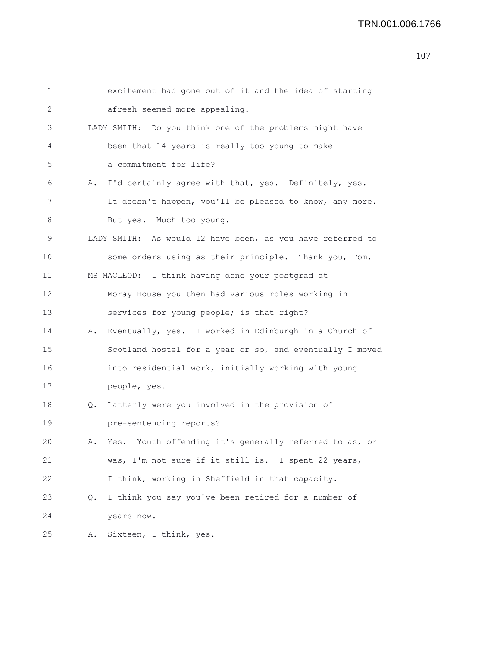| 1                 |    | excitement had gone out of it and the idea of starting     |
|-------------------|----|------------------------------------------------------------|
| 2                 |    | afresh seemed more appealing.                              |
| 3                 |    | LADY SMITH: Do you think one of the problems might have    |
| 4                 |    | been that 14 years is really too young to make             |
| 5                 |    | a commitment for life?                                     |
| 6                 | Α. | I'd certainly agree with that, yes. Definitely, yes.       |
| 7                 |    | It doesn't happen, you'll be pleased to know, any more.    |
| 8                 |    | But yes. Much too young.                                   |
| 9                 |    | LADY SMITH: As would 12 have been, as you have referred to |
| 10                |    | some orders using as their principle. Thank you, Tom.      |
| 11                |    | MS MACLEOD: I think having done your postgrad at           |
| $12 \overline{ }$ |    | Moray House you then had various roles working in          |
| 13                |    | services for young people; is that right?                  |
| 14                | Α. | Eventually, yes. I worked in Edinburgh in a Church of      |
| 15                |    | Scotland hostel for a year or so, and eventually I moved   |
| 16                |    | into residential work, initially working with young        |
| 17                |    | people, yes.                                               |
| 18                | Q. | Latterly were you involved in the provision of             |
| 19                |    | pre-sentencing reports?                                    |
| 20                | Α. | Yes. Youth offending it's generally referred to as, or     |
| 21                |    | was, I'm not sure if it still is. I spent 22 years,        |
| 22                |    | I think, working in Sheffield in that capacity.            |
| 23                | Q. | I think you say you've been retired for a number of        |
| 24                |    | years now.                                                 |
| 25                | Α. | Sixteen, I think, yes.                                     |
|                   |    |                                                            |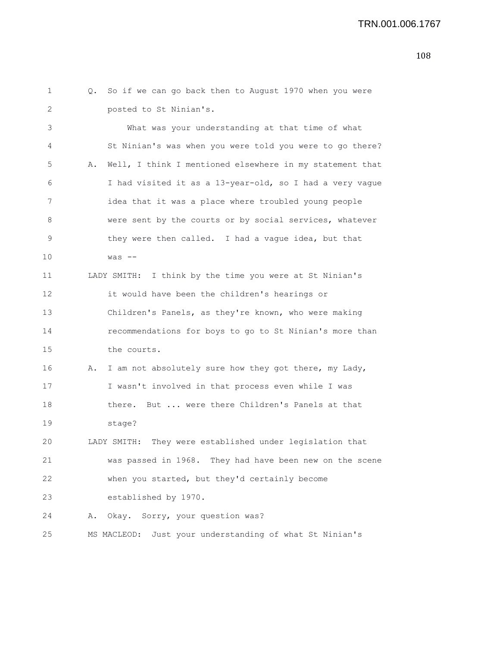1 Q. So if we can go back then to August 1970 when you were 2 posted to St Ninian's. 3 What was your understanding at that time of what 4 St Ninian's was when you were told you were to go there? 5 A. Well, I think I mentioned elsewhere in my statement that 6 I had visited it as a 13-year-old, so I had a very vague 7 idea that it was a place where troubled young people 8 were sent by the courts or by social services, whatever 9 they were then called. I had a vague idea, but that 10 was -- 11 LADY SMITH: I think by the time you were at St Ninian's 12 it would have been the children's hearings or 13 Children's Panels, as they're known, who were making 14 recommendations for boys to go to St Ninian's more than 15 the courts. 16 A. I am not absolutely sure how they got there, my Lady, 17 I wasn't involved in that process even while I was 18 there. But ... were there Children's Panels at that 19 stage? 20 LADY SMITH: They were established under legislation that 21 was passed in 1968. They had have been new on the scene 22 when you started, but they'd certainly become 23 established by 1970. 24 A. Okay. Sorry, your question was? 25 MS MACLEOD: Just your understanding of what St Ninian's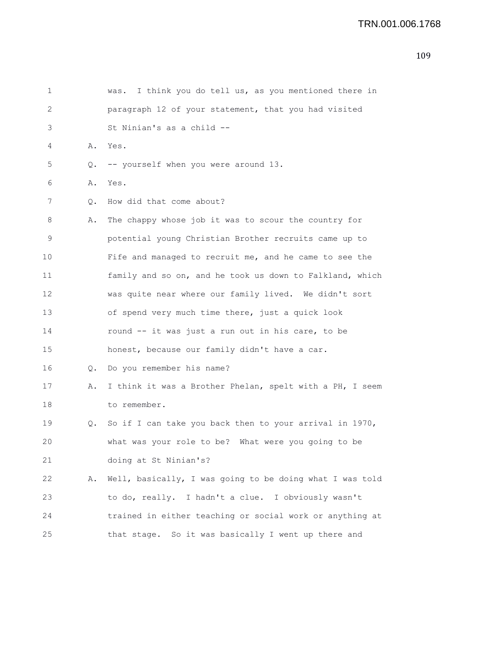| 1                 |           | was. I think you do tell us, as you mentioned there in   |
|-------------------|-----------|----------------------------------------------------------|
| 2                 |           | paragraph 12 of your statement, that you had visited     |
| 3                 |           | St Ninian's as a child --                                |
| 4                 | Α.        | Yes.                                                     |
| 5                 | Q.        | -- yourself when you were around 13.                     |
| 6                 | Α.        | Yes.                                                     |
| 7                 | $\circ$ . | How did that come about?                                 |
| 8                 | Α.        | The chappy whose job it was to scour the country for     |
| 9                 |           | potential young Christian Brother recruits came up to    |
| 10                |           | Fife and managed to recruit me, and he came to see the   |
| 11                |           | family and so on, and he took us down to Falkland, which |
| $12 \overline{ }$ |           | was quite near where our family lived. We didn't sort    |
| 13                |           | of spend very much time there, just a quick look         |
| 14                |           | round -- it was just a run out in his care, to be        |
| 15                |           | honest, because our family didn't have a car.            |
| 16                | Q.        | Do you remember his name?                                |
| 17                | Α.        | I think it was a Brother Phelan, spelt with a PH, I seem |
| 18                |           | to remember.                                             |
| 19                | Q.        | So if I can take you back then to your arrival in 1970,  |
| 20                |           | what was your role to be? What were you going to be      |
| 21                |           | doing at St Ninian's?                                    |
| 22                | Α.        | Well, basically, I was going to be doing what I was told |
| 23                |           | to do, really. I hadn't a clue. I obviously wasn't       |
| 24                |           | trained in either teaching or social work or anything at |
| 25                |           | that stage. So it was basically I went up there and      |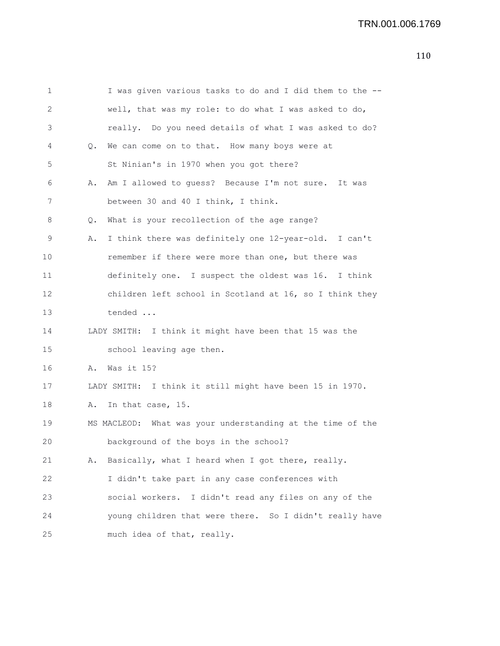| 1  |    | I was given various tasks to do and I did them to the --   |
|----|----|------------------------------------------------------------|
| 2  |    | well, that was my role: to do what I was asked to do,      |
| 3  |    | really. Do you need details of what I was asked to do?     |
| 4  | Q. | We can come on to that. How many boys were at              |
| 5  |    | St Ninian's in 1970 when you got there?                    |
| 6  | Α. | Am I allowed to quess? Because I'm not sure. It was        |
| 7  |    | between 30 and 40 I think, I think.                        |
| 8  | Q. | What is your recollection of the age range?                |
| 9  | Α. | I think there was definitely one 12-year-old. I can't      |
| 10 |    | remember if there were more than one, but there was        |
| 11 |    | definitely one. I suspect the oldest was 16. I think       |
| 12 |    | children left school in Scotland at 16, so I think they    |
| 13 |    | tended                                                     |
| 14 |    | LADY SMITH: I think it might have been that 15 was the     |
| 15 |    | school leaving age then.                                   |
| 16 | Α. | Was it 15?                                                 |
| 17 |    | LADY SMITH: I think it still might have been 15 in 1970.   |
| 18 | Α. | In that case, 15.                                          |
| 19 |    | MS MACLEOD: What was your understanding at the time of the |
| 20 |    | background of the boys in the school?                      |
| 21 | Α. | Basically, what I heard when I got there, really.          |
| 22 |    | I didn't take part in any case conferences with            |
| 23 |    | social workers. I didn't read any files on any of the      |
| 24 |    | young children that were there. So I didn't really have    |
| 25 |    | much idea of that, really.                                 |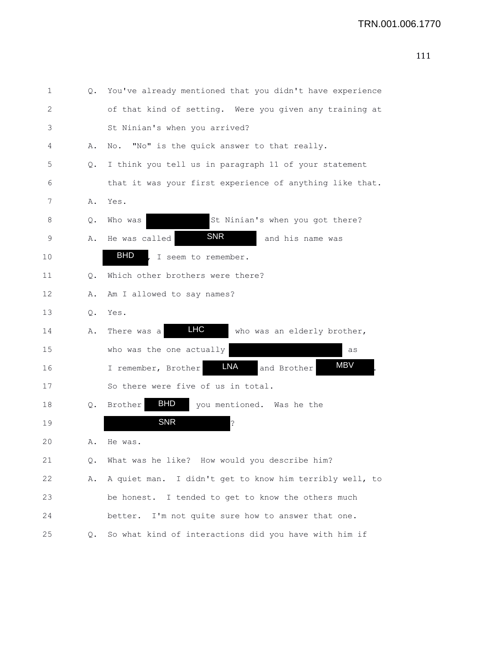| 1  | Q. | You've already mentioned that you didn't have experience |
|----|----|----------------------------------------------------------|
| 2  |    | of that kind of setting. Were you given any training at  |
| 3  |    | St Ninian's when you arrived?                            |
| 4  | Α. | No. "No" is the quick answer to that really.             |
| 5  | Q. | I think you tell us in paragraph 11 of your statement    |
| 6  |    | that it was your first experience of anything like that. |
| 7  | Α. | Yes.                                                     |
| 8  | Q. | St Ninian's when you got there?<br>Who was               |
| 9  | Α. | <b>SNR</b><br>He was called<br>and his name was          |
| 10 |    | <b>BHD</b><br>I seem to remember.                        |
| 11 | Q. | Which other brothers were there?                         |
| 12 | Α. | Am I allowed to say names?                               |
| 13 | Q. | Yes.                                                     |
| 14 | Α. | <b>LHC</b><br>There was a<br>who was an elderly brother, |
| 15 |    | who was the one actually<br>as                           |
| 16 |    | <b>MBV</b><br>LNA<br>I remember, Brother<br>and Brother  |
| 17 |    | So there were five of us in total.                       |
| 18 | Q. | <b>BHD</b><br>Brother<br>you mentioned. Was he the       |
| 19 |    | <b>SNR</b><br>?                                          |
| 20 | Α. | He was.                                                  |
| 21 | Q. | What was he like? How would you describe him?            |
| 22 | Α. | A quiet man. I didn't get to know him terribly well, to  |
| 23 |    | be honest. I tended to get to know the others much       |
| 24 |    | better. I'm not quite sure how to answer that one.       |
| 25 | Q. | So what kind of interactions did you have with him if    |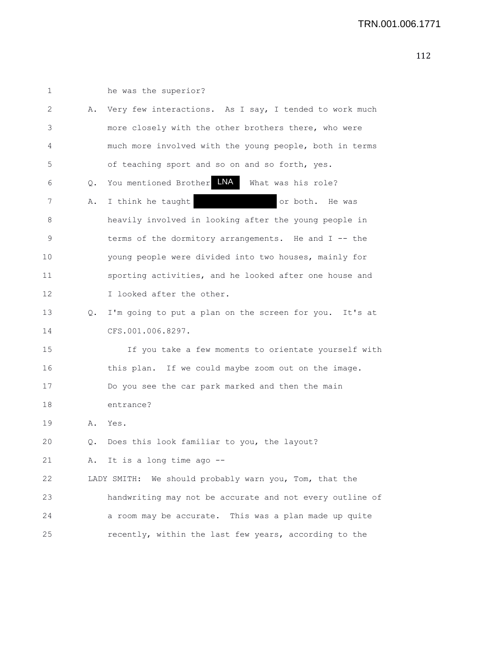| 1  |    | he was the superior?                                     |
|----|----|----------------------------------------------------------|
| 2  | Α. | Very few interactions. As I say, I tended to work much   |
| 3  |    | more closely with the other brothers there, who were     |
| 4  |    | much more involved with the young people, both in terms  |
| 5  |    | of teaching sport and so on and so forth, yes.           |
| 6  | Q. | You mentioned Brother LNA<br>What was his role?          |
| 7  | Α. | I think he taught<br>or both. He was                     |
| 8  |    | heavily involved in looking after the young people in    |
| 9  |    | terms of the dormitory arrangements. He and I -- the     |
| 10 |    | young people were divided into two houses, mainly for    |
| 11 |    | sporting activities, and he looked after one house and   |
| 12 |    | I looked after the other.                                |
| 13 | Q. | I'm going to put a plan on the screen for you. It's at   |
| 14 |    | CFS.001.006.8297.                                        |
| 15 |    | If you take a few moments to orientate yourself with     |
| 16 |    | this plan. If we could maybe zoom out on the image.      |
| 17 |    | Do you see the car park marked and then the main         |
| 18 |    | entrance?                                                |
| 19 | Α. | Yes.                                                     |
| 20 | Q. | Does this look familiar to you, the layout?              |
| 21 |    | A. It is a long time ago --                              |
| 22 |    | LADY SMITH: We should probably warn you, Tom, that the   |
| 23 |    | handwriting may not be accurate and not every outline of |
| 24 |    | a room may be accurate. This was a plan made up quite    |
| 25 |    | recently, within the last few years, according to the    |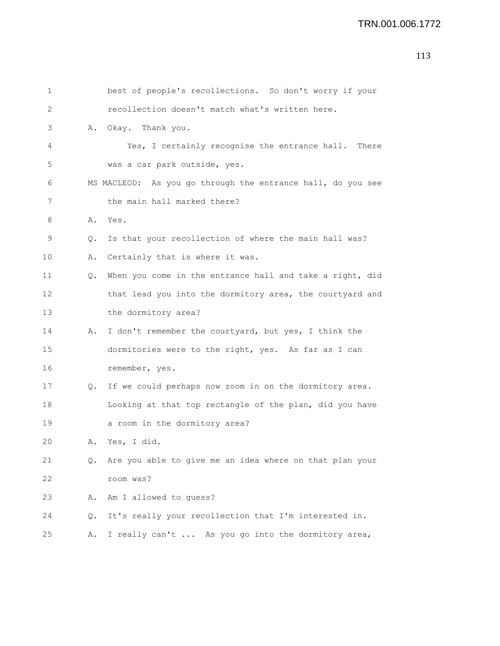```
1 best of people's recollections. So don't worry if your
2 recollection doesn't match what's written here.
3 A. Okay. Thank you.
4 Yes, I certainly recognise the entrance hall. There
5 was a car park outside, yes.
6 MS MACLEOD: As you go through the entrance hall, do you see
7 the main hall marked there?
8 A. Yes.
9 Q. Is that your recollection of where the main hall was?
10 A. Certainly that is where it was.
11 Q. When you come in the entrance hall and take a right, did
12 that lead you into the dormitory area, the courtyard and
13 the dormitory area?
14 A. I don't remember the courtyard, but yes, I think the
15 dormitories were to the right, yes. As far as I can
16 remember, yes.
17 Q. If we could perhaps now zoom in on the dormitory area.
18 Looking at that top rectangle of the plan, did you have
19 a room in the dormitory area?
20 A. Yes, I did.
21 Q. Are you able to give me an idea where on that plan your
22 room was?
23 A. Am I allowed to guess?
24 Q. It's really your recollection that I'm interested in.
25 A. I really can't ... As you go into the dormitory area,
```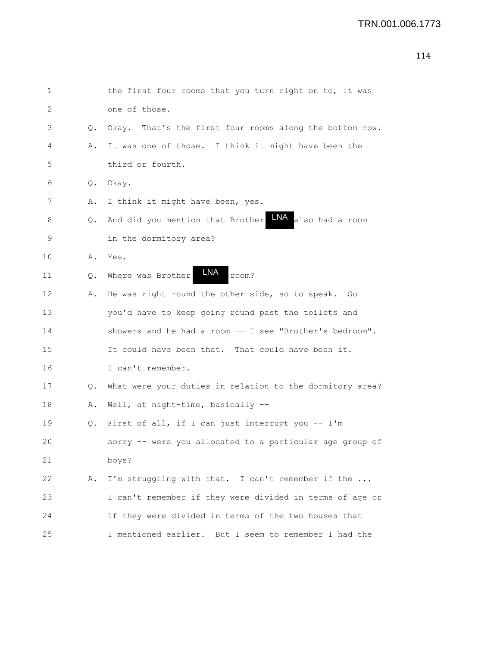| 1  |    | the first four rooms that you turn right on to, it was     |
|----|----|------------------------------------------------------------|
| 2  |    | one of those.                                              |
| 3  | Q. | Okay. That's the first four rooms along the bottom row.    |
| 4  | Α. | It was one of those. I think it might have been the        |
| 5  |    | third or fourth.                                           |
| 6  | Q. | Okay.                                                      |
| 7  | Α. | I think it might have been, yes.                           |
| 8  | Q. | LNA<br>also had a room<br>And did you mention that Brother |
| 9  |    | in the dormitory area?                                     |
| 10 | Α. | Yes.                                                       |
| 11 | Q. | LNA<br>room?<br>Where was Brother                          |
| 12 | Α. | He was right round the other side, so to speak. So         |
| 13 |    | you'd have to keep going round past the toilets and        |
| 14 |    | showers and he had a room -- I see "Brother's bedroom".    |
| 15 |    | It could have been that. That could have been it.          |
| 16 |    | I can't remember.                                          |
| 17 | Q. | What were your duties in relation to the dormitory area?   |
| 18 | Α. | Well, at night-time, basically --                          |
| 19 | Q. | First of all, if I can just interrupt you -- I'm           |
| 20 |    | were you allocated to a particular age group of<br>sorry   |
| 21 |    | boys?                                                      |
| 22 | Α. | I'm struggling with that. I can't remember if the          |
| 23 |    | I can't remember if they were divided in terms of age or   |
| 24 |    | if they were divided in terms of the two houses that       |
| 25 |    | I mentioned earlier. But I seem to remember I had the      |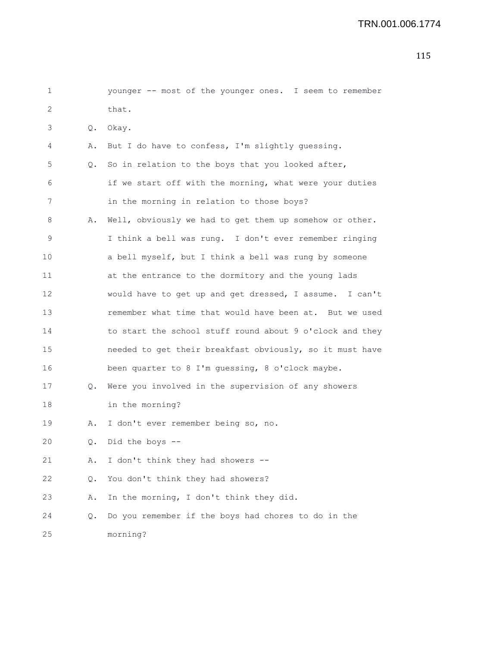| 1           |               | younger -- most of the younger ones. I seem to remember  |
|-------------|---------------|----------------------------------------------------------|
| 2           |               | that.                                                    |
| 3           | $Q_{\bullet}$ | Okay.                                                    |
| 4           | Α.            | But I do have to confess, I'm slightly guessing.         |
| 5           | Q.            | So in relation to the boys that you looked after,        |
| 6           |               | if we start off with the morning, what were your duties  |
| 7           |               | in the morning in relation to those boys?                |
| 8           | Α.            | Well, obviously we had to get them up somehow or other.  |
| $\mathsf 9$ |               | I think a bell was rung. I don't ever remember ringing   |
| 10          |               | a bell myself, but I think a bell was rung by someone    |
| 11          |               | at the entrance to the dormitory and the young lads      |
| 12          |               | would have to get up and get dressed, I assume. I can't  |
| 13          |               | remember what time that would have been at. But we used  |
| 14          |               | to start the school stuff round about 9 o'clock and they |
| 15          |               | needed to get their breakfast obviously, so it must have |
| 16          |               | been quarter to 8 I'm guessing, 8 o'clock maybe.         |
| 17          | Q.            | Were you involved in the supervision of any showers      |
| 18          |               | in the morning?                                          |
| 19          | Α.            | I don't ever remember being so, no.                      |
| 20          |               | Q. Did the boys --                                       |
| 21          | Α.            | I don't think they had showers --                        |
| 22          | Q.            | You don't think they had showers?                        |
| 23          | Α.            | In the morning, I don't think they did.                  |
| 24          | Q.            | Do you remember if the boys had chores to do in the      |
| 25          |               | morning?                                                 |
|             |               |                                                          |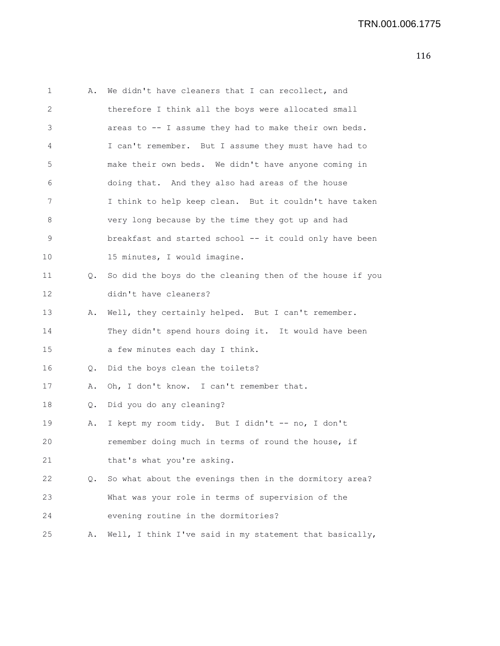| 1  | Α.            | We didn't have cleaners that I can recollect, and        |
|----|---------------|----------------------------------------------------------|
| 2  |               | therefore I think all the boys were allocated small      |
| 3  |               | areas to -- I assume they had to make their own beds.    |
| 4  |               | I can't remember. But I assume they must have had to     |
| 5  |               | make their own beds. We didn't have anyone coming in     |
| 6  |               | doing that. And they also had areas of the house         |
| 7  |               | I think to help keep clean. But it couldn't have taken   |
| 8  |               | very long because by the time they got up and had        |
| 9  |               | breakfast and started school -- it could only have been  |
| 10 |               | 15 minutes, I would imagine.                             |
| 11 | Q.            | So did the boys do the cleaning then of the house if you |
| 12 |               | didn't have cleaners?                                    |
| 13 | Α.            | Well, they certainly helped. But I can't remember.       |
| 14 |               | They didn't spend hours doing it. It would have been     |
| 15 |               | a few minutes each day I think.                          |
| 16 | Q.            | Did the boys clean the toilets?                          |
| 17 | Α.            | Oh, I don't know. I can't remember that.                 |
| 18 | Q.            | Did you do any cleaning?                                 |
| 19 | Α.            | I kept my room tidy. But I didn't -- no, I don't         |
| 20 |               | remember doing much in terms of round the house, if      |
| 21 |               | that's what you're asking.                               |
| 22 | $Q_{\bullet}$ | So what about the evenings then in the dormitory area?   |
| 23 |               | What was your role in terms of supervision of the        |
| 24 |               | evening routine in the dormitories?                      |
| 25 | Α.            | Well, I think I've said in my statement that basically,  |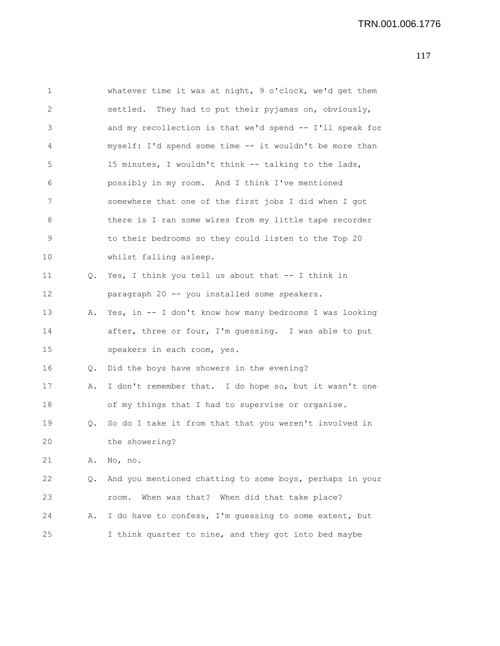```
1 whatever time it was at night, 9 o'clock, we'd get them
2 settled. They had to put their pyjamas on, obviously,
3 and my recollection is that we'd spend -- I'll speak for
4 myself: I'd spend some time -- it wouldn't be more than
5 15 minutes, I wouldn't think -- talking to the lads,
6 possibly in my room. And I think I've mentioned
7 somewhere that one of the first jobs I did when I got
8 there is I ran some wires from my little tape recorder
9 to their bedrooms so they could listen to the Top 20
10 whilst falling asleep.
11 Q. Yes, I think you tell us about that -- I think in
12 paragraph 20 -- you installed some speakers.
13 A. Yes, in -- I don't know how many bedrooms I was looking
14 after, three or four, I'm guessing. I was able to put
15 speakers in each room, yes.
16 Q. Did the boys have showers in the evening?
17 A. I don't remember that. I do hope so, but it wasn't one
18 of my things that I had to supervise or organise.
19 Q. So do I take it from that that you weren't involved in
20 the showering?
21 A. No, no.
22 Q. And you mentioned chatting to some boys, perhaps in your
23 room. When was that? When did that take place?
24 A. I do have to confess, I'm guessing to some extent, but
25 I think quarter to nine, and they got into bed maybe
```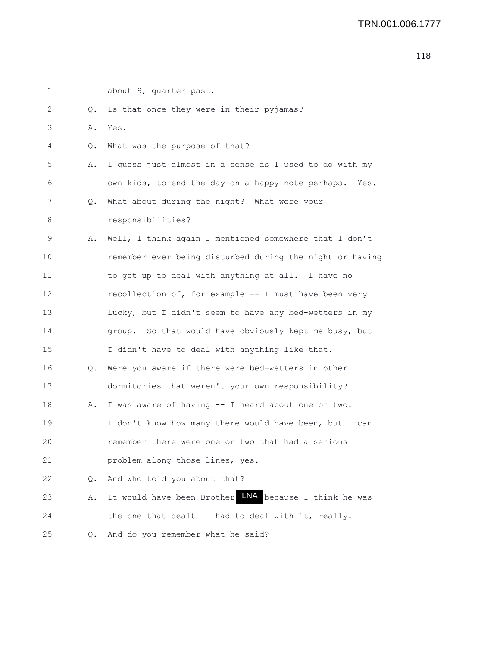|  | about 9, quarter past.                                         |
|--|----------------------------------------------------------------|
|  | Is that once they were in their pyjamas?                       |
|  | Yes.                                                           |
|  | What was the purpose of that?                                  |
|  | I guess just almost in a sense as I used to do with my         |
|  | own kids, to end the day on a happy note perhaps. Yes.         |
|  | What about during the night? What were your                    |
|  | responsibilities?                                              |
|  | Well, I think again I mentioned somewhere that I don't         |
|  | remember ever being disturbed during the night or having       |
|  | to get up to deal with anything at all. I have no              |
|  | recollection of, for example -- I must have been very          |
|  | lucky, but I didn't seem to have any bed-wetters in my         |
|  | group. So that would have obviously kept me busy, but          |
|  | I didn't have to deal with anything like that.                 |
|  | Were you aware if there were bed-wetters in other              |
|  | dormitories that weren't your own responsibility?              |
|  | I was aware of having -- I heard about one or two.             |
|  | I don't know how many there would have been, but I can         |
|  | remember there were one or two that had a serious              |
|  | problem along those lines, yes.                                |
|  | And who told you about that?                                   |
|  | It would have been Brother LNA<br>because I think he was       |
|  | the one that dealt -- had to deal with it, really.             |
|  | And do you remember what he said?                              |
|  | Q.<br>Α.<br>Q.<br>Α.<br>Q.<br>Α.<br>Q.<br>Α.<br>Q.<br>Α.<br>Q. |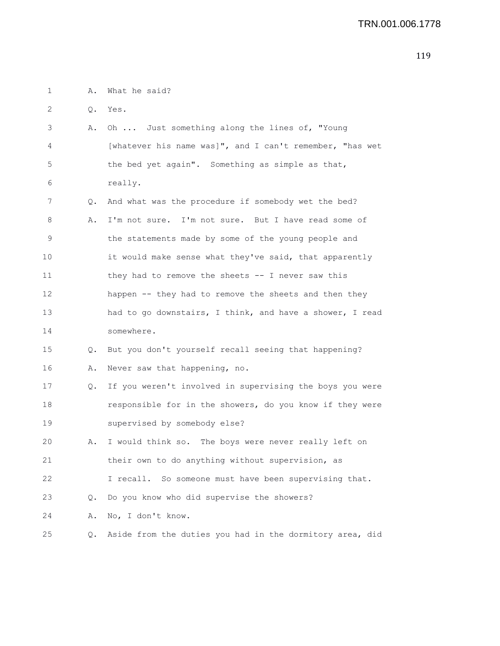1 A. What he said?

2 Q. Yes.

| 3              |    | A. Oh  Just something along the lines of, "Young         |
|----------------|----|----------------------------------------------------------|
| $\overline{4}$ |    | [whatever his name was]", and I can't remember, "has wet |
| - 5            |    | the bed yet again". Something as simple as that,         |
| - 6            |    | really.                                                  |
|                |    | Q. And what was the procedure if somebody wet the bed?   |
| 8              | Α. | I'm not sure. I'm not sure. But I have read some of      |

9 the statements made by some of the young people and 10 it would make sense what they've said, that apparently 11 they had to remove the sheets -- I never saw this 12 happen -- they had to remove the sheets and then they 13 had to go downstairs, I think, and have a shower, I read 14 somewhere.

15 Q. But you don't yourself recall seeing that happening? 16 A. Never saw that happening, no.

17 Q. If you weren't involved in supervising the boys you were 18 responsible for in the showers, do you know if they were 19 supervised by somebody else?

20 A. I would think so. The boys were never really left on 21 their own to do anything without supervision, as

22 I recall. So someone must have been supervising that.

23 Q. Do you know who did supervise the showers?

24 A. No, I don't know.

25 Q. Aside from the duties you had in the dormitory area, did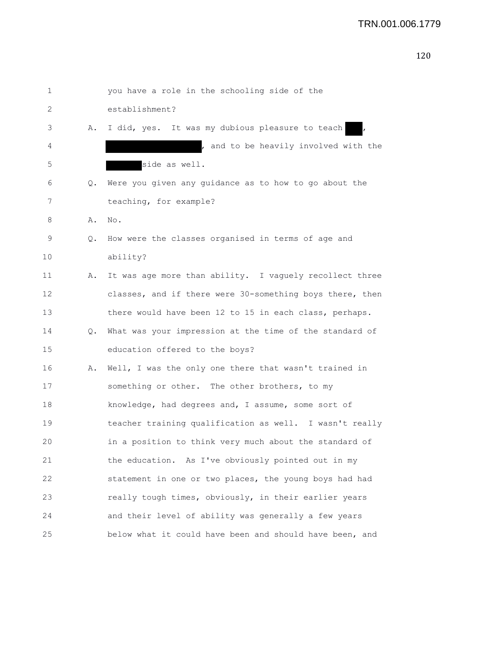|  | ×<br>۰. |
|--|---------|

| 1  |    | you have a role in the schooling side of the             |
|----|----|----------------------------------------------------------|
| 2  |    | establishment?                                           |
| 3  | Α. | I did, yes. It was my dubious pleasure to teach          |
| 4  |    | , and to be heavily involved with the                    |
| 5  |    | side as well.                                            |
| 6  | Q. | Were you given any guidance as to how to go about the    |
| 7  |    | teaching, for example?                                   |
| 8  | Α. | No.                                                      |
| 9  | Q. | How were the classes organised in terms of age and       |
| 10 |    | ability?                                                 |
| 11 | Α. | It was age more than ability. I vaguely recollect three  |
| 12 |    | classes, and if there were 30-something boys there, then |
| 13 |    | there would have been 12 to 15 in each class, perhaps.   |
| 14 | Q. | What was your impression at the time of the standard of  |
| 15 |    | education offered to the boys?                           |
| 16 | Α. | Well, I was the only one there that wasn't trained in    |
| 17 |    | something or other. The other brothers, to my            |
| 18 |    | knowledge, had degrees and, I assume, some sort of       |
| 19 |    | teacher training qualification as well. I wasn't really  |
| 20 |    | in a position to think very much about the standard of   |
| 21 |    | the education. As I've obviously pointed out in my       |
| 22 |    | statement in one or two places, the young boys had had   |
| 23 |    | really tough times, obviously, in their earlier years    |
| 24 |    | and their level of ability was generally a few years     |
| 25 |    | below what it could have been and should have been, and  |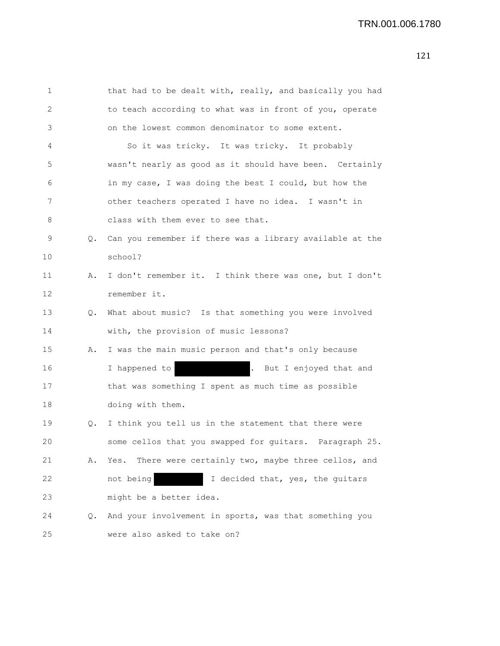1 that had to be dealt with, really, and basically you had 2 to teach according to what was in front of you, operate 3 on the lowest common denominator to some extent. 4 So it was tricky. It was tricky. It probably 5 wasn't nearly as good as it should have been. Certainly 6 in my case, I was doing the best I could, but how the 7 other teachers operated I have no idea. I wasn't in 8 class with them ever to see that. 9 Q. Can you remember if there was a library available at the 10 school? 11 A. I don't remember it. I think there was one, but I don't 12 remember it. 13 Q. What about music? Is that something you were involved 14 with, the provision of music lessons? 15 A. I was the main music person and that's only because 16 16 I happened to . But I enjoyed that and 17 that was something I spent as much time as possible 18 doing with them. 19 Q. I think you tell us in the statement that there were

- 20 some cellos that you swapped for guitars. Paragraph 25. 21 A. Yes. There were certainly two, maybe three cellos, and 22 not being I decided that, yes, the guitars 23 might be a better idea.
- 24 Q. And your involvement in sports, was that something you 25 were also asked to take on?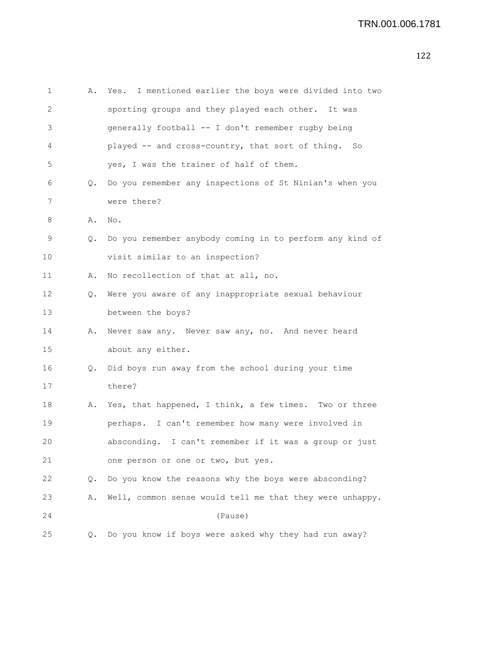| 1  | Α. | Yes. I mentioned earlier the boys were divided into two  |
|----|----|----------------------------------------------------------|
| 2  |    | sporting groups and they played each other. It was       |
| 3  |    | generally football -- I don't remember rugby being       |
| 4  |    | played -- and cross-country, that sort of thing. So      |
| 5  |    | yes, I was the trainer of half of them.                  |
| 6  | Q. | Do you remember any inspections of St Ninian's when you  |
| 7  |    | were there?                                              |
| 8  | Α. | No.                                                      |
| 9  | Q. | Do you remember anybody coming in to perform any kind of |
| 10 |    | visit similar to an inspection?                          |
| 11 | Α. | No recollection of that at all, no.                      |
| 12 | Q. | Were you aware of any inappropriate sexual behaviour     |
| 13 |    | between the boys?                                        |
| 14 | Α. | Never saw any. Never saw any, no. And never heard        |
| 15 |    | about any either.                                        |
| 16 | Q. | Did boys run away from the school during your time       |
| 17 |    | there?                                                   |
| 18 | Α. | Yes, that happened, I think, a few times. Two or three   |
| 19 |    | perhaps. I can't remember how many were involved in      |
| 20 |    | absconding. I can't remember if it was a group or just   |
| 21 |    | one person or one or two, but yes.                       |
| 22 | Q. | Do you know the reasons why the boys were absconding?    |
| 23 | Α. | Well, common sense would tell me that they were unhappy. |
| 24 |    | (Pause)                                                  |
| 25 | Q. | Do you know if boys were asked why they had run away?    |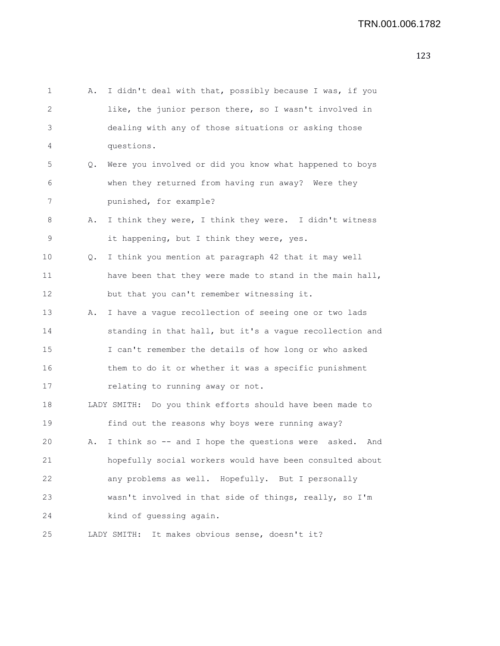```
1 A. I didn't deal with that, possibly because I was, if you
2 like, the junior person there, so I wasn't involved in
3 dealing with any of those situations or asking those
4 questions.
5 Q. Were you involved or did you know what happened to boys
6 when they returned from having run away? Were they
7 punished, for example?
8 A. I think they were, I think they were. I didn't witness
9 it happening, but I think they were, yes.
10 Q. I think you mention at paragraph 42 that it may well
11 have been that they were made to stand in the main hall,
12 but that you can't remember witnessing it.
13 A. I have a vague recollection of seeing one or two lads
14 standing in that hall, but it's a vague recollection and
15 I can't remember the details of how long or who asked
16 them to do it or whether it was a specific punishment
17 relating to running away or not.
18 LADY SMITH: Do you think efforts should have been made to
19 find out the reasons why boys were running away?
20 A. I think so -- and I hope the questions were asked. And
21 hopefully social workers would have been consulted about
22 any problems as well. Hopefully. But I personally
23 wasn't involved in that side of things, really, so I'm
24 kind of guessing again.
25 LADY SMITH: It makes obvious sense, doesn't it?
```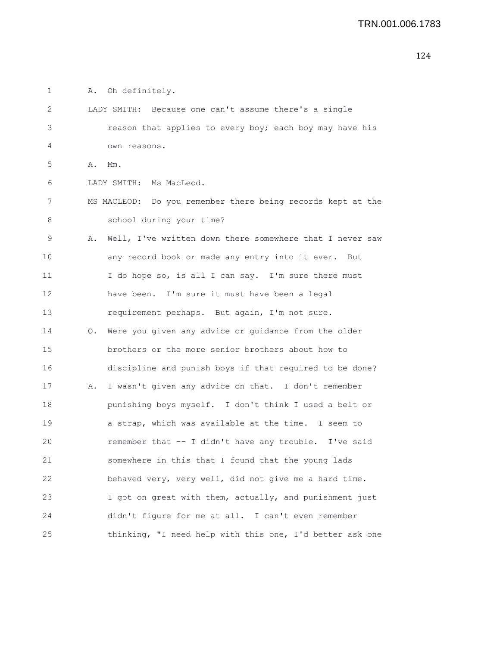| 1  |        | A. Oh definitely.                                           |
|----|--------|-------------------------------------------------------------|
| 2  |        | LADY SMITH: Because one can't assume there's a single       |
| 3  |        | reason that applies to every boy; each boy may have his     |
| 4  |        | own reasons.                                                |
| 5  | A. Mm. |                                                             |
| 6  |        | LADY SMITH: Ms MacLeod.                                     |
| 7  |        | MS MACLEOD: Do you remember there being records kept at the |
| 8  |        | school during your time?                                    |
| 9  | Α.     | Well, I've written down there somewhere that I never saw    |
| 10 |        | any record book or made any entry into it ever. But         |
| 11 |        | I do hope so, is all I can say. I'm sure there must         |
| 12 |        | have been. I'm sure it must have been a legal               |
| 13 |        | requirement perhaps. But again, I'm not sure.               |
| 14 |        | Q. Were you given any advice or guidance from the older     |
| 15 |        | brothers or the more senior brothers about how to           |
| 16 |        | discipline and punish boys if that required to be done?     |
| 17 | Α.     | I wasn't given any advice on that. I don't remember         |
| 18 |        | punishing boys myself. I don't think I used a belt or       |
| 19 |        | a strap, which was available at the time. I seem to         |
| 20 |        | remember that -- I didn't have any trouble. I've said       |
| 21 |        | somewhere in this that I found that the young lads          |
| 22 |        | behaved very, very well, did not give me a hard time.       |
| 23 |        | I got on great with them, actually, and punishment just     |
| 24 |        | didn't figure for me at all. I can't even remember          |
| 25 |        | thinking, "I need help with this one, I'd better ask one    |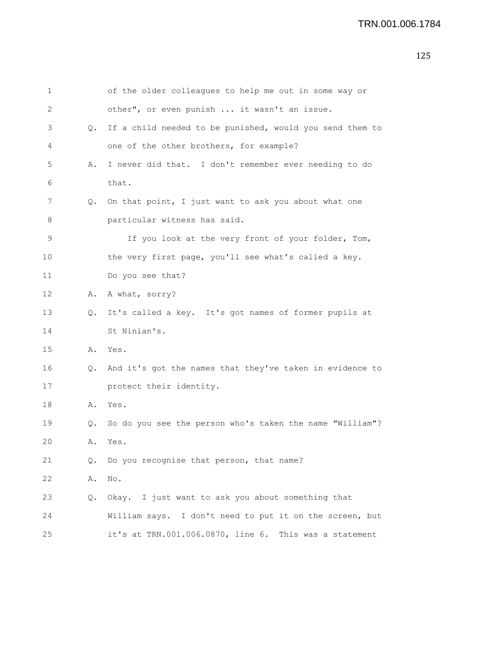| 1  |    | of the older colleagues to help me out in some way or    |
|----|----|----------------------------------------------------------|
| 2  |    | other", or even punish  it wasn't an issue.              |
| 3  | Q. | If a child needed to be punished, would you send them to |
| 4  |    | one of the other brothers, for example?                  |
| 5  | Α. | I never did that. I don't remember ever needing to do    |
| 6  |    | that.                                                    |
| 7  | Q. | On that point, I just want to ask you about what one     |
| 8  |    | particular witness has said.                             |
| 9  |    | If you look at the very front of your folder, Tom,       |
| 10 |    | the very first page, you'll see what's called a key.     |
| 11 |    | Do you see that?                                         |
| 12 |    | A. A what, sorry?                                        |
| 13 | Q. | It's called a key. It's got names of former pupils at    |
| 14 |    | St Ninian's.                                             |
| 15 |    | A. Yes.                                                  |
| 16 | Q. | And it's got the names that they've taken in evidence to |
| 17 |    | protect their identity.                                  |
| 18 | Α. | Yes.                                                     |
| 19 | Q. | So do you see the person who's taken the name "William"? |
| 20 |    | A. Yes.                                                  |
| 21 | Q. | Do you recognise that person, that name?                 |
| 22 | Α. | No.                                                      |
| 23 | Q. | Okay. I just want to ask you about something that        |
| 24 |    | William says. I don't need to put it on the screen, but  |
| 25 |    | it's at TRN.001.006.0870, line 6. This was a statement   |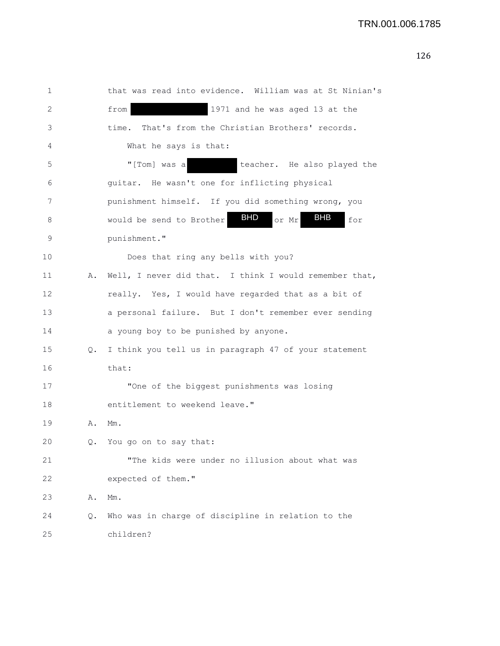| 1  |    | that was read into evidence. William was at St Ninian's              |
|----|----|----------------------------------------------------------------------|
| 2  |    | 1971 and he was aged 13 at the<br>from                               |
| 3  |    | That's from the Christian Brothers' records.<br>time.                |
| 4  |    | What he says is that:                                                |
| 5  |    | "[Tom] was a<br>teacher. He also played the                          |
| 6  |    | guitar. He wasn't one for inflicting physical                        |
| 7  |    | punishment himself. If you did something wrong, you                  |
| 8  |    | <b>BHD</b><br><b>BHB</b><br>would be send to Brother<br>or Mr<br>for |
| 9  |    | punishment."                                                         |
| 10 |    | Does that ring any bells with you?                                   |
| 11 | Α. | Well, I never did that. I think I would remember that,               |
| 12 |    | really. Yes, I would have regarded that as a bit of                  |
| 13 |    | a personal failure. But I don't remember ever sending                |
| 14 |    | a young boy to be punished by anyone.                                |
| 15 | Q. | I think you tell us in paragraph 47 of your statement                |
| 16 |    | that:                                                                |
| 17 |    | "One of the biggest punishments was losing                           |
| 18 |    | entitlement to weekend leave."                                       |
| 19 | Α. | Mm.                                                                  |
| 20 | Q. | You go on to say that:                                               |
| 21 |    | "The kids were under no illusion about what was                      |
| 22 |    | expected of them."                                                   |
| 23 | Α. | Mm.                                                                  |
| 24 | Q. | Who was in charge of discipline in relation to the                   |
| 25 |    | children?                                                            |
|    |    |                                                                      |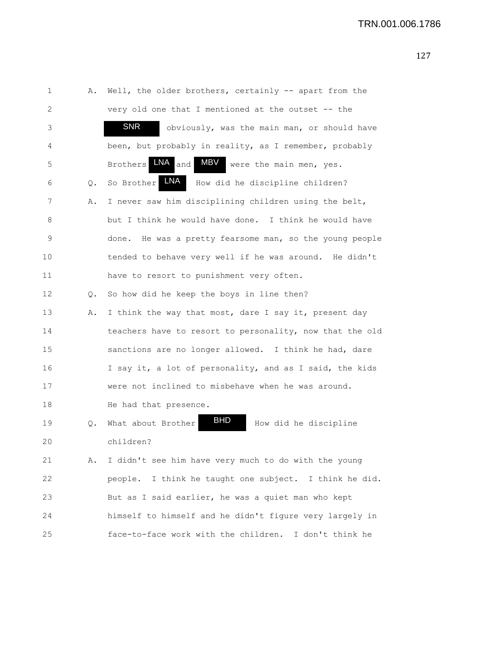| 1  | Α.    | Well, the older brothers, certainly -- apart from the          |
|----|-------|----------------------------------------------------------------|
| 2  |       | very old one that I mentioned at the outset -- the             |
| 3  |       | <b>SNR</b><br>obviously, was the main man, or should have      |
| 4  |       | been, but probably in reality, as I remember, probably         |
| 5  |       | $LNA$ and<br>MBV<br><b>Brothers</b><br>were the main men, yes. |
| 6  | $Q$ . | <b>LNA</b><br>So Brother<br>How did he discipline children?    |
| 7  | Α.    | I never saw him disciplining children using the belt,          |
| 8  |       | but I think he would have done. I think he would have          |
| 9  |       | He was a pretty fearsome man, so the young people<br>done.     |
| 10 |       | tended to behave very well if he was around. He didn't         |
| 11 |       | have to resort to punishment very often.                       |
| 12 | Q.    | So how did he keep the boys in line then?                      |
| 13 | Α.    | I think the way that most, dare I say it, present day          |
| 14 |       | teachers have to resort to personality, now that the old       |
| 15 |       | sanctions are no longer allowed. I think he had, dare          |
| 16 |       | I say it, a lot of personality, and as I said, the kids        |
| 17 |       | were not inclined to misbehave when he was around.             |
| 18 |       | He had that presence.                                          |
| 19 | Q.    | <b>BHD</b><br>What about Brother<br>How did he discipline      |
| 20 |       | children?                                                      |
| 21 | Α.    | I didn't see him have very much to do with the young           |
| 22 |       | I think he taught one subject. I think he did.<br>people.      |
| 23 |       | But as I said earlier, he was a quiet man who kept             |
| 24 |       | himself to himself and he didn't figure very largely in        |
| 25 |       | face-to-face work with the children. I don't think he          |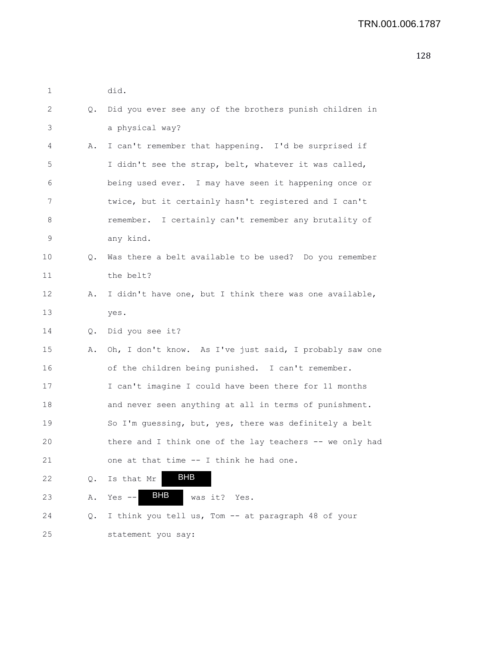| 1                 |    | did.                                                     |
|-------------------|----|----------------------------------------------------------|
| 2                 | Q. | Did you ever see any of the brothers punish children in  |
| 3                 |    | a physical way?                                          |
| 4                 | Α. | I can't remember that happening. I'd be surprised if     |
| 5                 |    | I didn't see the strap, belt, whatever it was called,    |
| 6                 |    | being used ever. I may have seen it happening once or    |
| 7                 |    | twice, but it certainly hasn't registered and I can't    |
| 8                 |    | remember. I certainly can't remember any brutality of    |
| 9                 |    | any kind.                                                |
| 10                | Q. | Was there a belt available to be used? Do you remember   |
| 11                |    | the belt?                                                |
| $12 \overline{ }$ | Α. | I didn't have one, but I think there was one available,  |
| 13                |    | yes.                                                     |
| 14                | 0. | Did you see it?                                          |
| 15                | Α. | Oh, I don't know. As I've just said, I probably saw one  |
| 16                |    | of the children being punished. I can't remember.        |
| 17                |    | I can't imagine I could have been there for 11 months    |
| 18                |    | and never seen anything at all in terms of punishment.   |
| 19                |    | So I'm guessing, but, yes, there was definitely a belt   |
| 20                |    | there and I think one of the lay teachers -- we only had |
| 21                |    | one at that time -- I think he had one.                  |
| 22                | Q. | BHB<br>Is that Mr                                        |
| 23                | Α. | <b>BHB</b><br>Yes $--$<br>was it?<br>Yes.                |
| 24                | Q. | I think you tell us, Tom -- at paragraph 48 of your      |
| 25                |    | statement you say:                                       |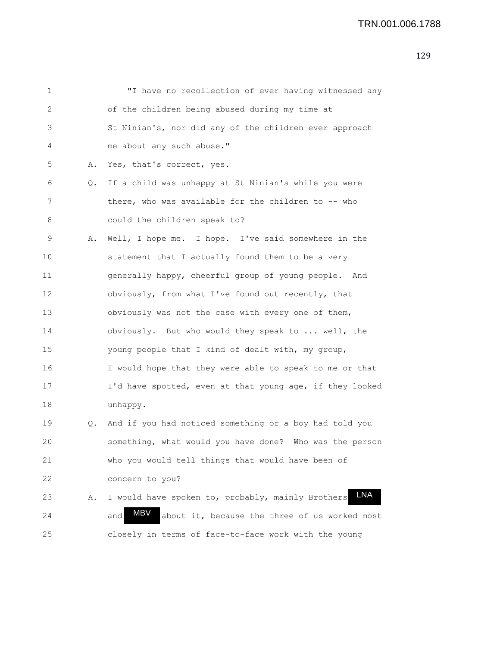| 1  |    | "I have no recollection of ever having witnessed any            |
|----|----|-----------------------------------------------------------------|
| 2  |    | of the children being abused during my time at                  |
| 3  |    | St Ninian's, nor did any of the children ever approach          |
| 4  |    | me about any such abuse."                                       |
| 5  | Α. | Yes, that's correct, yes.                                       |
| 6  | Q. | If a child was unhappy at St Ninian's while you were            |
| 7  |    | there, who was available for the children to -- who             |
| 8  |    | could the children speak to?                                    |
| 9  | Α. | Well, I hope me. I hope. I've said somewhere in the             |
| 10 |    | statement that I actually found them to be a very               |
| 11 |    | generally happy, cheerful group of young people. And            |
| 12 |    | obviously, from what I've found out recently, that              |
| 13 |    | obviously was not the case with every one of them,              |
| 14 |    | obviously. But who would they speak to  well, the               |
| 15 |    | young people that I kind of dealt with, my group,               |
| 16 |    | I would hope that they were able to speak to me or that         |
| 17 |    | I'd have spotted, even at that young age, if they looked        |
| 18 |    | unhappy.                                                        |
| 19 | Q. | And if you had noticed something or a boy had told you          |
| 20 |    | something, what would you have done? Who was the person         |
| 21 |    | who you would tell things that would have been of               |
| 22 |    | concern to you?                                                 |
| 23 | Α. | <b>LNA</b><br>I would have spoken to, probably, mainly Brothers |
| 24 |    | MBV<br>about it, because the three of us worked most<br>and     |
| 25 |    | closely in terms of face-to-face work with the young            |
|    |    |                                                                 |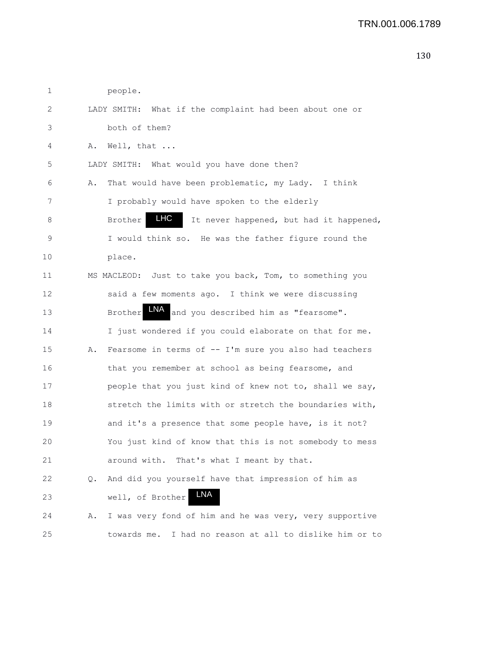| 1  |    | people.                                                       |
|----|----|---------------------------------------------------------------|
| 2  |    | LADY SMITH: What if the complaint had been about one or       |
| 3  |    | both of them?                                                 |
| 4  | Α. | Well, that                                                    |
| 5  |    | LADY SMITH: What would you have done then?                    |
| 6  | Α. | That would have been problematic, my Lady. I think            |
| 7  |    | I probably would have spoken to the elderly                   |
| 8  |    | LHC<br>Brother<br>It never happened, but had it happened,     |
| 9  |    | I would think so. He was the father figure round the          |
| 10 |    | place.                                                        |
| 11 |    | MS MACLEOD: Just to take you back, Tom, to something you      |
| 12 |    | said a few moments ago. I think we were discussing            |
| 13 |    | LNA<br>and you described him as "fearsome".<br><b>Brother</b> |
| 14 |    | I just wondered if you could elaborate on that for me.        |
| 15 | Α. | Fearsome in terms of -- I'm sure you also had teachers        |
| 16 |    | that you remember at school as being fearsome, and            |
| 17 |    | people that you just kind of knew not to, shall we say,       |
| 18 |    | stretch the limits with or stretch the boundaries with,       |
| 19 |    | and it's a presence that some people have, is it not?         |
| 20 |    | You just kind of know that this is not somebody to mess       |
| 21 |    | around with. That's what I meant by that.                     |
| 22 | Q. | And did you yourself have that impression of him as           |
| 23 |    | LNA<br>well, of Brother                                       |
| 24 | Α. | I was very fond of him and he was very, very supportive       |
| 25 |    | towards me. I had no reason at all to dislike him or to       |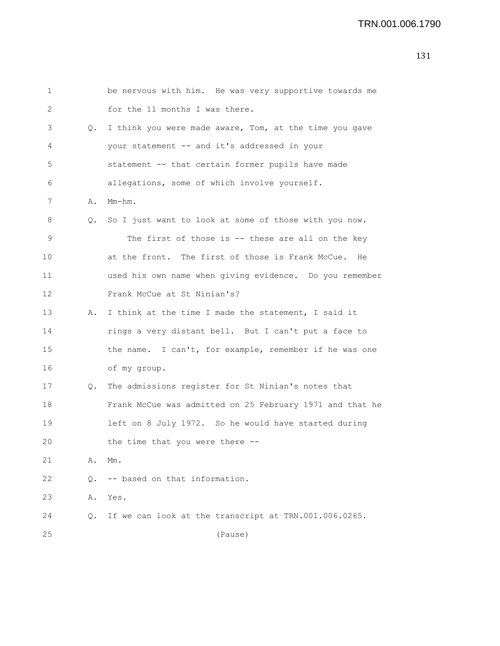| 1               |    | be nervous with him. He was very supportive towards me   |
|-----------------|----|----------------------------------------------------------|
| 2               |    | for the 11 months I was there.                           |
| 3               | Q. | I think you were made aware, Tom, at the time you gave   |
| 4               |    | your statement -- and it's addressed in your             |
| 5               |    | statement -- that certain former pupils have made        |
| 6               |    | allegations, some of which involve yourself.             |
| 7               | Α. | Mm-hm.                                                   |
| 8               | Q. | So I just want to look at some of those with you now.    |
| 9               |    | The first of those is $-$ these are all on the key       |
| 10              |    | at the front. The first of those is Frank McCue. He      |
| 11              |    | used his own name when giving evidence. Do you remember  |
| 12 <sup>2</sup> |    | Frank McCue at St Ninian's?                              |
| 13              | Α. | I think at the time I made the statement, I said it      |
| 14              |    | rings a very distant bell. But I can't put a face to     |
| 15              |    | the name. I can't, for example, remember if he was one   |
| 16              |    | of my group.                                             |
| 17              | Q. | The admissions register for St Ninian's notes that       |
| 18              |    | Frank McCue was admitted on 25 February 1971 and that he |
| 19              |    | left on 8 July 1972. So he would have started during     |
| 20              |    | the time that you were there                             |
| 21              | Α. | Mm.                                                      |
| 22              | Q. | -- based on that information.                            |
| 23              | Α. | Yes.                                                     |
| 24              | Q. | If we can look at the transcript at TRN.001.006.0265.    |
| 25              |    | (Pause)                                                  |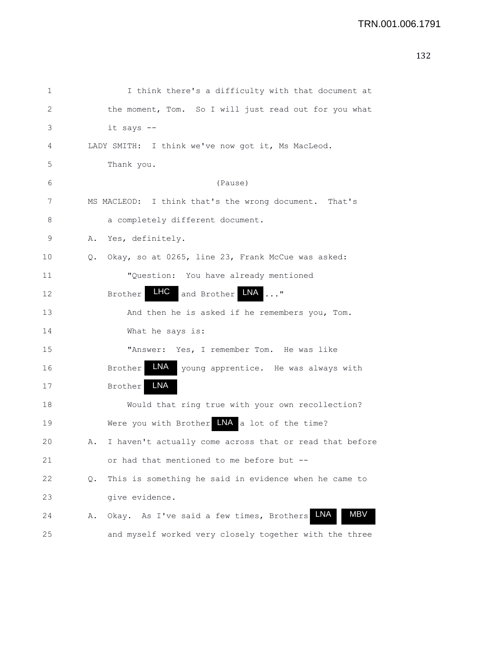```
132
```

| 1            | I think there's a difficulty with that document at                    |
|--------------|-----------------------------------------------------------------------|
| $\mathbf{2}$ | the moment, Tom. So I will just read out for you what                 |
| 3            | it says --                                                            |
| 4            | LADY SMITH: I think we've now got it, Ms MacLeod.                     |
| 5            | Thank you.                                                            |
| 6            | (Pause)                                                               |
| 7            | MS MACLEOD: I think that's the wrong document. That's                 |
| 8            | a completely different document.                                      |
| 9            | Yes, definitely.<br>Α.                                                |
| 10           | Okay, so at 0265, line 23, Frank McCue was asked:<br>Q.               |
| 11           | "Question: You have already mentioned                                 |
| 12           | <b>LHC</b><br>LNA<br>$\ldots$ <sup>11</sup><br>and Brother<br>Brother |
| 13           | And then he is asked if he remembers you, Tom.                        |
| 14           | What he says is:                                                      |
| 15           | "Answer: Yes, I remember Tom. He was like                             |
| 16           | LNA<br><b>Brother</b><br>young apprentice. He was always with         |
| 17           | LNA<br><b>Brother</b>                                                 |
| 18           | Would that ring true with your own recollection?                      |
| 19           | Were you with Brother INA a lot of the time?                          |
| 20           | I haven't actually come across that or read that before<br>Α.         |
| 21           | or had that mentioned to me before but --                             |
| 22           | This is something he said in evidence when he came to<br>Q.           |
| 23           | give evidence.                                                        |
| 24           | MBV<br>LNA<br>Okay. As I've said a few times, Brothers<br>Α.          |
| 25           | and myself worked very closely together with the three                |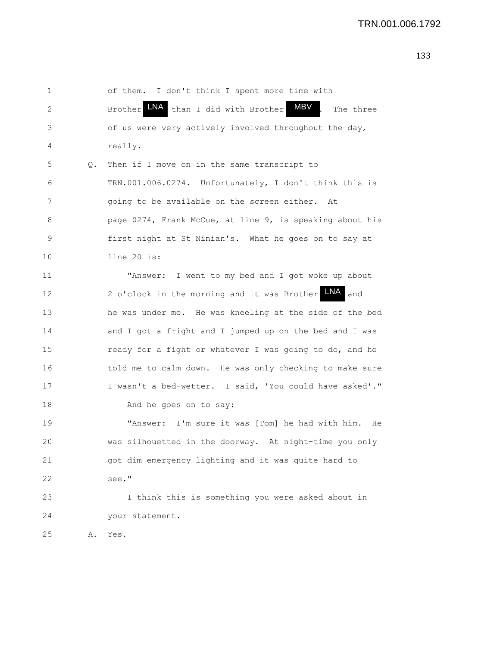| 1           |    | of them. I don't think I spent more time with                     |
|-------------|----|-------------------------------------------------------------------|
| 2           |    | <b>MBV</b><br>LNA than I did with Brother<br>Brother<br>The three |
| 3           |    | of us were very actively involved throughout the day,             |
| 4           |    | really.                                                           |
| 5           | Q. | Then if I move on in the same transcript to                       |
| 6           |    | TRN.001.006.0274. Unfortunately, I don't think this is            |
| 7           |    | going to be available on the screen either. At                    |
| 8           |    | page 0274, Frank McCue, at line 9, is speaking about his          |
| $\mathsf 9$ |    | first night at St Ninian's. What he goes on to say at             |
| 10          |    | line 20 is:                                                       |
| 11          |    | "Answer: I went to my bed and I got woke up about                 |
| 12          |    | 2 o'clock in the morning and it was Brother LNA and               |
| 13          |    | he was under me. He was kneeling at the side of the bed           |
| 14          |    | and I got a fright and I jumped up on the bed and I was           |
| 15          |    | ready for a fight or whatever I was going to do, and he           |
| 16          |    | told me to calm down. He was only checking to make sure           |
| 17          |    | I wasn't a bed-wetter. I said, 'You could have asked'."           |
| 18          |    | And he goes on to say:                                            |
| 19          |    | "Answer: I'm sure it was [Tom] he had with him. He                |
| 20          |    | was silhouetted in the doorway. At night-time you only            |
| 21          |    | got dim emergency lighting and it was quite hard to               |
| 22          |    | see."                                                             |
| 23          |    | I think this is something you were asked about in                 |
| 24          |    | your statement.                                                   |
| 25          | Α. | Yes.                                                              |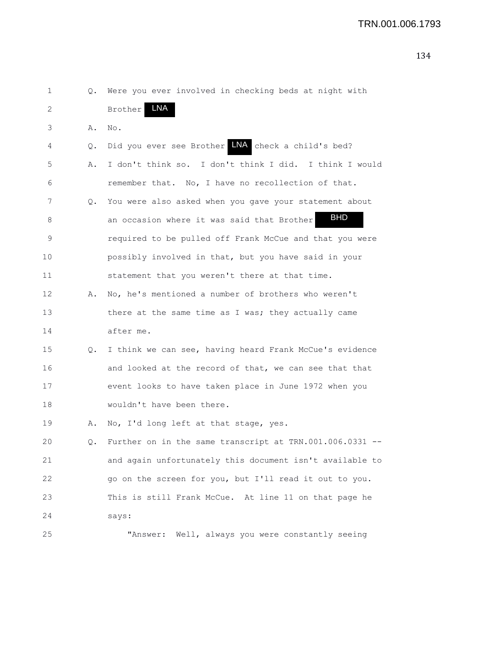| 1  | Q. | Were you ever involved in checking beds at night with    |
|----|----|----------------------------------------------------------|
| 2  |    | LNA<br><b>Brother</b>                                    |
| 3  | Α. | No.                                                      |
| 4  | Q. | Did you ever see Brother NA check a child's bed?         |
| 5  | Α. | I don't think so. I don't think I did. I think I would   |
| 6  |    | remember that. No, I have no recollection of that.       |
| 7  | Q. | You were also asked when you gave your statement about   |
| 8  |    | <b>BHD</b><br>an occasion where it was said that Brother |
| 9  |    | required to be pulled off Frank McCue and that you were  |
| 10 |    | possibly involved in that, but you have said in your     |
| 11 |    | statement that you weren't there at that time.           |
| 12 | Α. | No, he's mentioned a number of brothers who weren't      |
| 13 |    | there at the same time as I was; they actually came      |
| 14 |    | after me.                                                |
| 15 | Q. | I think we can see, having heard Frank McCue's evidence  |
| 16 |    | and looked at the record of that, we can see that that   |
| 17 |    | event looks to have taken place in June 1972 when you    |
| 18 |    | wouldn't have been there.                                |
| 19 | Α. | No, I'd long left at that stage, yes.                    |
| 20 |    | Further on in the same transcript at TRN.001.006.0331    |
| 21 |    | and again unfortunately this document isn't available to |
| 22 |    | go on the screen for you, but I'll read it out to you.   |
| 23 |    | This is still Frank McCue. At line 11 on that page he    |
| 24 |    | says:                                                    |
| 25 |    | "Answer: Well, always you were constantly seeing         |
|    |    |                                                          |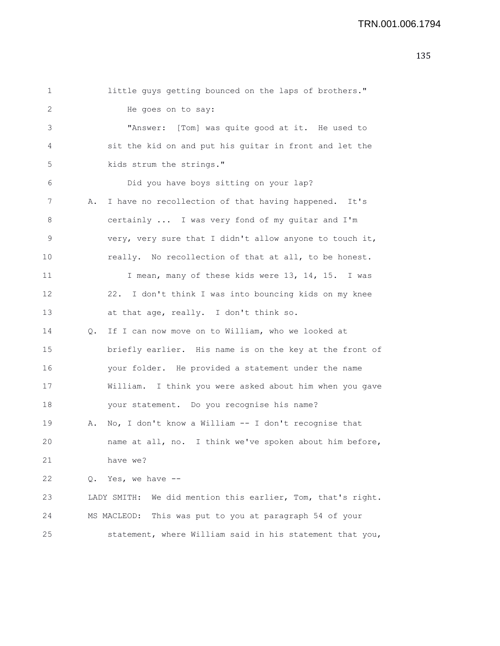| 1           |    | little guys getting bounced on the laps of brothers."       |
|-------------|----|-------------------------------------------------------------|
| 2           |    | He goes on to say:                                          |
| 3           |    | "Answer: [Tom] was quite good at it. He used to             |
| 4           |    | sit the kid on and put his guitar in front and let the      |
| $\mathsf S$ |    | kids strum the strings."                                    |
| 6           |    | Did you have boys sitting on your lap?                      |
| 7           | Α. | I have no recollection of that having happened. It's        |
| 8           |    | certainly  I was very fond of my guitar and I'm             |
| $\mathsf 9$ |    | very, very sure that I didn't allow anyone to touch it,     |
| 10          |    | really. No recollection of that at all, to be honest.       |
| 11          |    | I mean, many of these kids were 13, 14, 15. I was           |
| 12          |    | 22. I don't think I was into bouncing kids on my knee       |
| 13          |    | at that age, really. I don't think so.                      |
| 14          | Q. | If I can now move on to William, who we looked at           |
| 15          |    | briefly earlier. His name is on the key at the front of     |
| 16          |    | your folder. He provided a statement under the name         |
| 17          |    | William. I think you were asked about him when you gave     |
| 18          |    | your statement. Do you recognise his name?                  |
| 19          | Α. | No, I don't know a William -- I don't recognise that        |
| 20          |    | name at all, no. I think we've spoken about him before,     |
| 21          |    | have we?                                                    |
| 22          |    | Q. Yes, we have --                                          |
| 23          |    | LADY SMITH: We did mention this earlier, Tom, that's right. |
| 24          |    | This was put to you at paragraph 54 of your<br>MS MACLEOD:  |
| 25          |    | statement, where William said in his statement that you,    |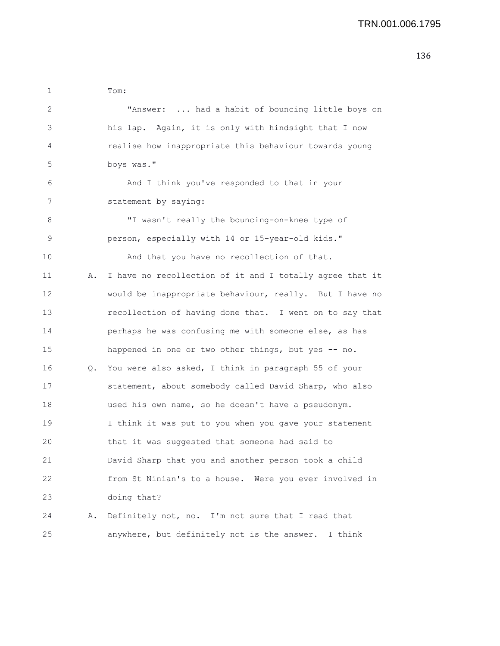| 1  |    | Tom:                                                     |
|----|----|----------------------------------------------------------|
| 2  |    | "Answer:  had a habit of bouncing little boys on         |
| 3  |    | his lap. Again, it is only with hindsight that I now     |
| 4  |    | realise how inappropriate this behaviour towards young   |
| 5  |    | boys was."                                               |
| 6  |    | And I think you've responded to that in your             |
| 7  |    | statement by saying:                                     |
| 8  |    | "I wasn't really the bouncing-on-knee type of            |
| 9  |    | person, especially with 14 or 15-year-old kids."         |
| 10 |    | And that you have no recollection of that.               |
| 11 | Α. | I have no recollection of it and I totally agree that it |
| 12 |    | would be inappropriate behaviour, really. But I have no  |
| 13 |    | recollection of having done that. I went on to say that  |
| 14 |    | perhaps he was confusing me with someone else, as has    |
| 15 |    | happened in one or two other things, but yes -- no.      |
| 16 |    | Q. You were also asked, I think in paragraph 55 of your  |
| 17 |    | statement, about somebody called David Sharp, who also   |
| 18 |    | used his own name, so he doesn't have a pseudonym.       |
| 19 |    | I think it was put to you when you gave your statement   |
| 20 |    | that it was suggested that someone had said to           |
| 21 |    | David Sharp that you and another person took a child     |
| 22 |    | from St Ninian's to a house. Were you ever involved in   |
| 23 |    | doing that?                                              |
| 24 | Α. | Definitely not, no. I'm not sure that I read that        |
| 25 |    | anywhere, but definitely not is the answer. I think      |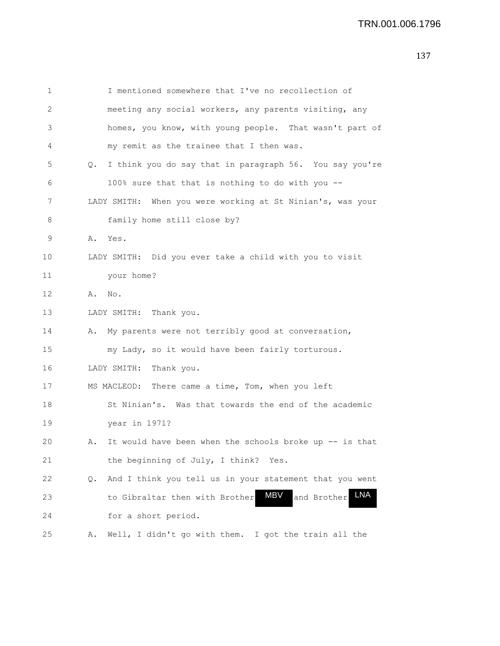```
1 I mentioned somewhere that I've no recollection of
2 meeting any social workers, any parents visiting, any
3 homes, you know, with young people. That wasn't part of
4 my remit as the trainee that I then was.
5 Q. I think you do say that in paragraph 56. You say you're
6 100% sure that that is nothing to do with you --
7 LADY SMITH: When you were working at St Ninian's, was your
8 family home still close by?
9 A. Yes.
10 LADY SMITH: Did you ever take a child with you to visit
11 your home?
12 A. No.
13 LADY SMITH: Thank you.
14 A. My parents were not terribly good at conversation,
15 my Lady, so it would have been fairly torturous.
16 LADY SMITH: Thank you.
17 MS MACLEOD: There came a time, Tom, when you left
18 St Ninian's. Was that towards the end of the academic
19 year in 1971?
20 A. It would have been when the schools broke up -- is that
21 the beginning of July, I think? Yes.
22 Q. And I think you tell us in your statement that you went
23 to Gibraltar then with Brother MBV
24 for a short period.
25 A. Well, I didn't go with them. I got the train all the
                                          and Brother LNA
```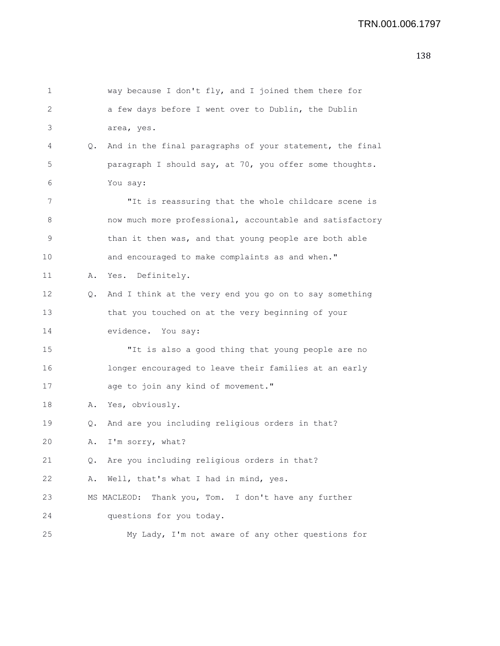| 1       |    | way because I don't fly, and I joined them there for     |
|---------|----|----------------------------------------------------------|
| 2       |    | a few days before I went over to Dublin, the Dublin      |
| 3       |    | area, yes.                                               |
| 4       | Q. | And in the final paragraphs of your statement, the final |
| 5       |    | paragraph I should say, at 70, you offer some thoughts.  |
| 6       |    | You say:                                                 |
| 7       |    | "It is reassuring that the whole childcare scene is      |
| 8       |    | now much more professional, accountable and satisfactory |
| 9       |    | than it then was, and that young people are both able    |
| $10 \,$ |    | and encouraged to make complaints as and when."          |
| 11      | Α. | Definitely.<br>Yes.                                      |
| 12      | Q. | And I think at the very end you go on to say something   |
| 13      |    | that you touched on at the very beginning of your        |
| 14      |    | evidence. You say:                                       |
| 15      |    | "It is also a good thing that young people are no        |
| 16      |    | longer encouraged to leave their families at an early    |
| 17      |    | age to join any kind of movement."                       |
| 18      |    | A. Yes, obviously.                                       |
| 19      | Q. | And are you including religious orders in that?          |
| 20      |    | A. I'm sorry, what?                                      |
| 21      | Q. | Are you including religious orders in that?              |
| 22      | Α. | Well, that's what I had in mind, yes.                    |
| 23      |    | MS MACLEOD:<br>Thank you, Tom. I don't have any further  |
| 24      |    | questions for you today.                                 |
| 25      |    | My Lady, I'm not aware of any other questions for        |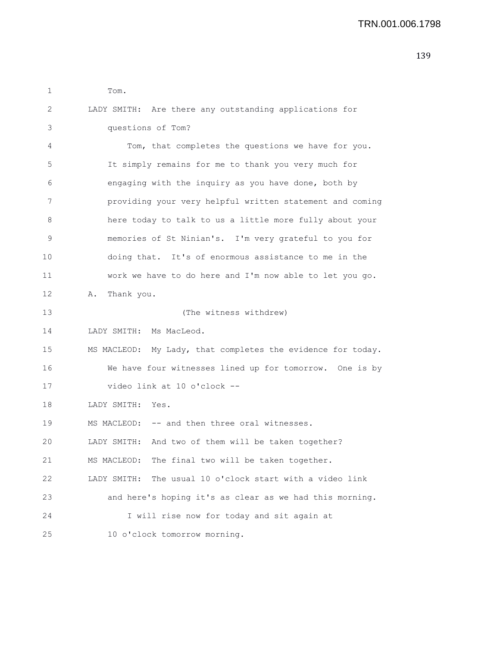| 1  | Tom.                                                        |
|----|-------------------------------------------------------------|
| 2  | LADY SMITH: Are there any outstanding applications for      |
| 3  | questions of Tom?                                           |
| 4  | Tom, that completes the questions we have for you.          |
| 5  | It simply remains for me to thank you very much for         |
| 6  | engaging with the inquiry as you have done, both by         |
| 7  | providing your very helpful written statement and coming    |
| 8  | here today to talk to us a little more fully about your     |
| 9  | memories of St Ninian's. I'm very grateful to you for       |
| 10 | doing that. It's of enormous assistance to me in the        |
| 11 | work we have to do here and I'm now able to let you go.     |
| 12 | Thank you.<br>Α.                                            |
| 13 | (The witness withdrew)                                      |
| 14 | LADY SMITH: Ms MacLeod.                                     |
| 15 | MS MACLEOD: My Lady, that completes the evidence for today. |
| 16 | We have four witnesses lined up for tomorrow. One is by     |
| 17 | video link at 10 o'clock --                                 |
| 18 | LADY SMITH: Yes.                                            |
| 19 | MS MACLEOD: -- and then three oral witnesses.               |
| 20 | LADY SMITH: And two of them will be taken together?         |
| 21 | MS MACLEOD: The final two will be taken together.           |
| 22 | The usual 10 o'clock start with a video link<br>LADY SMITH: |
| 23 | and here's hoping it's as clear as we had this morning.     |
| 24 | I will rise now for today and sit again at                  |
| 25 | 10 o'clock tomorrow morning.                                |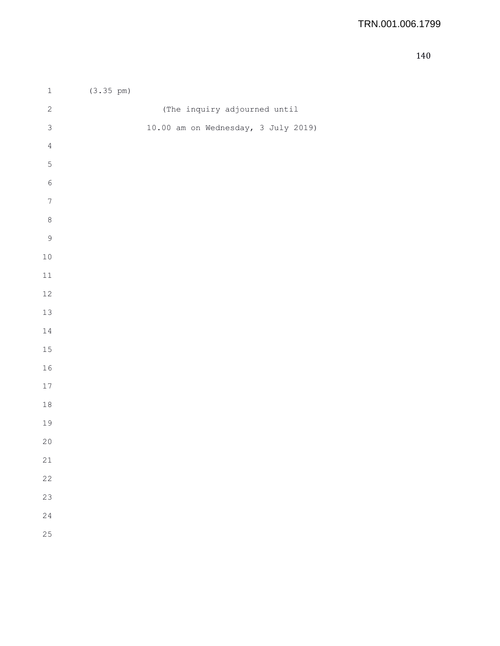| $\,1\,$        | $(3.35 \text{ pm})$                 |
|----------------|-------------------------------------|
| $\sqrt{2}$     | (The inquiry adjourned until        |
| $\mathsf 3$    | 10.00 am on Wednesday, 3 July 2019) |
| $\sqrt{4}$     |                                     |
| $\mathsf S$    |                                     |
| $\epsilon$     |                                     |
| $\sqrt{ }$     |                                     |
| $\,8\,$        |                                     |
| $\overline{9}$ |                                     |
| $10$           |                                     |
| $11\,$         |                                     |
| $12\,$         |                                     |
| 13             |                                     |
| 14             |                                     |
| 15             |                                     |
| 16             |                                     |
| 17             |                                     |
| $1\,8$         |                                     |
| 19             |                                     |
| 20             |                                     |
| 21             |                                     |
| 22             |                                     |
| 23             |                                     |
| 24             |                                     |
| 25             |                                     |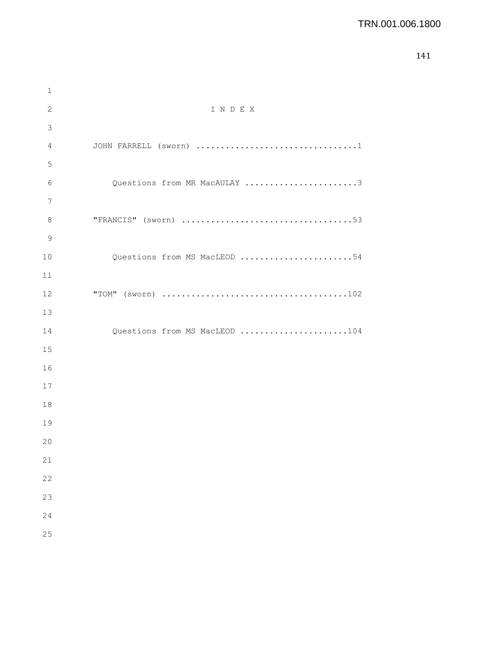## TRN.001.006.1800

| $1\,$       |                               |
|-------------|-------------------------------|
| $\sqrt{2}$  | INDEX                         |
| 3           |                               |
| 4           |                               |
| $\mathsf S$ |                               |
| 6           | Questions from MR MacAULAY 3  |
| 7           |                               |
| $\,8\,$     |                               |
| $\mathsf 9$ |                               |
| 10          | Questions from MS MacLEOD 54  |
| 11          |                               |
| 12          |                               |
| 13          |                               |
| 14          | Questions from MS MacLEOD 104 |
| 15          |                               |
| 16          |                               |
| 17          |                               |
| 18          |                               |
| 19          |                               |
| 20          |                               |
| 21          |                               |
| 22          |                               |
| 23          |                               |
| 24          |                               |
| 25          |                               |